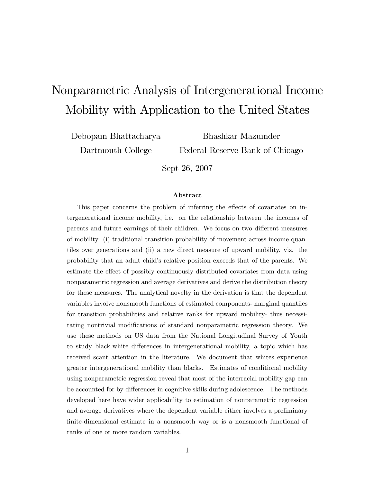# Nonparametric Analysis of Intergenerational Income Mobility with Application to the United States

Debopam Bhattacharya

Bhashkar Mazumder Federal Reserve Bank of Chicago

Dartmouth College

Sept 26, 2007

#### Abstract

This paper concerns the problem of inferring the effects of covariates on intergenerational income mobility, i.e. on the relationship between the incomes of parents and future earnings of their children. We focus on two different measures of mobility- (i) traditional transition probability of movement across income quantiles over generations and (ii) a new direct measure of upward mobility, viz. the probability that an adult childís relative position exceeds that of the parents. We estimate the effect of possibly continuously distributed covariates from data using nonparametric regression and average derivatives and derive the distribution theory for these measures. The analytical novelty in the derivation is that the dependent variables involve nonsmooth functions of estimated components- marginal quantiles for transition probabilities and relative ranks for upward mobility- thus necessitating nontrivial modifications of standard nonparametric regression theory. We use these methods on US data from the National Longitudinal Survey of Youth to study black-white differences in intergenerational mobility, a topic which has received scant attention in the literature. We document that whites experience greater intergenerational mobility than blacks. Estimates of conditional mobility using nonparametric regression reveal that most of the interracial mobility gap can be accounted for by differences in cognitive skills during adolescence. The methods developed here have wider applicability to estimation of nonparametric regression and average derivatives where the dependent variable either involves a preliminary finite-dimensional estimate in a nonsmooth way or is a nonsmooth functional of ranks of one or more random variables.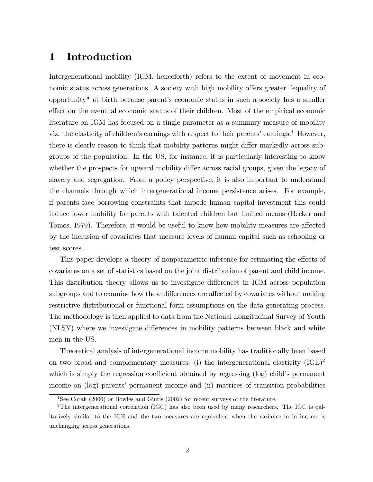# 1 Introduction

Intergenerational mobility (IGM, henceforth) refers to the extent of movement in economic status across generations. A society with high mobility offers greater "equality of opportunity" at birth because parentís economic status in such a society has a smaller effect on the eventual economic status of their children. Most of the empirical economic literature on IGM has focused on a single parameter as a summary measure of mobility viz. the elasticity of children's earnings with respect to their parents' earnings.<sup>1</sup> However, there is clearly reason to think that mobility patterns might differ markedly across subgroups of the population. In the US, for instance, it is particularly interesting to know whether the prospects for upward mobility differ across racial groups, given the legacy of slavery and segregation. From a policy perspective, it is also important to understand the channels through which intergenerational income persistence arises. For example, if parents face borrowing constraints that impede human capital investment this could induce lower mobility for parents with talented children but limited means (Becker and Tomes, 1979). Therefore, it would be useful to know how mobility measures are affected by the inclusion of covariates that measure levels of human capital such as schooling or test scores.

This paper develops a theory of nonparametric inference for estimating the effects of covariates on a set of statistics based on the joint distribution of parent and child income. This distribution theory allows us to investigate differences in IGM across population subgroups and to examine how these differences are affected by covariates without making restrictive distributional or functional form assumptions on the data generating process. The methodology is then applied to data from the National Longitudinal Survey of Youth (NLSY) where we investigate differences in mobility patterns between black and white men in the US.

Theoretical analysis of intergenerational income mobility has traditionally been based on two broad and complementary measures- (i) the intergenerational elasticity  $(IGE)^2$ which is simply the regression coefficient obtained by regressing  $(\log)$  child's permanent income on  $(\log)$  parents' permanent income and  $(ii)$  matrices of transition probabilities

<sup>&</sup>lt;sup>1</sup>See Corak (2006) or Bowles and Gintis (2002) for recent surveys of the literature.

<sup>&</sup>lt;sup>2</sup>The intergenerational correlation (IGC) has also been used by many researchers. The IGC is qalitatively similar to the IGE and the two measures are equivalent when the variance in in income is unchanging across generations.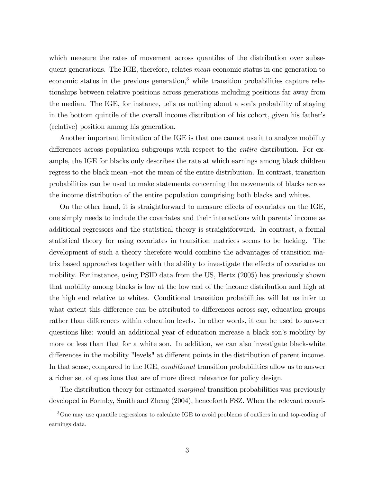which measure the rates of movement across quantiles of the distribution over subsequent generations. The IGE, therefore, relates mean economic status in one generation to economic status in the previous generation,<sup>3</sup> while transition probabilities capture relationships between relative positions across generations including positions far away from the median. The IGE, for instance, tells us nothing about a son's probability of staying in the bottom quintile of the overall income distribution of his cohort, given his fatherís (relative) position among his generation.

Another important limitation of the IGE is that one cannot use it to analyze mobility differences across population subgroups with respect to the *entire* distribution. For example, the IGE for blacks only describes the rate at which earnings among black children regress to the black mean –not the mean of the entire distribution. In contrast, transition probabilities can be used to make statements concerning the movements of blacks across the income distribution of the entire population comprising both blacks and whites.

On the other hand, it is straightforward to measure effects of covariates on the IGE, one simply needs to include the covariates and their interactions with parents' income as additional regressors and the statistical theory is straightforward. In contrast, a formal statistical theory for using covariates in transition matrices seems to be lacking. The development of such a theory therefore would combine the advantages of transition matrix based approaches together with the ability to investigate the effects of covariates on mobility. For instance, using PSID data from the US, Hertz (2005) has previously shown that mobility among blacks is low at the low end of the income distribution and high at the high end relative to whites. Conditional transition probabilities will let us infer to what extent this difference can be attributed to differences across say, education groups rather than differences within education levels. In other words, it can be used to answer questions like: would an additional year of education increase a black son's mobility by more or less than that for a white son. In addition, we can also investigate black-white differences in the mobility "levels" at different points in the distribution of parent income. In that sense, compared to the IGE, conditional transition probabilities allow us to answer a richer set of questions that are of more direct relevance for policy design.

The distribution theory for estimated *marginal* transition probabilities was previously developed in Formby, Smith and Zheng (2004), henceforth FSZ. When the relevant covari-

<sup>&</sup>lt;sup>3</sup>One may use quantile regressions to calculate IGE to avoid problems of outliers in and top-coding of earnings data.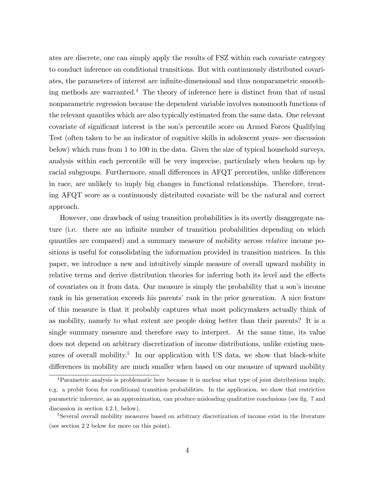ates are discrete, one can simply apply the results of FSZ within each covariate category to conduct inference on conditional transitions. But with continuously distributed covariates, the parameters of interest are infinite-dimensional and thus nonparametric smoothing methods are warranted.<sup>4</sup> The theory of inference here is distinct from that of usual nonparametric regression because the dependent variable involves nonsmooth functions of the relevant quantiles which are also typically estimated from the same data. One relevant covariate of significant interest is the son's percentile score on Armed Forces Qualifying Test (often taken to be an indicator of cognitive skills in adolescent years- see discussion below) which runs from 1 to 100 in the data. Given the size of typical household surveys, analysis within each percentile will be very imprecise, particularly when broken up by racial subgroups. Furthermore, small differences in AFQT percentiles, unlike differences in race, are unlikely to imply big changes in functional relationships. Therefore, treating AFQT score as a continuously distributed covariate will be the natural and correct approach.

However, one drawback of using transition probabilities is its overtly disaggregate nature (i.e. there are an infinite number of transition probabilities depending on which quantiles are compared) and a summary measure of mobility across relative income positions is useful for consolidating the information provided in transition matrices. In this paper, we introduce a new and intuitively simple measure of overall upward mobility in relative terms and derive distribution theories for inferring both its level and the effects of covariates on it from data. Our measure is simply the probability that a sonís income rank in his generation exceeds his parents' rank in the prior generation. A nice feature of this measure is that it probably captures what most policymakers actually think of as mobility, namely to what extent are people doing better than their parents? It is a single summary measure and therefore easy to interpret. At the same time, its value does not depend on arbitrary discretization of income distributions, unlike existing measures of overall mobility.<sup>5</sup> In our application with US data, we show that black-white differences in mobility are much smaller when based on our measure of upward mobility

<sup>4</sup>Parametric analysis is problematic here because it is unclear what type of joint distributions imply, e.g. a probit form for conditional transition probabilities. In the application, we show that restrictive parametric inference, as an approximation, can produce misleading qualitative conclusions (see fig. 7 and discussion in section 4.2.1, below).

<sup>&</sup>lt;sup>5</sup>Several overall mobility measures based on arbitrary discretization of income exist in the literature (see section 2.2 below for more on this point).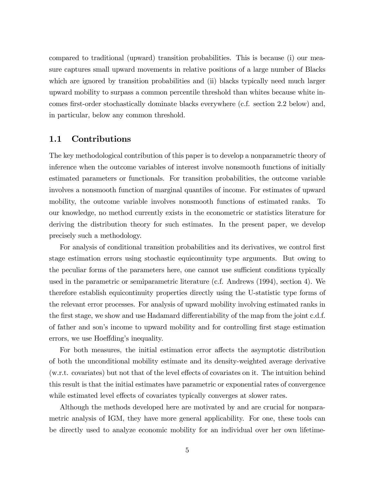compared to traditional (upward) transition probabilities. This is because (i) our measure captures small upward movements in relative positions of a large number of Blacks which are ignored by transition probabilities and (ii) blacks typically need much larger upward mobility to surpass a common percentile threshold than whites because white incomes first-order stochastically dominate blacks everywhere (c.f. section 2.2 below) and, in particular, below any common threshold.

### 1.1 Contributions

The key methodological contribution of this paper is to develop a nonparametric theory of inference when the outcome variables of interest involve nonsmooth functions of initially estimated parameters or functionals. For transition probabilities, the outcome variable involves a nonsmooth function of marginal quantiles of income. For estimates of upward mobility, the outcome variable involves nonsmooth functions of estimated ranks. To our knowledge, no method currently exists in the econometric or statistics literature for deriving the distribution theory for such estimates. In the present paper, we develop precisely such a methodology.

For analysis of conditional transition probabilities and its derivatives, we control first stage estimation errors using stochastic equicontinuity type arguments. But owing to the peculiar forms of the parameters here, one cannot use sufficient conditions typically used in the parametric or semiparametric literature (c.f. Andrews (1994), section 4). We therefore establish equicontinuity properties directly using the U-statistic type forms of the relevant error processes. For analysis of upward mobility involving estimated ranks in the first stage, we show and use Hadamard differentiability of the map from the joint c.d.f. of father and son's income to upward mobility and for controlling first stage estimation errors, we use Hoeffding's inequality.

For both measures, the initial estimation error affects the asymptotic distribution of both the unconditional mobility estimate and its density-weighted average derivative  $(w.r.t. covariates)$  but not that of the level effects of covariates on it. The intuition behind this result is that the initial estimates have parametric or exponential rates of convergence while estimated level effects of covariates typically converges at slower rates.

Although the methods developed here are motivated by and are crucial for nonparametric analysis of IGM, they have more general applicability. For one, these tools can be directly used to analyze economic mobility for an individual over her own lifetime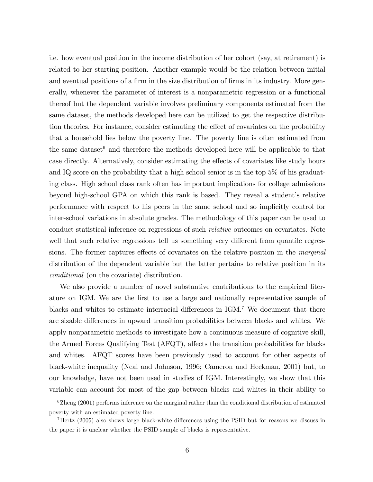i.e. how eventual position in the income distribution of her cohort (say, at retirement) is related to her starting position. Another example would be the relation between initial and eventual positions of a firm in the size distribution of firms in its industry. More generally, whenever the parameter of interest is a nonparametric regression or a functional thereof but the dependent variable involves preliminary components estimated from the same dataset, the methods developed here can be utilized to get the respective distribution theories. For instance, consider estimating the effect of covariates on the probability that a household lies below the poverty line. The poverty line is often estimated from the same dataset<sup>6</sup> and therefore the methods developed here will be applicable to that case directly. Alternatively, consider estimating the effects of covariates like study hours and IQ score on the probability that a high school senior is in the top 5% of his graduating class. High school class rank often has important implications for college admissions beyond high-school GPA on which this rank is based. They reveal a student's relative performance with respect to his peers in the same school and so implicitly control for inter-school variations in absolute grades. The methodology of this paper can be used to conduct statistical inference on regressions of such relative outcomes on covariates. Note well that such relative regressions tell us something very different from quantile regressions. The former captures effects of covariates on the relative position in the *marginal* distribution of the dependent variable but the latter pertains to relative position in its conditional (on the covariate) distribution.

We also provide a number of novel substantive contributions to the empirical literature on IGM. We are the first to use a large and nationally representative sample of blacks and whites to estimate interracial differences in  $IGM$ .<sup>7</sup> We document that there are sizable differences in upward transition probabilities between blacks and whites. We apply nonparametric methods to investigate how a continuous measure of cognitive skill, the Armed Forces Qualifying Test  $(AFQT)$ , affects the transition probabilities for blacks and whites. AFQT scores have been previously used to account for other aspects of black-white inequality (Neal and Johnson, 1996; Cameron and Heckman, 2001) but, to our knowledge, have not been used in studies of IGM. Interestingly, we show that this variable can account for most of the gap between blacks and whites in their ability to

 $6Z$ heng (2001) performs inference on the marginal rather than the conditional distribution of estimated poverty with an estimated poverty line.

 $7$ Hertz (2005) also shows large black-white differences using the PSID but for reasons we discuss in the paper it is unclear whether the PSID sample of blacks is representative.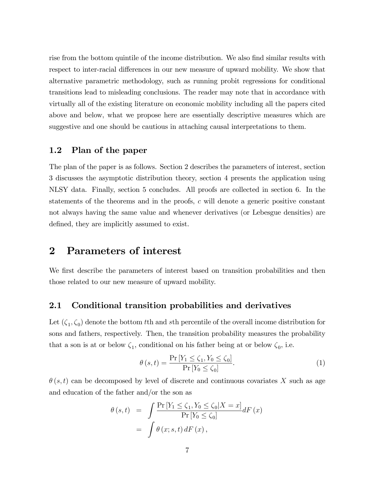rise from the bottom quintile of the income distribution. We also find similar results with respect to inter-racial differences in our new measure of upward mobility. We show that alternative parametric methodology, such as running probit regressions for conditional transitions lead to misleading conclusions. The reader may note that in accordance with virtually all of the existing literature on economic mobility including all the papers cited above and below, what we propose here are essentially descriptive measures which are suggestive and one should be cautious in attaching causal interpretations to them.

## 1.2 Plan of the paper

The plan of the paper is as follows. Section 2 describes the parameters of interest, section 3 discusses the asymptotic distribution theory, section 4 presents the application using NLSY data. Finally, section 5 concludes. All proofs are collected in section 6. In the statements of the theorems and in the proofs, c will denote a generic positive constant not always having the same value and whenever derivatives (or Lebesgue densities) are defined, they are implicitly assumed to exist.

# 2 Parameters of interest

We first describe the parameters of interest based on transition probabilities and then those related to our new measure of upward mobility.

### 2.1 Conditional transition probabilities and derivatives

Let  $(\zeta_1, \zeta_0)$  denote the bottom tth and sth percentile of the overall income distribution for sons and fathers, respectively. Then, the transition probability measures the probability that a son is at or below  $\zeta_1$ , conditional on his father being at or below  $\zeta_0$ , i.e.

$$
\theta\left(s,t\right) = \frac{\Pr\left[Y_1 \le \zeta_1, Y_0 \le \zeta_0\right]}{\Pr\left[Y_0 \le \zeta_0\right]}.\tag{1}
$$

 $\theta(s, t)$  can be decomposed by level of discrete and continuous covariates X such as age and education of the father and/or the son as

$$
\theta(s,t) = \int \frac{\Pr[Y_1 \le \zeta_1, Y_0 \le \zeta_0 | X = x]}{\Pr[Y_0 \le \zeta_0]} dF(x)
$$

$$
= \int \theta(x; s, t) dF(x),
$$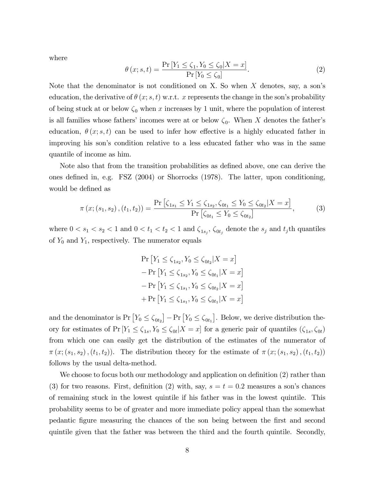where

$$
\theta(x; s, t) = \frac{\Pr[Y_1 \le \zeta_1, Y_0 \le \zeta_0 | X = x]}{\Pr[Y_0 \le \zeta_0]}.
$$
\n(2)

Note that the denominator is not conditioned on X. So when  $X$  denotes, say, a son's education, the derivative of  $\theta(x; s, t)$  w.r.t. x represents the change in the son's probability of being stuck at or below  $\zeta_0$  when x increases by 1 unit, where the population of interest is all families whose fathers' incomes were at or below  $\zeta_0$ . When X denotes the father's education,  $\theta(x; s, t)$  can be used to infer how effective is a highly educated father in improving his son's condition relative to a less educated father who was in the same quantile of income as him.

Note also that from the transition probabilities as defined above, one can derive the ones deÖned in, e.g. FSZ (2004) or Shorrocks (1978). The latter, upon conditioning, would be defined as

$$
\pi(x; (s_1, s_2), (t_1, t_2)) = \frac{\Pr\left[\zeta_{1s_1} \le Y_1 \le \zeta_{1s_2}, \zeta_{0t_1} \le Y_0 \le \zeta_{0t_2} | X = x\right]}{\Pr\left[\zeta_{0t_1} \le Y_0 \le \zeta_{0t_2}\right]},
$$
\n(3)

where  $0 < s_1 < s_2 < 1$  and  $0 < t_1 < t_2 < 1$  and  $\zeta_{1s_j}$ ,  $\zeta_{0t_j}$  denote the  $s_j$  and  $t_j$ th quantiles of  $Y_0$  and  $Y_1$ , respectively. The numerator equals

$$
\Pr\left[Y_1 \le \zeta_{1s_2}, Y_0 \le \zeta_{0t_2} | X = x\right] \\
- \Pr\left[Y_1 \le \zeta_{1s_2}, Y_0 \le \zeta_{0t_1} | X = x\right] \\
- \Pr\left[Y_1 \le \zeta_{1s_1}, Y_0 \le \zeta_{0t_2} | X = x\right] \\
+ \Pr\left[Y_1 \le \zeta_{1s_1}, Y_0 \le \zeta_{0t_1} | X = x\right]
$$

and the denominator is  $Pr[Y_0 \leq \zeta_{0t_2}] - Pr[Y_0 \leq \zeta_{0t_1}]$ . Below, we derive distribution theory for estimates of  $Pr[Y_1 \le \zeta_{1s}, Y_0 \le \zeta_{0t} | X = x]$  for a generic pair of quantiles  $(\zeta_{1s}, \zeta_{0t})$ from which one can easily get the distribution of the estimates of the numerator of  $\pi(x;(s_1,s_2),(t_1,t_2))$ . The distribution theory for the estimate of  $\pi(x;(s_1,s_2),(t_1,t_2))$ follows by the usual delta-method.

We choose to focus both our methodology and application on definition  $(2)$  rather than (3) for two reasons. First, definition (2) with, say,  $s = t = 0.2$  measures a son's chances of remaining stuck in the lowest quintile if his father was in the lowest quintile. This probability seems to be of greater and more immediate policy appeal than the somewhat pedantic Ögure measuring the chances of the son being between the Örst and second quintile given that the father was between the third and the fourth quintile. Secondly,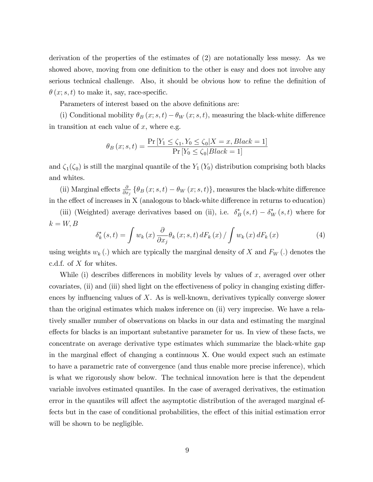derivation of the properties of the estimates of (2) are notationally less messy. As we showed above, moving from one definition to the other is easy and does not involve any serious technical challenge. Also, it should be obvious how to refine the definition of  $\theta(x; s, t)$  to make it, say, race-specific.

Parameters of interest based on the above definitions are:

(i) Conditional mobility  $\theta_B(x; s, t) - \theta_W(x; s, t)$ , measuring the black-white difference in transition at each value of  $x$ , where e.g.

$$
\theta_B(x; s, t) = \frac{\Pr[Y_1 \le \zeta_1, Y_0 \le \zeta_0 | X = x, Black = 1]}{\Pr[Y_0 \le \zeta_0 | Black = 1]}
$$

and  $\zeta_1(\zeta_0)$  is still the marginal quantile of the  $Y_1(Y_0)$  distribution comprising both blacks and whites.

(ii) Marginal effects  $\frac{\partial}{\partial x_j} \{\theta_B(x; s, t) - \theta_W(x; s, t)\}\$ , measures the black-white difference in the effect of increases in  $X$  (analogous to black-white difference in returns to education)

(iii) (Weighted) average derivatives based on (ii), i.e.  $\delta_B^*(s,t) - \delta_W^*(s,t)$  where for  $k = W, B$ 

$$
\delta_{k}^{*}\left(s,t\right) = \int w_{k}\left(x\right) \frac{\partial}{\partial x_{j}} \theta_{k}\left(x;s,t\right) dF_{k}\left(x\right) / \int w_{k}\left(x\right) dF_{k}\left(x\right) \tag{4}
$$

using weights  $w_k(.)$  which are typically the marginal density of X and  $F_W(.)$  denotes the c.d.f. of X for whites.

While (i) describes differences in mobility levels by values of  $x$ , averaged over other covariates, (ii) and (iii) shed light on the effectiveness of policy in changing existing differences by influencing values of  $X$ . As is well-known, derivatives typically converge slower than the original estimates which makes inference on (ii) very imprecise. We have a relatively smaller number of observations on blacks in our data and estimating the marginal effects for blacks is an important substantive parameter for us. In view of these facts, we concentrate on average derivative type estimates which summarize the black-white gap in the marginal effect of changing a continuous  $X$ . One would expect such an estimate to have a parametric rate of convergence (and thus enable more precise inference), which is what we rigorously show below. The technical innovation here is that the dependent variable involves estimated quantiles. In the case of averaged derivatives, the estimation error in the quantiles will affect the asymptotic distribution of the averaged marginal effects but in the case of conditional probabilities, the effect of this initial estimation error will be shown to be negligible.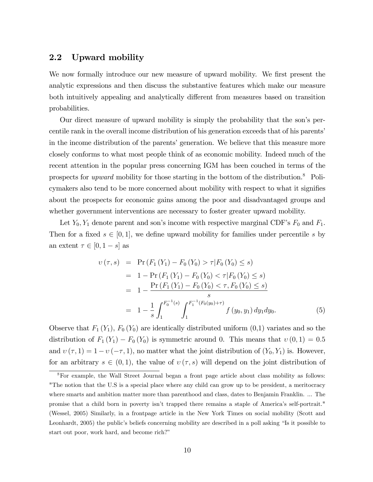# 2.2 Upward mobility

We now formally introduce our new measure of upward mobility. We first present the analytic expressions and then discuss the substantive features which make our measure both intuitively appealing and analytically different from measures based on transition probabilities.

Our direct measure of upward mobility is simply the probability that the sonís percentile rank in the overall income distribution of his generation exceeds that of his parents' in the income distribution of the parents' generation. We believe that this measure more closely conforms to what most people think of as economic mobility. Indeed much of the recent attention in the popular press concerning IGM has been couched in terms of the prospects for *upward* mobility for those starting in the bottom of the distribution.<sup>8</sup> Policymakers also tend to be more concerned about mobility with respect to what it signifies about the prospects for economic gains among the poor and disadvantaged groups and whether government interventions are necessary to foster greater upward mobility.

Let  $Y_0, Y_1$  denote parent and son's income with respective marginal CDF's  $F_0$  and  $F_1$ . Then for a fixed  $s \in [0, 1]$ , we define upward mobility for families under percentile s by an extent  $\tau \in [0, 1-s]$  as

$$
v(\tau, s) = \Pr(F_1(Y_1) - F_0(Y_0) > \tau | F_0(Y_0) \le s)
$$
  
= 1 - \Pr(F\_1(Y\_1) - F\_0(Y\_0) < \tau | F\_0(Y\_0) \le s)  
= 1 - \frac{\Pr(F\_1(Y\_1) - F\_0(Y\_0) < \tau, F\_0(Y\_0) \le s)}{s}  
= 1 - \frac{1}{s} \int\_1^{F\_0^{-1}(s)} \int\_1^{F\_1^{-1}(F\_0(y\_0) + \tau)} f(y\_0, y\_1) dy\_1 dy\_0. (5)

Observe that  $F_1(Y_1)$ ,  $F_0(Y_0)$  are identically distributed uniform  $(0,1)$  variates and so the distribution of  $F_1(Y_1) - F_0(Y_0)$  is symmetric around 0. This means that  $v(0, 1) = 0.5$ and  $v(\tau, 1) = 1 - v(-\tau, 1)$ , no matter what the joint distribution of  $(Y_0, Y_1)$  is. However, for an arbitrary  $s \in (0, 1)$ , the value of  $v(\tau, s)$  will depend on the joint distribution of

<sup>8</sup>For example, the Wall Street Journal began a front page article about class mobility as follows: "The notion that the U.S is a special place where any child can grow up to be president, a meritocracy where smarts and ambition matter more than parenthood and class, dates to Benjamin Franklin. ... The promise that a child born in poverty isnít trapped there remains a staple of Americaís self-portrait." (Wessel, 2005) Similarly, in a frontpage article in the New York Times on social mobility (Scott and Leonhardt, 2005) the public's beliefs concerning mobility are described in a poll asking "Is it possible to start out poor, work hard, and become rich?"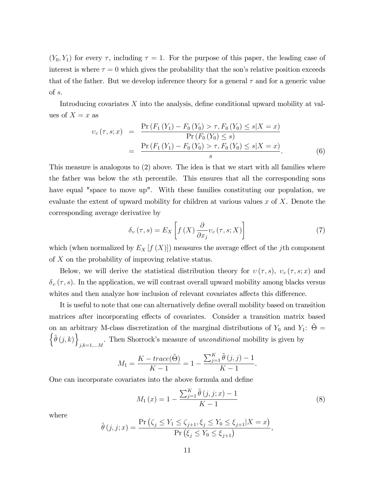$(Y_0, Y_1)$  for every  $\tau$ , including  $\tau = 1$ . For the purpose of this paper, the leading case of interest is where  $\tau = 0$  which gives the probability that the son's relative position exceeds that of the father. But we develop inference theory for a general  $\tau$  and for a generic value of s.

Introducing covariates  $X$  into the analysis, define conditional upward mobility at values of  $X = x$  as

$$
v_c(\tau, s; x) = \frac{\Pr(F_1(Y_1) - F_0(Y_0) > \tau, F_0(Y_0) \le s | X = x)}{\Pr(F_0(Y_0) \le s)} \\
= \frac{\Pr(F_1(Y_1) - F_0(Y_0) > \tau, F_0(Y_0) \le s | X = x)}{s}.\n\tag{6}
$$

This measure is analogous to (2) above. The idea is that we start with all families where the father was below the sth percentile. This ensures that all the corresponding sons have equal "space to move up". With these families constituting our population, we evaluate the extent of upward mobility for children at various values  $x$  of  $X$ . Denote the corresponding average derivative by

$$
\delta_{v}(\tau,s) = E_{X}\left[f\left(X\right)\frac{\partial}{\partial x_{j}}v_{c}(\tau,s;X)\right]
$$
\n<sup>(7)</sup>

which (when normalized by  $E_X[f(X)]$ ) measures the average effect of the jth component of X on the probability of improving relative status.

Below, we will derive the statistical distribution theory for  $v(\tau, s)$ ,  $v_c(\tau, s; x)$  and  $\delta_v(\tau, s)$ . In the application, we will contrast overall upward mobility among blacks versus whites and then analyze how inclusion of relevant covariates affects this difference.

It is useful to note that one can alternatively define overall mobility based on transition matrices after incorporating effects of covariates. Consider a transition matrix based on an arbitrary M-class discretization of the marginal distributions of  $Y_0$  and  $Y_1$ :  $\tilde{\Theta} =$  $\left\{\tilde{\theta}(j,k)\right\}$  $j,k=1,...M$ . Then Shorrock's measure of *unconditional* mobility is given by

$$
M_1 = \frac{K - trace(\tilde{\Theta})}{K - 1} = 1 - \frac{\sum_{j=1}^{K} \tilde{\theta}(j, j) - 1}{K - 1}.
$$

One can incorporate covariates into the above formula and define

$$
M_1(x) = 1 - \frac{\sum_{j=1}^{K} \tilde{\theta}(j, j; x) - 1}{K - 1}
$$
\n(8)

where

$$
\tilde{\theta}(j, j; x) = \frac{\Pr\left(\zeta_j \le Y_1 \le \zeta_{j+1}, \xi_j \le Y_0 \le \xi_{j+1} | X = x\right)}{\Pr\left(\xi_j \le Y_0 \le \xi_{j+1}\right)},
$$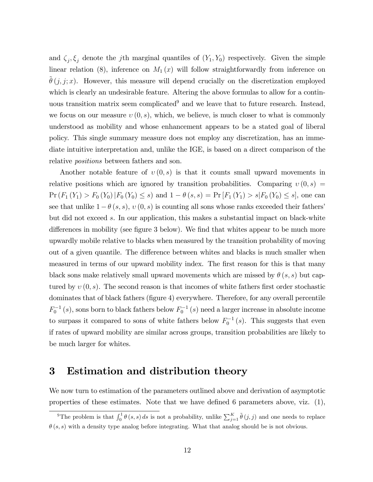and  $\zeta_j, \zeta_j$  denote the jth marginal quantiles of  $(Y_1, Y_0)$  respectively. Given the simple linear relation (8), inference on  $M_1(x)$  will follow straightforwardly from inference on  $\theta(j, j; x)$ . However, this measure will depend crucially on the discretization employed which is clearly an undesirable feature. Altering the above formulas to allow for a continuous transition matrix seem complicated<sup>9</sup> and we leave that to future research. Instead, we focus on our measure  $v(0, s)$ , which, we believe, is much closer to what is commonly understood as mobility and whose enhancement appears to be a stated goal of liberal policy. This single summary measure does not employ any discretization, has an immediate intuitive interpretation and, unlike the IGE, is based on a direct comparison of the relative *positions* between fathers and son.

Another notable feature of  $v(0, s)$  is that it counts small upward movements in relative positions which are ignored by transition probabilities. Comparing  $v(0, s)$  =  $Pr (F_1 (Y_1) > F_0 (Y_0) | F_0 (Y_0) \leq s)$  and  $1 - \theta (s, s) = Pr [F_1 (Y_1) > s | F_0 (Y_0) \leq s]$ , one can see that unlike  $1 - \theta(s, s)$ ,  $v(0, s)$  is counting all sons whose ranks exceeded their fathers<sup>i</sup> but did not exceed s. In our application, this makes a substantial impact on black-white differences in mobility (see figure 3 below). We find that whites appear to be much more upwardly mobile relative to blacks when measured by the transition probability of moving out of a given quantile. The difference between whites and blacks is much smaller when measured in terms of our upward mobility index. The first reason for this is that many black sons make relatively small upward movements which are missed by  $\theta(s, s)$  but captured by  $v(0, s)$ . The second reason is that incomes of white fathers first order stochastic dominates that of black fathers (figure 4) everywhere. Therefore, for any overall percentile  $F_0^{-1}(s)$ , sons born to black fathers below  $F_0^{-1}(s)$  need a larger increase in absolute income to surpass it compared to sons of white fathers below  $F_0^{-1}(s)$ . This suggests that even if rates of upward mobility are similar across groups, transition probabilities are likely to be much larger for whites.

# 3 Estimation and distribution theory

We now turn to estimation of the parameters outlined above and derivation of asymptotic properties of these estimates. Note that we have defined 6 parameters above, viz.  $(1)$ ,

<sup>&</sup>lt;sup>9</sup>The problem is that  $\int_0^1 \theta(s,s) ds$  is not a probability, unlike  $\sum_{j=1}^K \tilde{\theta}(j,j)$  and one needs to replace  $(\theta(s, s))$  with a density type analog before integrating. What that analog should be is not obvious.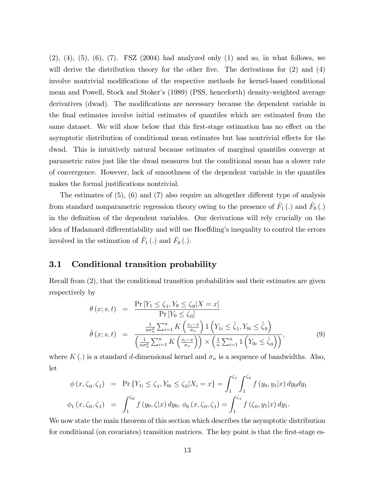$(2)$ ,  $(4)$ ,  $(5)$ ,  $(6)$ ,  $(7)$ . FSZ  $(2004)$  had analyzed only  $(1)$  and so, in what follows, we will derive the distribution theory for the other five. The derivations for  $(2)$  and  $(4)$ involve nontrivial modifications of the respective methods for kernel-based conditional mean and Powell, Stock and Stoker's (1989) (PSS, henceforth) density-weighted average derivatives (dwad). The modifications are necessary because the dependent variable in the Önal estimates involve initial estimates of quantiles which are estimated from the same dataset. We will show below that this first-stage estimation has no effect on the asymptotic distribution of conditional mean estimates but has nontrivial effects for the dwad. This is intuitively natural because estimates of marginal quantiles converge at parametric rates just like the dwad measures but the conditional mean has a slower rate of convergence. However, lack of smoothness of the dependent variable in the quantiles makes the formal justifications nontrivial.

The estimates of  $(5)$ ,  $(6)$  and  $(7)$  also require an altogether different type of analysis from standard nonparametric regression theory owing to the presence of  $\hat{F}_1(.)$  and  $\hat{F}_0(.)$ in the definition of the dependent variables. Our derivations will rely crucially on the idea of Hadamard differentiability and will use Hoeffding's inequality to control the errors involved in the estimation of  $\hat{F}_1(.)$  and  $\hat{F}_0(.)$ .

### 3.1 Conditional transition probability

Recall from  $(2)$ , that the conditional transition probabilities and their estimates are given respectively by

$$
\theta(x; s, t) = \frac{\Pr[Y_1 \le \zeta_1, Y_0 \le \zeta_0 | X = x]}{\Pr[Y_0 \le \zeta_0]} \n\hat{\theta}(x; s, t) = \frac{\frac{1}{n\sigma_n^d} \sum_{i=1}^n K\left(\frac{x_i - x}{\sigma_n}\right) \mathbb{1}\left(Y_{1i} \le \hat{\zeta}_1, Y_{0i} \le \hat{\zeta}_0\right)}{\left(\frac{1}{n\sigma_n^d} \sum_{i=1}^n K\left(\frac{x_i - x}{\sigma_n}\right)\right) \times \left(\frac{1}{n} \sum_{i=1}^n \mathbb{1}\left(Y_{0i} \le \hat{\zeta}_0\right)\right)},
$$
\n(9)

where  $K(.)$  is a standard d-dimensional kernel and  $\sigma_n$  is a sequence of bandwidths. Also, let

$$
\phi(x,\zeta_0,\zeta_1) = \Pr \{ Y_{1i} \le \zeta_1, Y_{0i} \le \zeta_0 | X_i = x \} = \int_1^{\zeta_1} \int_1^{\zeta_0} f(y_0, y_1 | x) dy_0 dy_1
$$
  

$$
\phi_1(x,\zeta_0,\zeta_1) = \int_1^{\zeta_0} f(y_0,\zeta | x) dy_0, \phi_0(x,\zeta_0,\zeta_1) = \int_1^{\zeta_1} f(\zeta_0, y_1 | x) dy_1.
$$

We now state the main theorem of this section which describes the asymptotic distribution for conditional (on covariates) transition matrices. The key point is that the first-stage es-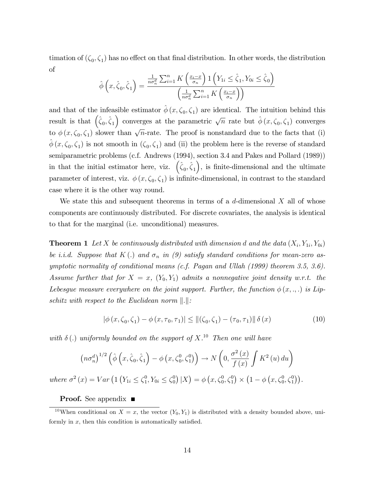timation of  $(\zeta_0, \zeta_1)$  has no effect on that final distribution. In other words, the distribution of

$$
\hat{\phi}\left(x,\hat{\zeta}_0,\hat{\zeta}_1\right) = \frac{\frac{1}{n\sigma_n^d} \sum_{i=1}^n K\left(\frac{x_i - x}{\sigma_n}\right) \mathbb{1}\left(Y_{1i} \leq \hat{\zeta}_1, Y_{0i} \leq \hat{\zeta}_0\right)}{\left(\frac{1}{n\sigma_n^d} \sum_{i=1}^n K\left(\frac{x_i - x}{\sigma_n}\right)\right)}
$$

and that of the infeasible estimator  $\hat{\phi}(x, \zeta_0, \zeta_1)$  are identical. The intuition behind this result is that  $(\hat{\zeta}_0, \hat{\zeta}_1)$  converges at the parametric  $\sqrt{n}$  rate but  $\hat{\phi}(x, \zeta_0, \zeta_1)$  converges to  $\phi(x,\zeta_0,\zeta_1)$  slower than  $\sqrt{n}$ -rate. The proof is nonstandard due to the facts that (i)  $\hat{\phi}(x,\zeta_0,\zeta_1)$  is not smooth in  $(\zeta_0,\zeta_1)$  and (ii) the problem here is the reverse of standard semiparametric problems (c.f. Andrews (1994), section 3.4 and Pakes and Pollard (1989)) in that the initial estimator here, viz.  $(\hat{\zeta}_0, \hat{\zeta}_1)$ , is finite-dimensional and the ultimate parameter of interest, viz.  $\phi(x, \zeta_0, \zeta_1)$  is infinite-dimensional, in contrast to the standard case where it is the other way round.

We state this and subsequent theorems in terms of a  $d$ -dimensional  $X$  all of whose components are continuously distributed. For discrete covariates, the analysis is identical to that for the marginal (i.e. unconditional) measures.

**Theorem 1** Let X be continuously distributed with dimension d and the data  $(X_i, Y_{1i}, Y_{0i})$ be i.i.d. Suppose that K(.) and  $\sigma_n$  in (9) satisfy standard conditions for mean-zero asymptotic normality of conditional means (c.f. Pagan and Ullah (1999) theorem 3.5, 3.6). Assume further that for  $X = x$ ,  $(Y_0, Y_1)$  admits a nonnegative joint density w.r.t. the Lebesgue measure everywhere on the joint support. Further, the function  $\phi(x, \ldots)$  is Lipschitz with respect to the Euclidean norm  $\Vert . \Vert$ :

$$
|\phi(x,\zeta_0,\zeta_1) - \phi(x,\tau_0,\tau_1)| \le ||(\zeta_0,\zeta_1) - (\tau_0,\tau_1)|| \delta(x)
$$
\n(10)

with  $\delta(.)$  uniformly bounded on the support of  $X$ .<sup>10</sup> Then one will have

$$
(n\sigma_n^d)^{1/2} \left( \hat{\phi} \left( x, \hat{\zeta}_0, \hat{\zeta}_1 \right) - \phi \left( x, \zeta_0^0, \zeta_1^0 \right) \right) \to N \left( 0, \frac{\sigma^2(x)}{f(x)} \int K^2(u) \, du \right)
$$
  

$$
\sigma^2(x) = Var \left( 1 \left( Y_{1i} \le \zeta_1^0, Y_{0i} \le \zeta_0^0 \right) | X \right) = \phi \left( x, \zeta_0^0, \zeta_1^0 \right) \times \left( 1 - \phi \left( x, \zeta_0^0, \zeta_1^0 \right) \right).
$$

#### **Proof.** See appendix ■

where

<sup>&</sup>lt;sup>10</sup>When conditional on  $X = x$ , the vector  $(Y_0, Y_1)$  is distributed with a density bounded above, uniformly in  $x$ , then this condition is automatically satisfied.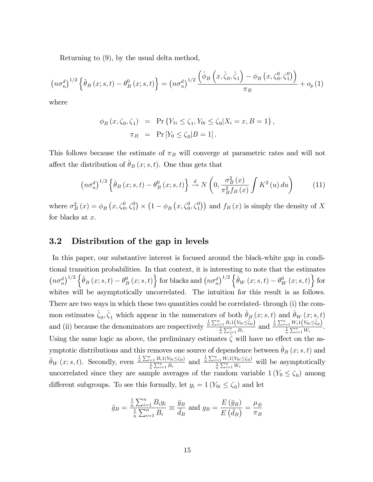Returning to (9), by the usual delta method,

$$
\left(n\sigma_n^d\right)^{1/2}\left\{\hat{\theta}_B\left(x;s,t\right)-\theta_B^0\left(x;s,t\right)\right\}=\left(n\sigma_n^d\right)^{1/2}\frac{\left(\hat{\phi}_B\left(x,\hat{\zeta}_0,\hat{\zeta}_1\right)-\phi_B\left(x,\zeta_0^0,\zeta_1^0\right)\right)}{\pi_B}+o_p\left(1\right)
$$

where

$$
\phi_B(x, \zeta_0, \zeta_1) = \Pr \{ Y_{1i} \le \zeta_1, Y_{0i} \le \zeta_0 | X_i = x, B = 1 \},
$$
  

$$
\pi_B = \Pr [Y_0 \le \zeta_0 | B = 1].
$$

This follows because the estimate of  $\pi_B$  will converge at parametric rates and will not affect the distribution of  $\hat{\theta}_B (x; s, t)$ . One thus gets that

$$
\left(n\sigma_n^d\right)^{1/2}\left\{\hat{\theta}_B\left(x;s,t\right)-\theta_B^0\left(x;s,t\right)\right\} \stackrel{d}{\rightarrow} N\left(0,\frac{\sigma_B^2\left(x\right)}{\pi_B^2f_B\left(x\right)}\int K^2\left(u\right)du\right) \tag{11}
$$

where  $\sigma_B^2(x) = \phi_B(x, \zeta_0^0, \zeta_1^0) \times (1 - \phi_B(x, \zeta_0^0, \zeta_1^0))$  and  $f_B(x)$  is simply the density of X for blacks at  $x$ .

### 3.2 Distribution of the gap in levels

In this paper, our substantive interest is focused around the black-white gap in conditional transition probabilities. In that context, it is interesting to note that the estimates  $\left(n\sigma_n^d\right)^{1/2}\left\{\hat{\theta}_B\left(x;s,t\right)-\theta_B^0\left(x;s,t\right)\right\}$  for blacks and  $\left(n\sigma_n^d\right)^{1/2}\left\{\hat{\theta}_W\left(x;s,t\right)-\theta_W^0\left(x;s,t\right)\right\}$  for whites will be asymptotically uncorrelated. The intuition for this result is as follows. There are two ways in which these two quantities could be correlated- through (i) the common estimates  $\hat{\zeta}_0, \hat{\zeta}_1$  which appear in the numerators of both  $\hat{\theta}_B (x; s, t)$  and  $\hat{\theta}_W (x; s, t)$ and (ii) because the denominators are respectively  $\frac{\frac{1}{n}\sum_{i=1}^{n}B_{i}1(Y_{0i}\leq \hat{\zeta}_{0})}{\frac{1}{n}\sum_{i=1}^{n}B_{i}}$  and  $\frac{\frac{1}{n}\sum_{i=1}^{n}W_{i}1(Y_{0i}\leq \hat{\zeta}_{0})}{\frac{1}{n}\sum_{i=1}^{n}W_{i}}$ . Using the same logic as above, the preliminary estimates  $\zeta$  will have no effect on the asymptotic distributions and this removes one source of dependence between  $\hat{\theta}_B \left(x; s, t\right)$  and  $\hat{\theta}_W(x; s, t)$ . Secondly, even  $\frac{\frac{1}{n}\sum_{i=1}^n B_i 1(Y_{0i} \leq \zeta_0)}{\frac{1}{n}\sum_{i=1}^n B_i}$  and  $\frac{\frac{1}{n}\sum_{i=1}^n W_i 1(Y_{0i} \leq \zeta_0)}{\frac{1}{n}\sum_{i=1}^n W_i}$  will be asymptotically uncorrelated since they are sample averages of the random variable  $1(Y_0 \le \zeta_0)$  among different subgroups. To see this formally, let  $y_i = 1$  ( $Y_{0i} \le \zeta_0$ ) and let

$$
\hat{g}_B = \frac{\frac{1}{n} \sum_{i=1}^n B_i y_i}{\frac{1}{n} \sum_{i=1}^n B_i} \equiv \frac{\bar{y}_B}{\bar{d}_B}
$$
 and  $g_B = \frac{E(\bar{y}_B)}{E(\bar{d}_B)} = \frac{\mu_B}{\pi_B}$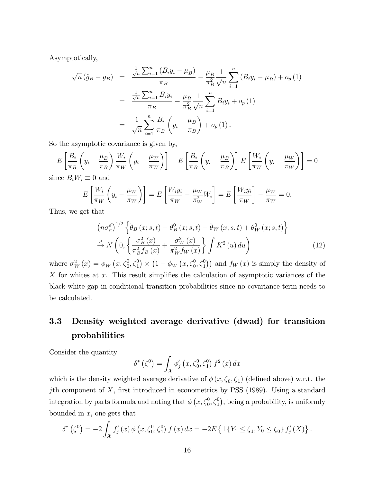Asymptotically,

$$
\sqrt{n}(\hat{g}_B - g_B) = \frac{\frac{1}{\sqrt{n}} \sum_{i=1}^n (B_i y_i - \mu_B)}{\pi_B} - \frac{\mu_B}{\pi_B^2} \frac{1}{\sqrt{n}} \sum_{i=1}^n (B_i y_i - \mu_B) + o_p(1)
$$
  

$$
= \frac{\frac{1}{\sqrt{n}} \sum_{i=1}^n B_i y_i}{\pi_B} - \frac{\mu_B}{\pi_B^2} \frac{1}{\sqrt{n}} \sum_{i=1}^n B_i y_i + o_p(1)
$$
  

$$
= \frac{1}{\sqrt{n}} \sum_{i=1}^n \frac{B_i}{\pi_B} \left( y_i - \frac{\mu_B}{\pi_B} \right) + o_p(1).
$$

So the asymptotic covariance is given by,

$$
E\left[\frac{B_i}{\pi_B}\left(y_i - \frac{\mu_B}{\pi_B}\right)\frac{W_i}{\pi_W}\left(y_i - \frac{\mu_W}{\pi_W}\right)\right] - E\left[\frac{B_i}{\pi_B}\left(y_i - \frac{\mu_B}{\pi_B}\right)\right]E\left[\frac{W_i}{\pi_W}\left(y_i - \frac{\mu_W}{\pi_W}\right)\right] = 0
$$

since  $B_i W_i \equiv 0$  and

$$
E\left[\frac{W_i}{\pi_W}\left(y_i - \frac{\mu_W}{\pi_W}\right)\right] = E\left[\frac{W_i y_i}{\pi_W} - \frac{\mu_W}{\pi_W^2} W_i\right] = E\left[\frac{W_i y_i}{\pi_W}\right] - \frac{\mu_W}{\pi_W} = 0.
$$

Thus, we get that

$$
\left(n\sigma_n^d\right)^{1/2} \left\{\hat{\theta}_B\left(x;s,t\right) - \theta_B^0\left(x;s,t\right) - \hat{\theta}_W\left(x;s,t\right) + \theta_W^0\left(x;s,t\right)\right\}
$$

$$
\stackrel{d}{\rightarrow} N\left(0, \left\{\frac{\sigma_B^2\left(x\right)}{\pi_B^2 f_B\left(x\right)} + \frac{\sigma_W^2\left(x\right)}{\pi_W^2 f_W\left(x\right)}\right\} \int K^2\left(u\right) du\right) \tag{12}
$$

where  $\sigma_W^2(x) = \phi_W(x, \zeta_0^0, \zeta_1^0) \times (1 - \phi_W(x, \zeta_0^0, \zeta_1^0))$  and  $f_W(x)$  is simply the density of X for whites at x. This result simplifies the calculation of asymptotic variances of the black-white gap in conditional transition probabilities since no covariance term needs to be calculated.

# 3.3 Density weighted average derivative (dwad) for transition probabilities

Consider the quantity

$$
\delta^*\left(\zeta^0\right) = \int_{\mathcal{X}} \phi'_j\left(x, \zeta_0^0, \zeta_1^0\right) f^2\left(x\right) dx
$$

which is the density weighted average derivative of  $\phi(x, \zeta_0, \zeta_1)$  (defined above) w.r.t. the jth component of  $X$ , first introduced in econometrics by PSS (1989). Using a standard integration by parts formula and noting that  $\phi\left(x, \zeta_0^0, \zeta_1^0\right)$ , being a probability, is uniformly bounded in  $x$ , one gets that

$$
\delta^*\left(\zeta^0\right) = -2\int_{\mathcal{X}} f'_j(x)\,\phi\left(x,\zeta_0^0,\zeta_1^0\right)f\left(x\right)dx = -2E\left\{1\left\{Y_1 \leq \zeta_1, Y_0 \leq \zeta_0\right\} f'_j\left(X\right)\right\}.
$$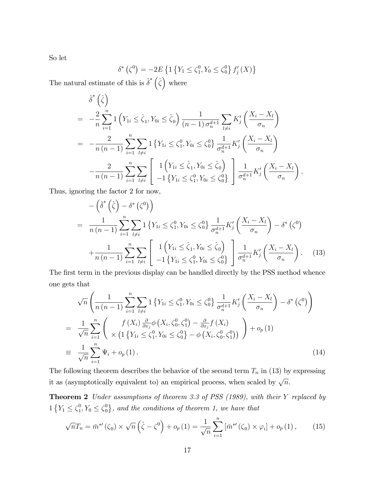So let

$$
\delta^* (\zeta^0) = -2E \left\{ 1 \left\{ Y_1 \le \zeta_1^0, Y_0 \le \zeta_0^0 \right\} f'_j (X) \right\}
$$

The natural estimate of this is  $\hat{\delta}^* (\hat{\zeta})$  where

$$
\hat{\delta}^*\left(\hat{\zeta}\right)
$$
\n
$$
= -\frac{2}{n} \sum_{i=1}^n \left( Y_{1i} \le \hat{\zeta}_1, Y_{0i} \le \hat{\zeta}_0 \right) \frac{1}{(n-1)\sigma_n^{d+1}} \sum_{l \ne i} K'_j \left( \frac{X_i - X_l}{\sigma_n} \right)
$$
\n
$$
= -\frac{2}{n(n-1)} \sum_{i=1}^n \sum_{l \ne i} \left( Y_{1i} \le \zeta_1^0, Y_{0i} \le \zeta_0^0 \right) \frac{1}{\sigma_n^{d+1}} K'_j \left( \frac{X_i - X_l}{\sigma_n} \right)
$$
\n
$$
- \frac{2}{n(n-1)} \sum_{i=1}^n \sum_{l \ne i} \left[ \frac{1}{1 + \left( Y_{1i} \le \hat{\zeta}_1, Y_{0i} \le \hat{\zeta}_0 \right)}{1 + \left( Y_{1i} \le \hat{\zeta}_1^0, Y_{0i} \le \hat{\zeta}_0^0 \right)} \right] \frac{1}{\sigma_n^{d+1}} K'_j \left( \frac{X_i - X_l}{\sigma_n} \right)
$$

Thus, ignoring the factor 2 for now,

$$
-\left(\hat{\delta}^*\left(\hat{\zeta}\right) - \delta^*\left(\zeta^0\right)\right)
$$
\n
$$
= \frac{1}{n(n-1)} \sum_{i=1}^n \sum_{l \neq i} 1 \left\{ Y_{1i} \leq \zeta_1^0, Y_{0i} \leq \zeta_0^0 \right\} \frac{1}{\sigma_n^{d+1}} K_j' \left( \frac{X_i - X_l}{\sigma_n} \right) - \delta^*\left(\zeta^0\right)
$$
\n
$$
+ \frac{1}{n(n-1)} \sum_{i=1}^n \sum_{l \neq i} \left[ 1 \left( Y_{1i} \leq \hat{\zeta}_1, Y_{0i} \leq \hat{\zeta}_0 \right) \right] \frac{1}{\sigma_n^{d+1}} K_j' \left( \frac{X_i - X_l}{\sigma_n} \right). \quad (13)
$$

.

The first term in the previous display can be handled directly by the PSS method whence one gets that

$$
\sqrt{n}\left(\frac{1}{n(n-1)}\sum_{i=1}^{n}\sum_{l\neq i}1\left\{Y_{1i}\leq\zeta_{1}^{0},Y_{0i}\leq\zeta_{0}^{0}\right\}\frac{1}{\sigma_{n}^{d+1}}K'_{j}\left(\frac{X_{i}-X_{l}}{\sigma_{n}}\right)-\delta^{*}\left(\zeta^{0}\right)\right)
$$
\n
$$
=\frac{1}{\sqrt{n}}\sum_{i=1}^{n}\left(\frac{f(X_{i})\frac{\partial}{\partial x_{j}}\phi\left(X_{i},\zeta_{0}^{0},\zeta_{1}^{0}\right)-\frac{\partial}{\partial x_{j}}f(X_{i})}{\times\left(1\left\{Y_{1i}\leq\zeta_{1}^{0},Y_{0i}\leq\zeta_{0}^{0}\right\}-\phi\left(X_{i},\zeta_{0}^{0},\zeta_{1}^{0}\right)\right)}\right)+o_{p}\left(1\right)
$$
\n
$$
\equiv\frac{1}{\sqrt{n}}\sum_{i=1}^{n}\Psi_{i}+o_{p}\left(1\right).
$$
\n(14)

The following theorem describes the behavior of the second term  $T_n$  in (13) by expressing it as (asymptotically equivalent to) an empirical process, when scaled by  $\sqrt{n}$ .

Theorem 2 Under assumptions of theorem 3.3 of PSS (1989), with their Y replaced by  $1\{Y_1 \leq \zeta_1^0\}$  $_1^0, Y_0 \leq \zeta_0^0$  $\{0\,\}$ , and the conditions of theorem 1, we have that

$$
\sqrt{n}T_n = \bar{m}^{*'}(\zeta_0) \times \sqrt{n} \left(\hat{\zeta} - \zeta^0\right) + o_p(1) = \frac{1}{\sqrt{n}} \sum_{i=1}^n \left[\bar{m}^{*'}(\zeta_0) \times \varphi_i\right] + o_p(1), \quad (15)
$$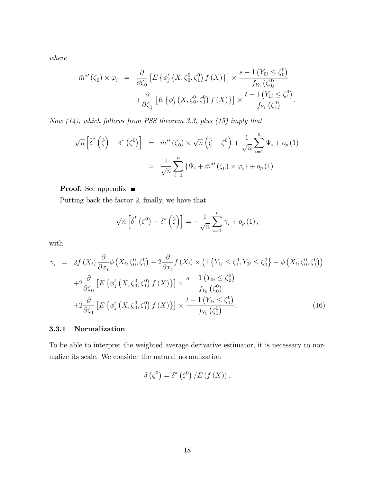where

$$
\bar{m}^{*'}(\zeta_0) \times \varphi_i = \frac{\partial}{\partial \zeta_0} \left[ E \left\{ \phi_j' \left( X, \zeta_0^0, \zeta_1^0 \right) f(X) \right\} \right] \times \frac{s - 1 \left( Y_{0i} \le \zeta_0^0 \right)}{f_{Y_0} \left( \zeta_0^0 \right)} + \frac{\partial}{\partial \zeta_1} \left[ E \left\{ \phi_j' \left( X, \zeta_0^0, \zeta_1^0 \right) f(X) \right\} \right] \times \frac{t - 1 \left( Y_{1i} \le \zeta_1^0 \right)}{f_{Y_1} \left( \zeta_1^0 \right)}.
$$

Now  $(14)$ , which follows from PSS theorem 3.3, plus  $(15)$  imply that

$$
\sqrt{n}\left[\hat{\delta}^*\left(\hat{\zeta}\right) - \delta^*\left(\zeta^0\right)\right] = \bar{m}^{*\prime}\left(\zeta_0\right) \times \sqrt{n}\left(\hat{\zeta} - \zeta^0\right) + \frac{1}{\sqrt{n}}\sum_{i=1}^n \Psi_i + o_p\left(1\right)
$$

$$
= \frac{1}{\sqrt{n}}\sum_{i=1}^n \left\{\Psi_i + \bar{m}^{*\prime}\left(\zeta_0\right) \times \varphi_i\right\} + o_p\left(1\right).
$$

**Proof.** See appendix ■

Putting back the factor 2, finally, we have that

$$
\sqrt{n}\left[\hat{\delta}^*\left(\zeta^0\right)-\delta^*\left(\hat{\zeta}\right)\right]=-\frac{1}{\sqrt{n}}\sum_{i=1}^n\gamma_i+o_p\left(1\right),\,
$$

with

$$
\gamma_{i} = 2f(X_{i}) \frac{\partial}{\partial x_{j}} \phi \left(X_{i}, \zeta_{0}^{0}, \zeta_{1}^{0}\right) - 2 \frac{\partial}{\partial x_{j}} f(X_{i}) \times \left(1 \left\{Y_{1i} \leq \zeta_{1}^{0}, Y_{0i} \leq \zeta_{0}^{0}\right\} - \phi \left(X_{i}, \zeta_{0}^{0}, \zeta_{1}^{0}\right)\right) + 2 \frac{\partial}{\partial \zeta_{0}} \left[E \left\{ \phi_{j}'\left(X, \zeta_{0}^{0}, \zeta_{1}^{0}\right) f(X)\right\}\right] \times \frac{s - 1 \left(Y_{0i} \leq \zeta_{0}^{0}\right)}{f_{Y_{0}}\left(\zeta_{0}^{0}\right)} + 2 \frac{\partial}{\partial \zeta_{1}} \left[E \left\{ \phi_{j}'\left(X, \zeta_{0}^{0}, \zeta_{1}^{0}\right) f(X)\right\}\right] \times \frac{t - 1 \left(Y_{1i} \leq \zeta_{1}^{0}\right)}{f_{Y_{1}}\left(\zeta_{1}^{0}\right)}.
$$
\n(16)

### 3.3.1 Normalization

To be able to interpret the weighted average derivative estimator, it is necessary to normalize its scale. We consider the natural normalization

$$
\delta\left(\zeta^{0}\right)=\delta^{*}\left(\zeta^{0}\right)/E\left(f\left(X\right)\right).
$$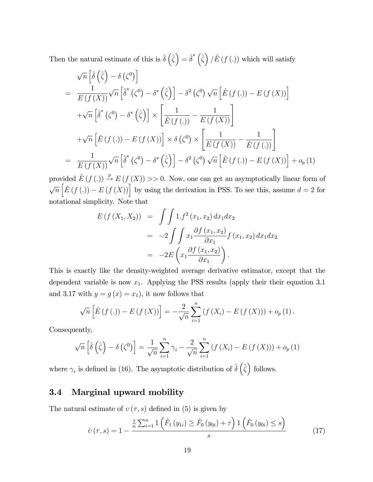Then the natural estimate of this is  $\hat{\delta}(\hat{\zeta}) = \hat{\delta}^* (\hat{\zeta}) / \hat{E}(f(.))$  which will satisfy

$$
\sqrt{n} \left[ \hat{\delta} \left( \hat{\zeta} \right) - \delta \left( \zeta^{0} \right) \right]
$$
\n
$$
= \frac{1}{E(f(X))} \sqrt{n} \left[ \hat{\delta}^{*} \left( \zeta^{0} \right) - \delta^{*} \left( \hat{\zeta} \right) \right] - \delta^{2} \left( \zeta^{0} \right) \sqrt{n} \left[ \hat{E} \left( f \left( . \right) \right) - E \left( f \left( X \right) \right) \right]
$$
\n
$$
+ \sqrt{n} \left[ \hat{\delta}^{*} \left( \zeta^{0} \right) - \delta^{*} \left( \hat{\zeta} \right) \right] \times \left[ \frac{1}{\hat{E} \left( f \left( . \right) \right)} - \frac{1}{E \left( f \left( X \right) \right)} \right]
$$
\n
$$
+ \sqrt{n} \left[ \hat{E} \left( f \left( . \right) \right) - E \left( f \left( X \right) \right) \right] \times \delta \left( \zeta^{0} \right) \times \left[ \frac{1}{E \left( f \left( X \right) \right)} - \frac{1}{\hat{E} \left( f \left( . \right) \right)} \right]
$$
\n
$$
= \frac{1}{E \left( f \left( X \right) \right)} \sqrt{n} \left[ \hat{\delta}^{*} \left( \zeta^{0} \right) - \delta^{*} \left( \hat{\zeta} \right) \right] - \delta^{2} \left( \zeta^{0} \right) \sqrt{n} \left[ \hat{E} \left( f \left( . \right) \right) - E \left( f \left( X \right) \right) \right] + o_{p} \left( 1 \right)
$$

provided  $\hat{E} (f (.) \overset{p}{\rightarrow} E (f (X)) >> 0$ . Now, one can get an asymptotically linear form of  $\sqrt{n}\left[\hat{E}\left(f\left(. \right)\right) - E\left(f\left(X\right)\right)\right]$  by using the derivation in PSS. To see this, assume  $d = 2$  for notational simplicity. Note that

$$
E(f(X_1, X_2)) = \int \int 1.f^2(x_1, x_2) dx_1 dx_2
$$
  
=  $-2 \int \int x_1 \frac{\partial f(x_1, x_2)}{\partial x_1} f(x_1, x_2) dx_1 dx_2$   
=  $-2E \left( x_1 \frac{\partial f(x_1, x_2)}{\partial x_1} \right).$ 

This is exactly like the density-weighted average derivative estimator, except that the dependent variable is now  $x_1$ . Applying the PSS results (apply their their equation 3.1) and 3.17 with  $y = g(x) = x_1$ , it now follows that

$$
\sqrt{n}\left[\hat{E}(f(.)) - E(f(X))\right] = -\frac{2}{\sqrt{n}} \sum_{i=1}^{n} (f(X_i) - E(f(X))) + o_p(1).
$$

Consequently,

$$
\sqrt{n}\left[\hat{\delta}\left(\hat{\zeta}\right) - \delta\left(\zeta^0\right)\right] = \frac{1}{\sqrt{n}}\sum_{i=1}^n \gamma_i - \frac{2}{\sqrt{n}}\sum_{i=1}^n \left(f\left(X_i\right) - E\left(f\left(X\right)\right)\right) + o_p\left(1\right)
$$

where  $\gamma_i$  is defined in (16). The asymptotic distribution of  $\hat{\delta}(\hat{\zeta})$  follows.

### 3.4 Marginal upward mobility

The natural estimate of  $v(\tau, s)$  defined in (5) is given by

$$
\hat{v}(\tau,s) = 1 - \frac{\frac{1}{n}\sum_{i=1}^{n} \mathbb{1}\left(\hat{F}_1(y_{1i}) \ge \hat{F}_0(y_{0i}) + \tau\right) \mathbb{1}\left(\hat{F}_0(y_{0i}) \le s\right)}{s} \tag{17}
$$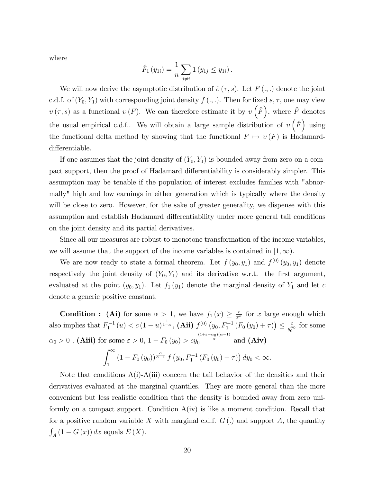where

$$
\hat{F}_1(y_{1i}) = \frac{1}{n} \sum_{j \neq i} 1(y_{1j} \leq y_{1i}).
$$

We will now derive the asymptotic distribution of  $\hat{v}(\tau, s)$ . Let  $F (., .)$  denote the joint c.d.f. of  $(Y_0, Y_1)$  with corresponding joint density  $f(.)$ . Then for fixed s,  $\tau$ , one may view  $v(\tau, s)$  as a functional  $v(F)$ . We can therefore estimate it by  $v(\hat{F})$ , where  $\hat{F}$  denotes the usual empirical c.d.f.. We will obtain a large sample distribution of  $v(\hat{F})$  using the functional delta method by showing that the functional  $F \mapsto v(F)$  is Hadamarddifferentiable.

If one assumes that the joint density of  $(Y_0, Y_1)$  is bounded away from zero on a compact support, then the proof of Hadamard differentiability is considerably simpler. This assumption may be tenable if the population of interest excludes families with "abnormally" high and low earnings in either generation which is typically where the density will be close to zero. However, for the sake of greater generality, we dispense with this assumption and establish Hadamard differentiability under more general tail conditions on the joint density and its partial derivatives.

Since all our measures are robust to monotone transformation of the income variables, we will assume that the support of the income variables is contained in  $[1,\infty)$ .

We are now ready to state a formal theorem. Let  $f(y_0, y_1)$  and  $f^{(0)}(y_0, y_1)$  denote respectively the joint density of  $(Y_0, Y_1)$  and its derivative w.r.t. the first argument, evaluated at the point  $(y_0, y_1)$ . Let  $f_1(y_1)$  denote the marginal density of  $Y_1$  and let c denote a generic positive constant.

**Condition :** (Ai) for some  $\alpha > 1$ , we have  $f_1(x) \geq \frac{c}{x^{\alpha}}$  for x large enough which also implies that  $F_1^{-1}(u) < c (1-u)^{\frac{1}{1-\alpha}}$ , (Aii)  $f^{(0)}(y_0, F_1^{-1}(F_0(y_0) + \tau)) \leq \frac{c}{y_0^{\alpha}}$  $rac{c}{y_0^{\alpha_0}}$  for some  $\alpha_0 > 0$  , (Aiii) for some  $\varepsilon > 0$ ,  $1 - F_0(y_0) > cy_0^{\frac{(1+\varepsilon-\alpha_0)(\alpha-1)}{\alpha}}$  and (Aiv)

$$
\int_{1}^{\infty} (1 - F_0(y_0))^{\frac{\alpha}{\alpha - 1}} f(y_0, F_1^{-1} (F_0(y_0) + \tau)) dy_0 < \infty.
$$

Note that conditions  $A(i)$ - $A(iii)$  concern the tail behavior of the densities and their derivatives evaluated at the marginal quantiles. They are more general than the more convenient but less realistic condition that the density is bounded away from zero uniformly on a compact support. Condition  $A(iv)$  is like a moment condition. Recall that for a positive random variable X with marginal c.d.f.  $G(.)$  and support A, the quantity  $\int_A (1 - G(x)) dx$  equals  $E(X)$ .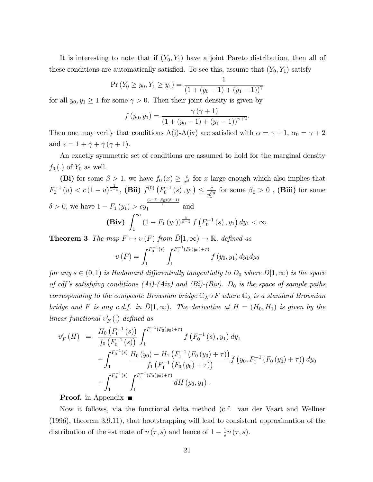It is interesting to note that if  $(Y_0, Y_1)$  have a joint Pareto distribution, then all of these conditions are automatically satisfied. To see this, assume that  $(Y_0, Y_1)$  satisfy

$$
\Pr(Y_0 \ge y_0, Y_1 \ge y_1) = \frac{1}{(1 + (y_0 - 1) + (y_1 - 1))^\gamma}
$$

for all  $y_0, y_1 \ge 1$  for some  $\gamma > 0$ . Then their joint density is given by

$$
f(y_0, y_1) = \frac{\gamma (\gamma + 1)}{(1 + (y_0 - 1) + (y_1 - 1))^{\gamma + 2}}.
$$

Then one may verify that conditions A(i)-A(iv) are satisfied with  $\alpha = \gamma + 1$ ,  $\alpha_0 = \gamma + 2$ and  $\varepsilon = 1 + \gamma + \gamma (\gamma + 1)$ .

An exactly symmetric set of conditions are assumed to hold for the marginal density  $f_0(.)$  of  $Y_0$  as well.

(Bi) for some  $\beta > 1$ , we have  $f_0(x) \geq \frac{c}{x^{\beta}}$  for x large enough which also implies that  $F_0^{-1}\left(u\right) < c \left(1-u\right)^{\frac{1}{1-\beta}}, \, (\mathbf{Bii}) \,\, f^{(0)}\left(F_0^{-1}\left(s\right), y_1\right) \leq \frac{c}{y_1^{\beta}}$  $\frac{c}{y_1^{\sigma_0}}$  for some  $\beta_0 > 0$  , (Biii) for some  $\delta > 0$ , we have  $1 - F_1(y_1) > cy$  $\frac{\frac{(1+\delta-\beta_0)(\beta-1)}{\beta}}{1}$  and (Biv)  $\int_{-\infty}^{\infty}$  $\int_{1}^{\infty} (1 - F_1(y_1))^{\frac{\beta}{\beta - 1}} f(F_0^{-1}(s), y_1) dy_1 < \infty.$ 

**Theorem 3** The map  $F \mapsto v(F)$  from  $\overline{D}[1,\infty) \to \mathbb{R}$ , defined as

$$
v(F) = \int_{1}^{F_0^{-1}(s)} \int_{1}^{F_1^{-1}(F_0(y_0) + \tau)} f(y_0, y_1) dy_1 dy_0
$$

for any  $s \in (0, 1)$  is Hadamard differentially tangentially to  $D_0$  where  $D[1,\infty)$  is the space of cdf's satisfying conditions (Ai)-(Aiv) and (Bi)-(Biv).  $D_0$  is the space of sample paths corresponding to the composite Brownian bridge  $\mathbb{G}_{\lambda} \circ F$  where  $\mathbb{G}_{\lambda}$  is a standard Brownian bridge and F is any c.d.f. in  $\overline{D}[1,\infty)$ . The derivative at  $H = (H_0, H_1)$  is given by the  $linear\ functional\ v_F'(.)\ defined\ as$ 

$$
v'_{F}(H) = \frac{H_{0}\left(F_{0}^{-1}(s)\right)}{f_{0}\left(F_{0}^{-1}(s)\right)} \int_{1}^{F_{1}^{-1}(F_{0}(y_{0})+\tau)} f\left(F_{0}^{-1}(s), y_{1}\right) dy_{1} + \int_{1}^{F_{0}^{-1}(s)} \frac{H_{0}\left(y_{0}\right) - H_{1}\left(F_{1}^{-1}\left(F_{0}\left(y_{0}\right)+\tau\right)\right)}{f_{1}\left(F_{1}^{-1}\left(F_{0}\left(y_{0}\right)+\tau\right)\right)} f\left(y_{0}, F_{1}^{-1}\left(F_{0}\left(y_{0}\right)+\tau\right)\right) dy_{0} + \int_{1}^{F_{0}^{-1}(s)} \int_{1}^{F_{1}^{-1}(F_{0}(y_{0})+\tau)} dH\left(y_{0}, y_{1}\right).
$$

**Proof.** in Appendix  $\blacksquare$ 

Now it follows, via the functional delta method (c.f. van der Vaart and Wellner (1996), theorem 3.9.11), that bootstrapping will lead to consistent approximation of the distribution of the estimate of  $v(\tau, s)$  and hence of  $1 - \frac{1}{s}$  $\frac{1}{s}\nu(\tau,s).$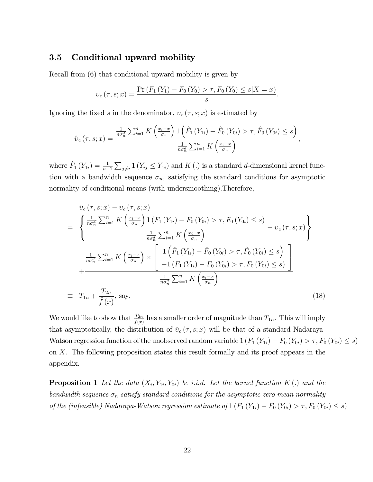### 3.5 Conditional upward mobility

Recall from (6) that conditional upward mobility is given by

$$
v_c(\tau, s; x) = \frac{\Pr(F_1(Y_1) - F_0(Y_0) > \tau, F_0(Y_0) \le s | X = x)}{s}.
$$

Ignoring the fixed s in the denominator,  $v_c(\tau, s; x)$  is estimated by

$$
\hat{v}_c(\tau,s;x) = \frac{\frac{1}{n\sigma_n^d} \sum_{i=1}^n K\left(\frac{x_i - x}{\sigma_n}\right) \mathbb{1}\left(\hat{F}_1\left(Y_{1i}\right) - \hat{F}_0\left(Y_{0i}\right) > \tau, \hat{F}_0\left(Y_{0i}\right) \leq s\right)}{\frac{1}{n\sigma_n^d} \sum_{i=1}^n K\left(\frac{x_i - x}{\sigma_n}\right)},
$$

where  $\hat{F}_1(Y_{1i}) = \frac{1}{n-1}$  $\sum_{j\neq i} 1(Y_{ij} \leq Y_{1i})$  and K(.) is a standard d-dimensional kernel function with a bandwidth sequence  $\sigma_n$ , satisfying the standard conditions for asymptotic normality of conditional means (with undersmoothing).Therefore,

$$
\hat{v}_{c}(\tau, s; x) - v_{c}(\tau, s; x) \n= \left\{ \frac{\frac{1}{n\sigma_{n}^{d}} \sum_{i=1}^{n} K\left(\frac{x_{i}-x}{\sigma_{n}}\right) \mathbb{1}\left(F_{1}\left(Y_{1i}\right) - F_{0}\left(Y_{0i}\right) > \tau, F_{0}\left(Y_{0i}\right) \leq s\right)}{\frac{1}{n\sigma_{n}^{d}} \sum_{i=1}^{n} K\left(\frac{x_{i}-x}{\sigma_{n}}\right)} - v_{c}(\tau, s; x) \right\} \n= \frac{\frac{1}{n\sigma_{n}^{d}} \sum_{i=1}^{n} K\left(\frac{x_{i}-x}{\sigma_{n}}\right) \times \left[\frac{\mathbb{1}\left(\hat{F}_{1}\left(Y_{1i}\right) - \hat{F}_{0}\left(Y_{0i}\right) > \tau, \hat{F}_{0}\left(Y_{0i}\right) \leq s\right)}{-\mathbb{1}\left(F_{1}\left(Y_{1i}\right) - F_{0}\left(Y_{0i}\right) > \tau, F_{0}\left(Y_{0i}\right) \leq s\right)}\right] \n+ \frac{\frac{1}{n\sigma_{n}^{d}} \sum_{i=1}^{n} K\left(\frac{x_{i}-x}{\sigma_{n}}\right)}{\frac{1}{n\sigma_{n}^{d}} \sum_{i=1}^{n} K\left(\frac{x_{i}-x}{\sigma_{n}}\right)} \tag{18}
$$

We would like to show that  $\frac{T_{2n}}{\hat{f}(x)}$  has a smaller order of magnitude than  $T_{1n}$ . This will imply that asymptotically, the distribution of  $\hat{v}_c (\tau, s; x)$  will be that of a standard Nadaraya-Watson regression function of the unobserved random variable  $1 (F_1 (Y_{1i}) - F_0 (Y_{0i}) > \tau, F_0 (Y_{0i}) \leq s)$ on X. The following proposition states this result formally and its proof appears in the appendix.

**Proposition 1** Let the data  $(X_i, Y_{1i}, Y_{0i})$  be i.i.d. Let the kernel function K(.) and the bandwidth sequence  $\sigma_n$  satisfy standard conditions for the asymptotic zero mean normality of the (infeasible) Nadaraya-Watson regression estimate of  $1 (F_1 (Y_{1i}) - F_0 (Y_{0i}) > \tau, F_0 (Y_{0i}) \leq s)$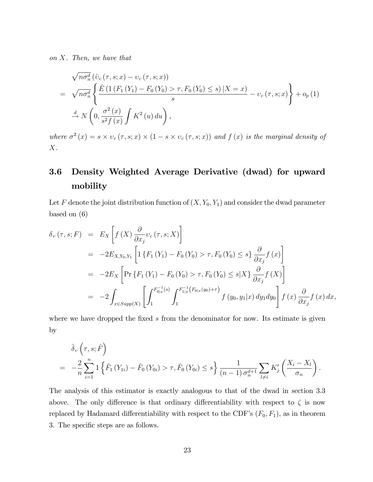on X. Then, we have that

$$
\sqrt{n\sigma_n^d} \left( \hat{v}_c \left( \tau, s; x \right) - v_c \left( \tau, s; x \right) \right)
$$
\n
$$
= \sqrt{n\sigma_n^d} \left\{ \frac{\hat{E} \left( 1 \left( F_1 \left( Y_1 \right) - F_0 \left( Y_0 \right) > \tau, F_0 \left( Y_0 \right) \le s \right) \middle| X = x \right)}{s} - v_c \left( \tau, s; x \right) \right\} + o_p \left( 1 \right)
$$
\n
$$
\stackrel{d}{\rightarrow} N \left( 0, \frac{\sigma^2 \left( x \right)}{s^2 f \left( x \right)} \int K^2 \left( u \right) du \right),
$$

where  $\sigma^2(x) = s \times v_c(\tau, s; x) \times (1 - s \times v_c(\tau, s; x))$  and  $f(x)$  is the marginal density of  $X$ .

# 3.6 Density Weighted Average Derivative (dwad) for upward mobility

Let F denote the joint distribution function of  $(X, Y_0, Y_1)$  and consider the dwad parameter based on (6)

$$
\delta_{v}(\tau,s;F) = E_{X}\left[f(X)\frac{\partial}{\partial x_{j}}v_{c}(\tau,s;X)\right]
$$
  
\n
$$
= -2E_{X,Y_{0},Y_{1}}\left[1\left\{F_{1}(Y_{1}) - F_{0}(Y_{0}) > \tau, F_{0}(Y_{0}) \leq s\right\}\frac{\partial}{\partial x_{j}}f(x)\right]
$$
  
\n
$$
= -2E_{X}\left[\Pr\left\{F_{1}(Y_{1}) - F_{0}(Y_{0}) > \tau, F_{0}(Y_{0}) \leq s|X\right\}\frac{\partial}{\partial x_{j}}f(X)\right]
$$
  
\n
$$
= -2\int_{x \in Supp(X)}\left[\int_{1}^{F_{0|x}^{-1}(s)} \int_{1}^{F_{1|x}^{-1}(F_{0|x}(y_{0})+\tau)} f(y_{0}, y_{1}|x) dy_{1}dy_{0}\right]f(x)\frac{\partial}{\partial x_{j}}f(x) dx,
$$

where we have dropped the fixed s from the denominator for now. Its estimate is given by

$$
\hat{\delta}_{v} \left( \tau, s; \hat{F} \right)
$$
\n
$$
= -\frac{2}{n} \sum_{i=1}^{n} \left\{ \hat{F}_{1} \left( Y_{1i} \right) - \hat{F}_{0} \left( Y_{0i} \right) > \tau, \hat{F}_{0} \left( Y_{0i} \right) \leq s \right\} \frac{1}{(n-1) \sigma_{n}^{d+1}} \sum_{l \neq i} K_{j} \left( \frac{X_{i} - X_{l}}{\sigma_{n}} \right).
$$

The analysis of this estimator is exactly analogous to that of the dwad in section 3.3 above. The only difference is that ordinary differentiability with respect to  $\zeta$  is now replaced by Hadamard differentiability with respect to the CDF's  $(F_0, F_1)$ , as in theorem 3. The specific steps are as follows.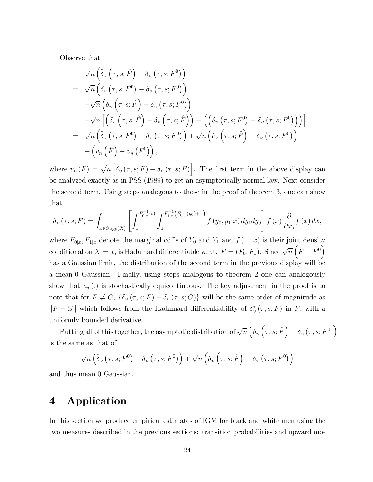Observe that

$$
\sqrt{n}\left(\hat{\delta}_{v}\left(\tau,s;\hat{F}\right)-\delta_{v}\left(\tau,s;F^{0}\right)\right) \n= \sqrt{n}\left(\hat{\delta}_{v}\left(\tau,s;F^{0}\right)-\delta_{v}\left(\tau,s;F^{0}\right)\right) \n+ \sqrt{n}\left(\delta_{v}\left(\tau,s;\hat{F}\right)-\delta_{v}\left(\tau,s;F^{0}\right)\right) \n+ \sqrt{n}\left[\left(\hat{\delta}_{v}\left(\tau,s;\hat{F}\right)-\delta_{v}\left(\tau,s;\hat{F}\right)\right)-\left(\left(\hat{\delta}_{v}\left(\tau,s;F^{0}\right)-\delta_{v}\left(\tau,s;F^{0}\right)\right)\right)\right] \n= \sqrt{n}\left(\hat{\delta}_{v}\left(\tau,s;F^{0}\right)-\delta_{v}\left(\tau,s;F^{0}\right)\right)+\sqrt{n}\left(\delta_{v}\left(\tau,s;\hat{F}\right)-\delta_{v}\left(\tau,s;F^{0}\right)\right) \n+ \left(v_{n}\left(\hat{F}\right)-v_{n}\left(F^{0}\right)\right),
$$

where  $v_n(F) = \sqrt{n} \left[ \hat{\delta}_v(\tau, s; F) - \delta_v(\tau, s; F) \right]$ . The first term in the above display can be analyzed exactly as in PSS (1989) to get an asymptotically normal law. Next consider the second term. Using steps analogous to those in the proof of theorem 3, one can show that

$$
\delta_{v}(\tau,s;F) = \int_{x \in Supp(X)} \left[ \int_{1}^{F_{0|x}^{-1}(s)} \int_{1}^{F_{1|x}^{-1}(F_{0|x}(y_0)+\tau)} f(y_0,y_1|x) dy_1 dy_0 \right] f(x) \frac{\partial}{\partial x_j} f(x) dx,
$$

where  $F_{0|x}, F_{1|x}$  denote the marginal cdf's of  $Y_0$  and  $Y_1$  and  $f(.)$ ,  $|x\rangle$  is their joint density conditional on  $X = x$ , is Hadamard differentiable w.r.t.  $F = (F_0, F_1)$ . Since  $\sqrt{n}(\hat{F} - F_0)$ has a Gaussian limit, the distribution of the second term in the previous display will be a mean-0 Gaussian. Finally, using steps analogous to theorem 2 one can analogously show that  $v_n(.)$  is stochastically equicontinuous. The key adjustment in the proof is to note that for  $F \neq G$ ,  $\{\delta_v(\tau, s; F) - \delta_v(\tau, s; G)\}\$  will be the same order of magnitude as  $||F - G||$  which follows from the Hadamard differentiability of  $\delta_v^* (\tau, s; F)$  in F, with a uniformly bounded derivative.

Putting all of this together, the asymptotic distribution of  $\sqrt{n} \left( \hat{\delta}_v \left( \tau, s; \hat{F} \right) - \delta_v \left( \tau, s; F^0 \right) \right)$ is the same as that of

$$
\sqrt{n}\left(\hat{\delta}_{v}\left(\tau,s;F^{0}\right)-\delta_{v}\left(\tau,s;F^{0}\right)\right)+\sqrt{n}\left(\delta_{v}\left(\tau,s;\hat{F}\right)-\delta_{v}\left(\tau,s;F^{0}\right)\right)
$$

and thus mean 0 Gaussian.

# 4 Application

In this section we produce empirical estimates of IGM for black and white men using the two measures described in the previous sections: transition probabilities and upward mo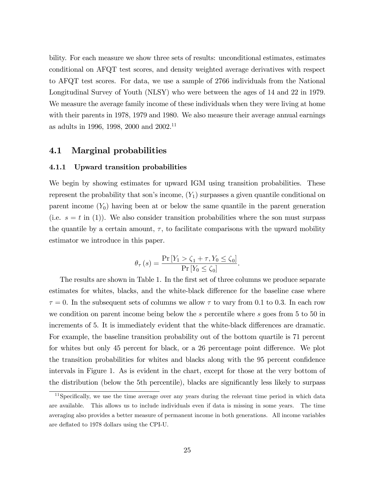bility. For each measure we show three sets of results: unconditional estimates, estimates conditional on AFQT test scores, and density weighted average derivatives with respect to AFQT test scores. For data, we use a sample of 2766 individuals from the National Longitudinal Survey of Youth (NLSY) who were between the ages of 14 and 22 in 1979. We measure the average family income of these individuals when they were living at home with their parents in 1978, 1979 and 1980. We also measure their average annual earnings as adults in 1996, 1998, 2000 and 2002.<sup>11</sup>

### 4.1 Marginal probabilities

#### 4.1.1 Upward transition probabilities

We begin by showing estimates for upward IGM using transition probabilities. These represent the probability that son's income,  $(Y_1)$  surpasses a given quantile conditional on parent income  $(Y_0)$  having been at or below the same quantile in the parent generation (i.e.  $s = t$  in (1)). We also consider transition probabilities where the son must surpass the quantile by a certain amount,  $\tau$ , to facilitate comparisons with the upward mobility estimator we introduce in this paper.

$$
\theta_{\tau}(s) = \frac{\Pr\left[Y_1 > \zeta_1 + \tau, Y_0 \leq \zeta_0\right]}{\Pr\left[Y_0 \leq \zeta_0\right]}.
$$

The results are shown in Table 1. In the first set of three columns we produce separate estimates for whites, blacks, and the white-black difference for the baseline case where  $\tau = 0$ . In the subsequent sets of columns we allow  $\tau$  to vary from 0.1 to 0.3. In each row we condition on parent income being below the s percentile where s goes from 5 to 50 in increments of 5. It is immediately evident that the white-black differences are dramatic. For example, the baseline transition probability out of the bottom quartile is 71 percent for whites but only 45 percent for black, or a 26 percentage point difference. We plot the transition probabilities for whites and blacks along with the 95 percent confidence intervals in Figure 1. As is evident in the chart, except for those at the very bottom of the distribution (below the 5th percentile), blacks are significantly less likely to surpass

<sup>&</sup>lt;sup>11</sup>Specifically, we use the time average over any years during the relevant time period in which data are available. This allows us to include individuals even if data is missing in some years. The time averaging also provides a better measure of permanent income in both generations. All income variables are deáated to 1978 dollars using the CPI-U.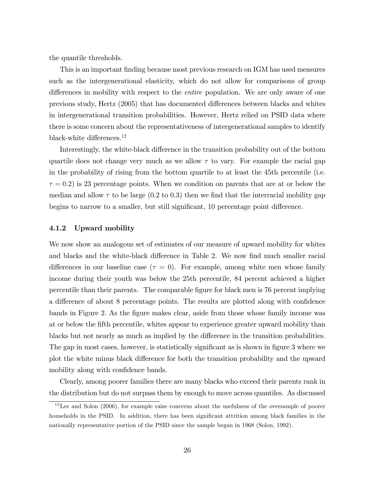the quantile thresholds.

This is an important Önding because most previous research on IGM has used measures such as the intergenerational elasticity, which do not allow for comparisons of group differences in mobility with respect to the *entire* population. We are only aware of one previous study, Hertz (2005) that has documented differences between blacks and whites in intergenerational transition probabilities. However, Hertz relied on PSID data where there is some concern about the representativeness of intergenerational samples to identify black-white differences.<sup>12</sup>

Interestingly, the white-black difference in the transition probability out of the bottom quartile does not change very much as we allow  $\tau$  to vary. For example the racial gap in the probability of rising from the bottom quartile to at least the 45th percentile (i.e.  $\tau = 0.2$ ) is 23 percentage points. When we condition on parents that are at or below the median and allow  $\tau$  to be large (0.2 to 0.3) then we find that the interracial mobility gap begins to narrow to a smaller, but still significant, 10 percentage point difference.

#### 4.1.2 Upward mobility

We now show an analogous set of estimates of our measure of upward mobility for whites and blacks and the white-black difference in Table 2. We now find much smaller racial differences in our baseline case ( $\tau = 0$ ). For example, among white men whose family income during their youth was below the 25th percentile, 84 percent achieved a higher percentile than their parents. The comparable Ögure for black men is 76 percent implying a difference of about 8 percentage points. The results are plotted along with confidence bands in Figure 2. As the figure makes clear, aside from those whose family income was at or below the Öfth percentile, whites appear to experience greater upward mobility than blacks but not nearly as much as implied by the difference in the transition probabilities. The gap in most cases, however, is statistically significant as is shown in figure 3 where we plot the white minus black difference for both the transition probability and the upward mobility along with confidence bands.

Clearly, among poorer families there are many blacks who exceed their parents rank in the distribution but do not surpass them by enough to move across quantiles. As discussed

<sup>&</sup>lt;sup>12</sup>Lee and Solon (2006), for example raise concerns about the usefulness of the oversample of poorer households in the PSID. In addition, there has been significant attrition among black families in the nationally representative portion of the PSID since the sample began in 1968 (Solon, 1992).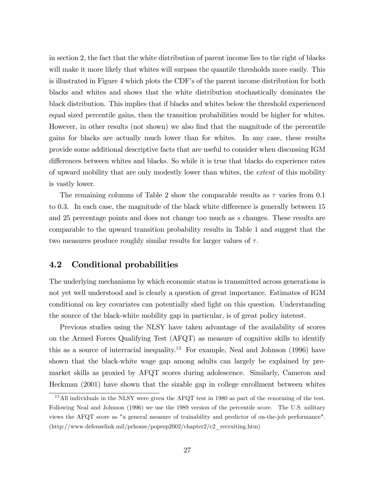in section 2, the fact that the white distribution of parent income lies to the right of blacks will make it more likely that whites will surpass the quantile thresholds more easily. This is illustrated in Figure 4 which plots the CDF's of the parent income distribution for both blacks and whites and shows that the white distribution stochastically dominates the black distribution. This implies that if blacks and whites below the threshold experienced equal sized percentile gains, then the transition probabilities would be higher for whites. However, in other results (not shown) we also find that the magnitude of the percentile gains for blacks are actually much lower than for whites. In any case, these results provide some additional descriptive facts that are useful to consider when discussing IGM differences between whites and blacks. So while it is true that blacks do experience rates of upward mobility that are only modestly lower than whites, the extent of this mobility is vastly lower.

The remaining columns of Table 2 show the comparable results as  $\tau$  varies from 0.1 to  $0.3$ . In each case, the magnitude of the black white difference is generally between  $15$ and 25 percentage points and does not change too much as s changes. These results are comparable to the upward transition probability results in Table 1 and suggest that the two measures produce roughly similar results for larger values of  $\tau$ .

### 4.2 Conditional probabilities

The underlying mechanisms by which economic status is transmitted across generations is not yet well understood and is clearly a question of great importance. Estimates of IGM conditional on key covariates can potentially shed light on this question. Understanding the source of the black-white mobility gap in particular, is of great policy interest.

Previous studies using the NLSY have taken advantage of the availability of scores on the Armed Forces Qualifying Test (AFQT) as measure of cognitive skills to identify this as a source of interracial inequality.<sup>13</sup> For example, Neal and Johnson (1996) have shown that the black-white wage gap among adults can largely be explained by premarket skills as proxied by AFQT scores during adolescence. Similarly, Cameron and Heckman (2001) have shown that the sizable gap in college enrollment between whites

<sup>&</sup>lt;sup>13</sup>All individuals in the NLSY were given the AFQT test in 1980 as part of the renorming of the test. Following Neal and Johnson (1996) we use the 1989 version of the percentile score. The U.S. military views the AFQT score as "a general measure of trainability and predictor of on-the-job performance". (http://www.defenselink.mil/prhome/poprep2002/chapter2/c2\_recruiting.htm)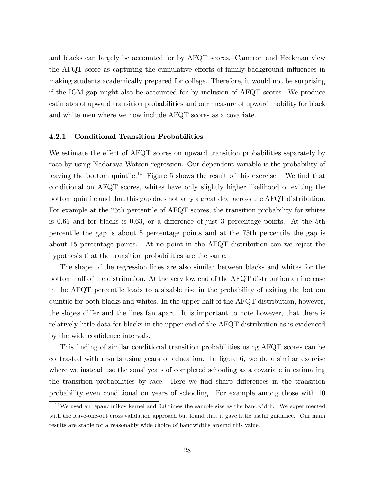and blacks can largely be accounted for by AFQT scores. Cameron and Heckman view the AFQT score as capturing the cumulative effects of family background influences in making students academically prepared for college. Therefore, it would not be surprising if the IGM gap might also be accounted for by inclusion of AFQT scores. We produce estimates of upward transition probabilities and our measure of upward mobility for black and white men where we now include AFQT scores as a covariate.

#### 4.2.1 Conditional Transition Probabilities

We estimate the effect of AFQT scores on upward transition probabilities separately by race by using Nadaraya-Watson regression. Our dependent variable is the probability of leaving the bottom quintile.<sup>14</sup> Figure 5 shows the result of this exercise. We find that conditional on AFQT scores, whites have only slightly higher likelihood of exiting the bottom quintile and that this gap does not vary a great deal across the AFQT distribution. For example at the 25th percentile of AFQT scores, the transition probability for whites is 0.65 and for blacks is 0.63, or a difference of just 3 percentage points. At the 5th percentile the gap is about 5 percentage points and at the 75th percentile the gap is about 15 percentage points. At no point in the AFQT distribution can we reject the hypothesis that the transition probabilities are the same.

The shape of the regression lines are also similar between blacks and whites for the bottom half of the distribution. At the very low end of the AFQT distribution an increase in the AFQT percentile leads to a sizable rise in the probability of exiting the bottom quintile for both blacks and whites. In the upper half of the AFQT distribution, however, the slopes differ and the lines fan apart. It is important to note however, that there is relatively little data for blacks in the upper end of the AFQT distribution as is evidenced by the wide confidence intervals.

This finding of similar conditional transition probabilities using AFQT scores can be contrasted with results using years of education. In figure 6, we do a similar exercise where we instead use the sons' years of completed schooling as a covariate in estimating the transition probabilities by race. Here we find sharp differences in the transition probability even conditional on years of schooling. For example among those with 10

 $14$ We used an Epanchnikov kernel and 0.8 times the sample size as the bandwidth. We experimented with the leave-one-out cross validation approach but found that it gave little useful guidance. Our main results are stable for a reasonably wide choice of bandwidths around this value.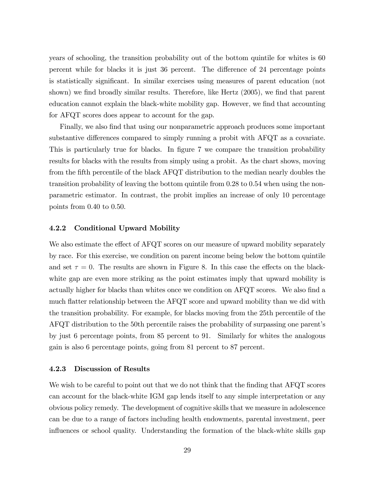years of schooling, the transition probability out of the bottom quintile for whites is 60 percent while for blacks it is just 36 percent. The difference of 24 percentage points is statistically significant. In similar exercises using measures of parent education (not shown) we find broadly similar results. Therefore, like Hertz  $(2005)$ , we find that parent education cannot explain the black-white mobility gap. However, we find that accounting for AFQT scores does appear to account for the gap.

Finally, we also find that using our nonparametric approach produces some important substantive differences compared to simply running a probit with AFQT as a covariate. This is particularly true for blacks. In figure 7 we compare the transition probability results for blacks with the results from simply using a probit. As the chart shows, moving from the Öfth percentile of the black AFQT distribution to the median nearly doubles the transition probability of leaving the bottom quintile from 0.28 to 0.54 when using the nonparametric estimator. In contrast, the probit implies an increase of only 10 percentage points from 0.40 to 0.50.

#### 4.2.2 Conditional Upward Mobility

We also estimate the effect of AFQT scores on our measure of upward mobility separately by race. For this exercise, we condition on parent income being below the bottom quintile and set  $\tau = 0$ . The results are shown in Figure 8. In this case the effects on the blackwhite gap are even more striking as the point estimates imply that upward mobility is actually higher for blacks than whites once we condition on AFQT scores. We also find a much flatter relationship between the AFQT score and upward mobility than we did with the transition probability. For example, for blacks moving from the 25th percentile of the AFQT distribution to the 50th percentile raises the probability of surpassing one parentís by just 6 percentage points, from 85 percent to 91. Similarly for whites the analogous gain is also 6 percentage points, going from 81 percent to 87 percent.

#### 4.2.3 Discussion of Results

We wish to be careful to point out that we do not think that the finding that  $AFGT$  scores can account for the black-white IGM gap lends itself to any simple interpretation or any obvious policy remedy. The development of cognitive skills that we measure in adolescence can be due to a range of factors including health endowments, parental investment, peer influences or school quality. Understanding the formation of the black-white skills gap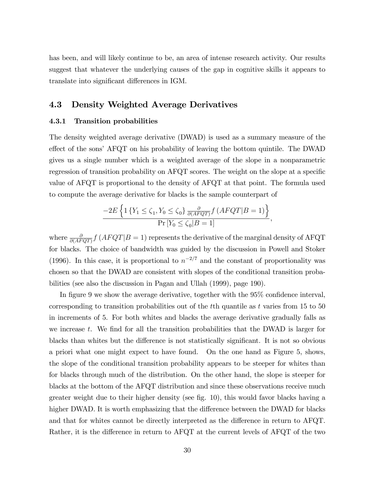has been, and will likely continue to be, an area of intense research activity. Our results suggest that whatever the underlying causes of the gap in cognitive skills it appears to translate into significant differences in IGM.

## 4.3 Density Weighted Average Derivatives

#### 4.3.1 Transition probabilities

The density weighted average derivative (DWAD) is used as a summary measure of the effect of the sons' AFQT on his probability of leaving the bottom quintile. The DWAD gives us a single number which is a weighted average of the slope in a nonparametric regression of transition probability on AFQT scores. The weight on the slope at a specific value of AFQT is proportional to the density of AFQT at that point. The formula used to compute the average derivative for blacks is the sample counterpart of

$$
\frac{-2E\left\{1\left\{Y_1 \leq \zeta_1, Y_0 \leq \zeta_0\right\} \frac{\partial}{\partial (AFQT)} f\left(AFQT|B=1\right)\right\}}{\Pr\left[Y_0 \leq \zeta_0 | B=1\right]},
$$

where  $\frac{\partial}{\partial (AFQT)} f (AFQT|B=1)$  represents the derivative of the marginal density of AFQT for blacks. The choice of bandwidth was guided by the discussion in Powell and Stoker (1996). In this case, it is proportional to  $n^{-2/7}$  and the constant of proportionality was chosen so that the DWAD are consistent with slopes of the conditional transition probabilities (see also the discussion in Pagan and Ullah (1999), page 190).

In figure 9 we show the average derivative, together with the  $95\%$  confidence interval, corresponding to transition probabilities out of the tth quantile as t varies from 15 to 50 in increments of 5. For both whites and blacks the average derivative gradually falls as we increase t. We find for all the transition probabilities that the DWAD is larger for blacks than whites but the difference is not statistically significant. It is not so obvious a priori what one might expect to have found. On the one hand as Figure 5, shows, the slope of the conditional transition probability appears to be steeper for whites than for blacks through much of the distribution. On the other hand, the slope is steeper for blacks at the bottom of the AFQT distribution and since these observations receive much greater weight due to their higher density (see fig. 10), this would favor blacks having a higher DWAD. It is worth emphasizing that the difference between the DWAD for blacks and that for whites cannot be directly interpreted as the difference in return to AFQT. Rather, it is the difference in return to  $\text{AFQT}$  at the current levels of  $\text{AFQT}$  of the two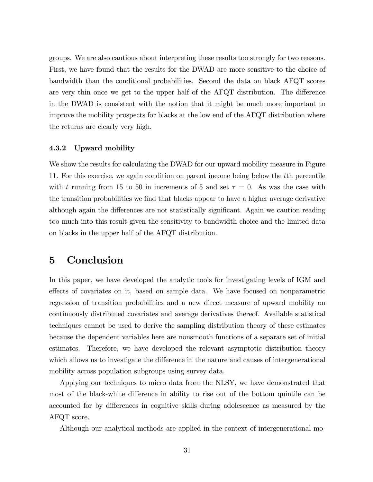groups. We are also cautious about interpreting these results too strongly for two reasons. First, we have found that the results for the DWAD are more sensitive to the choice of bandwidth than the conditional probabilities. Second the data on black AFQT scores are very thin once we get to the upper half of the  $AFGT$  distribution. The difference in the DWAD is consistent with the notion that it might be much more important to improve the mobility prospects for blacks at the low end of the AFQT distribution where the returns are clearly very high.

#### 4.3.2 Upward mobility

We show the results for calculating the DWAD for our upward mobility measure in Figure 11. For this exercise, we again condition on parent income being below the tth percentile with t running from 15 to 50 in increments of 5 and set  $\tau = 0$ . As was the case with the transition probabilities we find that blacks appear to have a higher average derivative although again the differences are not statistically significant. Again we caution reading too much into this result given the sensitivity to bandwidth choice and the limited data on blacks in the upper half of the AFQT distribution.

# 5 Conclusion

In this paper, we have developed the analytic tools for investigating levels of IGM and effects of covariates on it, based on sample data. We have focused on nonparametric regression of transition probabilities and a new direct measure of upward mobility on continuously distributed covariates and average derivatives thereof. Available statistical techniques cannot be used to derive the sampling distribution theory of these estimates because the dependent variables here are nonsmooth functions of a separate set of initial estimates. Therefore, we have developed the relevant asymptotic distribution theory which allows us to investigate the difference in the nature and causes of intergenerational mobility across population subgroups using survey data.

Applying our techniques to micro data from the NLSY, we have demonstrated that most of the black-white difference in ability to rise out of the bottom quintile can be accounted for by differences in cognitive skills during adolescence as measured by the AFQT score.

Although our analytical methods are applied in the context of intergenerational mo-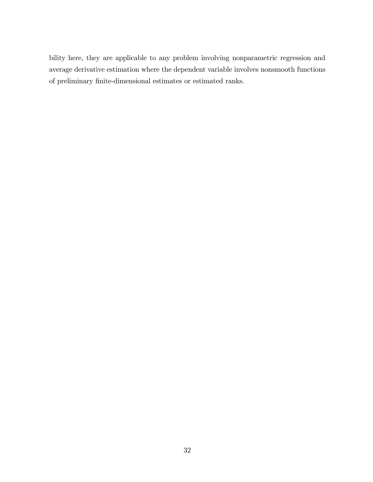bility here, they are applicable to any problem involving nonparametric regression and average derivative estimation where the dependent variable involves nonsmooth functions of preliminary Önite-dimensional estimates or estimated ranks.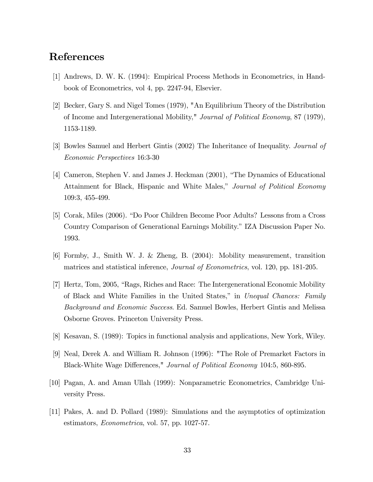# References

- [1] Andrews, D. W. K. (1994): Empirical Process Methods in Econometrics, in Handbook of Econometrics, vol 4, pp. 2247-94, Elsevier.
- [2] Becker, Gary S. and Nigel Tomes (1979), "An Equilibrium Theory of the Distribution of Income and Intergenerational Mobility," Journal of Political Economy, 87 (1979), 1153-1189.
- [3] Bowles Samuel and Herbert Gintis (2002) The Inheritance of Inequality. Journal of Economic Perspectives 16:3-30
- [4] Cameron, Stephen V. and James J. Heckman (2001), "The Dynamics of Educational Attainment for Black, Hispanic and White Males," Journal of Political Economy 109:3, 455-499.
- [5] Corak, Miles (2006). "Do Poor Children Become Poor Adults? Lessons from a Cross Country Comparison of Generational Earnings Mobility." IZA Discussion Paper No. 1993.
- [6] Formby, J., Smith W. J. & Zheng, B. (2004): Mobility measurement, transition matrices and statistical inference, Journal of Econometrics, vol. 120, pp. 181-205.
- [7] Hertz, Tom, 2005, "Rags, Riches and Race: The Intergenerational Economic Mobility of Black and White Families in the United States," in Unequal Chances: Family Background and Economic Success. Ed. Samuel Bowles, Herbert Gintis and Melissa Osborne Groves. Princeton University Press.
- [8] Kesavan, S. (1989): Topics in functional analysis and applications, New York, Wiley.
- [9] Neal, Derek A. and William R. Johnson (1996): "The Role of Premarket Factors in Black-White Wage Differences," Journal of Political Economy 104:5, 860-895.
- [10] Pagan, A. and Aman Ullah (1999): Nonparametric Econometrics, Cambridge University Press.
- [11] Pakes, A. and D. Pollard (1989): Simulations and the asymptotics of optimization estimators, Econometrica, vol. 57, pp. 1027-57.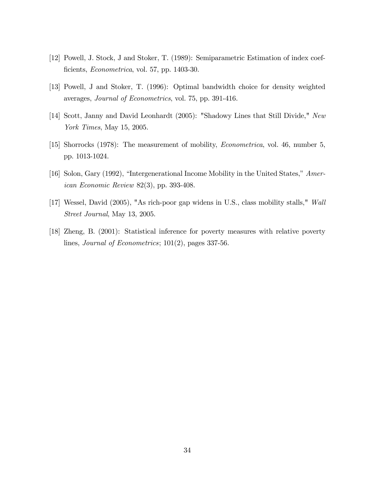- [12] Powell, J. Stock, J and Stoker, T. (1989): Semiparametric Estimation of index coefficients, *Econometrica*, vol. 57, pp. 1403-30.
- [13] Powell, J and Stoker, T. (1996): Optimal bandwidth choice for density weighted averages, Journal of Econometrics, vol. 75, pp. 391-416.
- [14] Scott, Janny and David Leonhardt (2005): "Shadowy Lines that Still Divide," New York Times, May 15, 2005.
- [15] Shorrocks (1978): The measurement of mobility, Econometrica, vol. 46, number 5, pp. 1013-1024.
- [16] Solon, Gary (1992), "Intergenerational Income Mobility in the United States," American Economic Review 82(3), pp. 393-408.
- [17] Wessel, David (2005), "As rich-poor gap widens in U.S., class mobility stalls," Wall Street Journal, May 13, 2005.
- [18] Zheng, B. (2001): Statistical inference for poverty measures with relative poverty lines, Journal of Econometrics; 101(2), pages 337-56.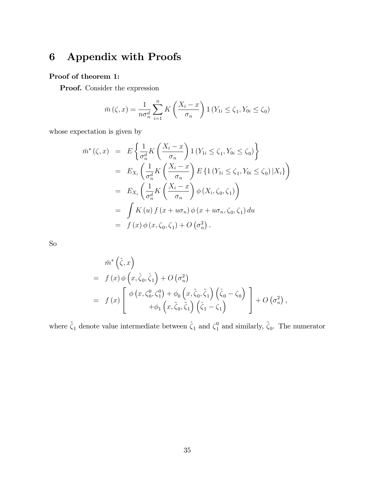# 6 Appendix with Proofs

## Proof of theorem 1:

Proof. Consider the expression

$$
\bar{m}\left(\zeta,x\right) = \frac{1}{n\sigma_n^d} \sum_{i=1}^n K\left(\frac{X_i - x}{\sigma_n}\right) \mathbf{1}\left(Y_{1i} \le \zeta_1, Y_{0i} \le \zeta_0\right)
$$

whose expectation is given by

$$
\begin{aligned}\n\bar{m}^*(\zeta, x) &= E\left\{\frac{1}{\sigma_n^d} K\left(\frac{X_i - x}{\sigma_n}\right) \mathbb{1}\left(Y_{1i} \le \zeta_1, Y_{0i} \le \zeta_0\right)\right\} \\
&= E_{X_i} \left(\frac{1}{\sigma_n^d} K\left(\frac{X_i - x}{\sigma_n}\right) E\left\{\mathbb{1}\left(Y_{1i} \le \zeta_1, Y_{0i} \le \zeta_0\right) | X_i\right\}\right) \\
&= E_{X_i} \left(\frac{1}{\sigma_n^d} K\left(\frac{X_i - x}{\sigma_n}\right) \phi\left(X_i, \zeta_0, \zeta_1\right)\right) \\
&= \int K(u) f(x + u\sigma_n) \phi\left(x + u\sigma_n, \zeta_0, \zeta_1\right) du \\
&= f(x) \phi\left(x, \zeta_0, \zeta_1\right) + O\left(\sigma_n^2\right).\n\end{aligned}
$$

So

$$
\bar{m}^*\left(\hat{\zeta},x\right)
$$
\n
$$
= f(x) \phi\left(x, \hat{\zeta}_0, \hat{\zeta}_1\right) + O\left(\sigma_n^2\right)
$$
\n
$$
= f(x) \left[ \begin{array}{c} \phi\left(x, \zeta_0^0, \zeta_1^0\right) + \phi_0\left(x, \tilde{\zeta}_0, \tilde{\zeta}_1\right) \left(\hat{\zeta}_0 - \zeta_0\right) \\ + \phi_1\left(x, \tilde{\zeta}_0, \tilde{\zeta}_1\right) \left(\hat{\zeta}_1 - \zeta_1\right) \end{array} \right] + O\left(\sigma_n^2\right),
$$

where  $\tilde{\zeta}_1$  denote value intermediate between  $\hat{\zeta}_1$  and  $\zeta_1^0$  and similarly,  $\tilde{\zeta}_0$ . The numerator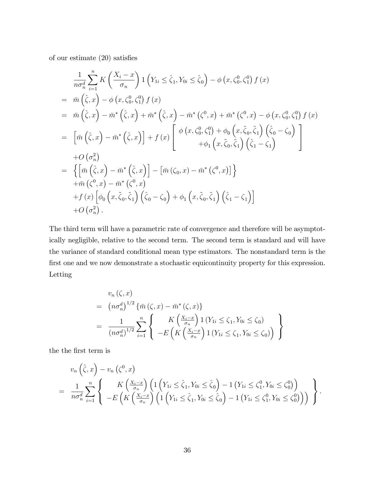of our estimate  $(20)$  satisfies

$$
\frac{1}{n\sigma_n^d} \sum_{i=1}^n K\left(\frac{X_i - x}{\sigma_n}\right) \mathbf{1} \left(Y_{1i} \leq \hat{\zeta}_1, Y_{0i} \leq \hat{\zeta}_0\right) - \phi\left(x, \zeta_0^0, \zeta_1^0\right) f\left(x\right) \n= \bar{m}\left(\hat{\zeta}, x\right) - \phi\left(x, \zeta_0^0, \zeta_1^0\right) f\left(x\right) \n= \bar{m}\left(\hat{\zeta}, x\right) - \bar{m}^*\left(\hat{\zeta}, x\right) + \bar{m}^*\left(\hat{\zeta}, x\right) - \bar{m}^*\left(\zeta^0, x\right) + \bar{m}^*\left(\zeta^0, x\right) - \phi\left(x, \zeta_0^0, \zeta_1^0\right) f\left(x\right) \n= \left[\bar{m}\left(\hat{\zeta}, x\right) - \bar{m}^*\left(\hat{\zeta}, x\right)\right] + f\left(x\right) \left[\begin{array}{c} \phi\left(x, \zeta_0^0, \zeta_1^0\right) + \phi_0\left(x, \tilde{\zeta}_0, \tilde{\zeta}_1\right) \left(\hat{\zeta}_0 - \zeta_0\right) \\ + \phi_1\left(x, \tilde{\zeta}_0, \tilde{\zeta}_1\right) \left(\hat{\zeta}_1 - \zeta_1\right) \end{array}\right] \n+ O\left(\sigma_n^2\right) \n= \left\{\left[\bar{m}\left(\hat{\zeta}, x\right) - \bar{m}^*\left(\hat{\zeta}, x\right)\right] - \left[\bar{m}\left(\zeta_0, x\right) - \bar{m}^*\left(\zeta^0, x\right)\right]\right\} \n+ \bar{m}\left(\zeta^0, x\right) - \bar{m}^*\left(\zeta^0, x\right) \n+ f\left(x\right) \left[\phi_0\left(x, \tilde{\zeta}_0, \tilde{\zeta}_1\right) \left(\hat{\zeta}_0 - \zeta_0\right) + \phi_1\left(x, \tilde{\zeta}_0, \tilde{\zeta}_1\right) \left(\hat{\zeta}_1 - \zeta_1\right)\right] \n+ O\left(\sigma_n^2\right).
$$

The third term will have a parametric rate of convergence and therefore will be asymptotically negligible, relative to the second term. The second term is standard and will have the variance of standard conditional mean type estimators. The nonstandard term is the first one and we now demonstrate a stochastic equicontinuity property for this expression. Letting

$$
v_n(\zeta, x)
$$
  
=  $(n\sigma_n^d)^{1/2} {\{\bar{m}(\zeta, x) - \bar{m}^*(\zeta, x)\}}$   
=  $\frac{1}{(n\sigma_n^d)^{1/2}} \sum_{i=1}^n \left\{ K\left(\frac{X_i - x}{\sigma_n}\right) 1(Y_{1i} \le \zeta_1, Y_{0i} \le \zeta_0) \right\}$   
=  $E\left(K\left(\frac{X_i - x}{\sigma_n}\right) 1(Y_{1i} \le \zeta_1, Y_{0i} \le \zeta_0)\right)\right\}$ 

the the first term is

$$
v_n(\hat{\zeta}, x) - v_n(\zeta^0, x)
$$
  
=  $\frac{1}{n\sigma_n^d} \sum_{i=1}^n \left\{ K\left(\frac{X_i - x}{\sigma_n}\right) \left(1\left(Y_{1i} \le \hat{\zeta}_1, Y_{0i} \le \hat{\zeta}_0\right) - 1\left(Y_{1i} \le \zeta_1^0, Y_{0i} \le \zeta_0^0\right) \right) - E\left(K\left(\frac{X_i - x}{\sigma_n}\right) \left(1\left(Y_{1i} \le \hat{\zeta}_1, Y_{0i} \le \hat{\zeta}_0\right) - 1\left(Y_{1i} \le \zeta_1^0, Y_{0i} \le \zeta_0^0\right)\right)\right) \right\}.$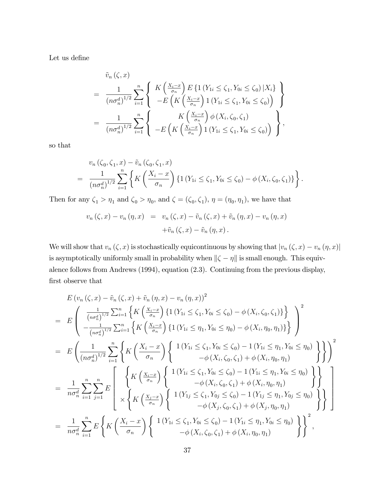Let us define

$$
\tilde{v}_n(\zeta, x) = \frac{1}{(n\sigma_n^d)^{1/2}} \sum_{i=1}^n \left\{ K\left(\frac{X_i - x}{\sigma_n}\right) E\left\{1\left(Y_{1i} \le \zeta_1, Y_{0i} \le \zeta_0\right) | X_i\right\} - E\left(K\left(\frac{X_i - x}{\sigma_n}\right) 1\left(Y_{1i} \le \zeta_1, Y_{0i} \le \zeta_0\right)\right) \right\}
$$
\n
$$
= \frac{1}{(n\sigma_n^d)^{1/2}} \sum_{i=1}^n \left\{ K\left(\frac{X_i - x}{\sigma_n}\right) \phi\left(X_i, \zeta_0, \zeta_1\right) - E\left(K\left(\frac{X_i - x}{\sigma_n}\right) 1\left(Y_{1i} \le \zeta_1, Y_{0i} \le \zeta_0\right)\right) \right\},
$$

so that

$$
v_n(\zeta_0, \zeta_1, x) - \tilde{v}_n(\zeta_0, \zeta_1, x)
$$
  
= 
$$
\frac{1}{(n\sigma_n^d)^{1/2}} \sum_{i=1}^n \left\{ K\left(\frac{X_i - x}{\sigma_n}\right) \{ 1 \left(Y_{1i} \le \zeta_1, Y_{0i} \le \zeta_0\right) - \phi\left(X_i, \zeta_0, \zeta_1\right) \} \right\}.
$$

Then for any  $\zeta_1 > \eta_1$  and  $\zeta_0 > \eta_0$ , and  $\zeta = (\zeta_0, \zeta_1)$ ,  $\eta = (\eta_0, \eta_1)$ , we have that

$$
v_n(\zeta, x) - v_n(\eta, x) = v_n(\zeta, x) - \tilde{v}_n(\zeta, x) + \tilde{v}_n(\eta, x) - v_n(\eta, x) + \tilde{v}_n(\zeta, x) - \tilde{v}_n(\eta, x).
$$

We will show that  $v_n(\zeta, x)$  is stochastically equicontinuous by showing that  $|v_n(\zeta, x) - v_n(\eta, x)|$ is asymptotically uniformly small in probability when  $\|\zeta - \eta\|$  is small enough. This equivalence follows from Andrews (1994), equation (2.3). Continuing from the previous display, first observe that

$$
E(v_n(\zeta, x) - \tilde{v}_n(\zeta, x) + \tilde{v}_n(\eta, x) - v_n(\eta, x))^2
$$
\n
$$
= E\left(\frac{1}{(\log_n^d)^{1/2}} \sum_{i=1}^n \left\{ K\left(\frac{X_i - x}{\sigma_n}\right) \{1(Y_{1i} \leq \zeta_1, Y_{0i} \leq \zeta_0) - \phi(X_i, \zeta_0, \zeta_1)\}\right\} \right)^2
$$
\n
$$
= E\left(\frac{1}{(\log_n^d)^{1/2}} \sum_{i=1}^n \left\{ K\left(\frac{X_i - x}{\sigma_n}\right) \{1(Y_{1i} \leq \eta_1, Y_{0i} \leq \eta_0) - \phi(X_i, \eta_0, \eta_1)\}\right\} \right)^2
$$
\n
$$
= E\left(\frac{1}{(\log_n^d)^{1/2}} \sum_{i=1}^n \left\{ K\left(\frac{X_i - x}{\sigma_n}\right) \left\{ \frac{1(Y_{1i} \leq \zeta_1, Y_{0i} \leq \zeta_0) - 1(Y_{1i} \leq \eta_1, Y_{0i} \leq \eta_0)}{-\phi(X_i, \zeta_0, \zeta_1) + \phi(X_i, \eta_0, \eta_1)} \right\} \right\}^2
$$
\n
$$
= \frac{1}{n\sigma_n^d} \sum_{i=1}^n \sum_{j=1}^n E\left[\left\{ K\left(\frac{X_i - x}{\sigma_n}\right) \left\{ \frac{1(Y_{1i} \leq \zeta_1, Y_{0i} \leq \zeta_0) - 1(Y_{1i} \leq \eta_1, Y_{0i} \leq \eta_0)}{-\phi(X_i, \zeta_0, \zeta_1) + \phi(X_i, \eta_0, \eta_1)} \right\} \right\} \right]
$$
\n
$$
= \frac{1}{n\sigma_n^d} \sum_{i=1}^n E\left\{ K\left(\frac{X_i - x}{\sigma_n}\right) \left\{ \frac{1(Y_{1i} \leq \zeta_1, Y_{0i} \leq \zeta_0) - 1(Y_{1i} \leq \eta_1, Y_{0i} \leq \eta_0)}{-\phi(X_i, \zeta_0, \zeta_1) + \phi(X
$$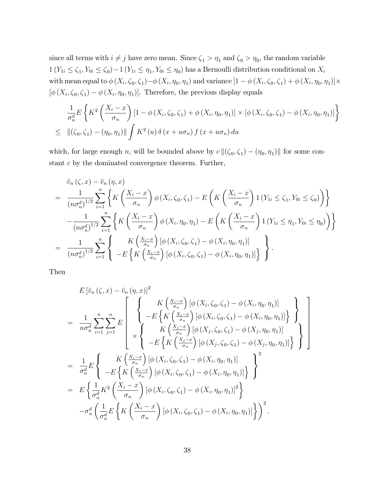since all terms with  $i \neq j$  have zero mean. Since  $\zeta_1 > \eta_1$  and  $\zeta_0 > \eta_0$ , the random variable  $1(Y_{1i} \le \zeta_1, Y_{0i} \le \zeta_0) - 1(Y_{1i} \le \eta_1, Y_{0i} \le \eta_0)$  has a Bernoulli distribution conditional on  $X_i$ with mean equal to  $\phi(X_i, \zeta_0, \zeta_1) - \phi(X_i, \eta_0, \eta_1)$  and variance  $[1 - \phi(X_i, \zeta_0, \zeta_1) + \phi(X_i, \eta_0, \eta_1)] \times$  $[\phi(X_i, \zeta_0, \zeta_1) - \phi(X_i, \eta_0, \eta_1)].$  Therefore, the previous display equals

$$
\frac{1}{\sigma_n^d} E\left\{ K^2 \left( \frac{X_i - x}{\sigma_n} \right) \left[ 1 - \phi\left(X_i, \zeta_0, \zeta_1\right) + \phi\left(X_i, \eta_0, \eta_1\right) \right] \times \left[ \phi\left(X_i, \zeta_0, \zeta_1\right) - \phi\left(X_i, \eta_0, \eta_1\right) \right] \right\}
$$
\n
$$
\leq \left\| \left(\zeta_0, \zeta_1\right) - \left(\eta_0, \eta_1\right) \right\| \int K^2 \left(u\right) \delta\left(x + u\sigma_n\right) f\left(x + u\sigma_n\right) du
$$

which, for large enough n, will be bounded above by  $c \| (\zeta_0, \zeta_1) - (\eta_0, \eta_1) \|$  for some constant c by the dominated convergence theorem. Further,

$$
\tilde{v}_{n}(\zeta, x) - \tilde{v}_{n}(\eta, x) \n= \frac{1}{(n\sigma_{n}^{d})^{1/2}} \sum_{i=1}^{n} \left\{ K\left(\frac{X_{i} - x}{\sigma_{n}}\right) \phi\left(X_{i}, \zeta_{0}, \zeta_{1}\right) - E\left(K\left(\frac{X_{i} - x}{\sigma_{n}}\right) \mathbf{1}\left(Y_{1i} \leq \zeta_{1}, Y_{0i} \leq \zeta_{0}\right)\right) \right\} \n- \frac{1}{(n\sigma_{n}^{d})^{1/2}} \sum_{i=1}^{n} \left\{ K\left(\frac{X_{i} - x}{\sigma_{n}}\right) \phi\left(X_{i}, \eta_{0}, \eta_{1}\right) - E\left(K\left(\frac{X_{i} - x}{\sigma_{n}}\right) \mathbf{1}\left(Y_{1i} \leq \eta_{1}, Y_{0i} \leq \eta_{0}\right)\right) \right\} \n= \frac{1}{(n\sigma_{n}^{d})^{1/2}} \sum_{i=1}^{n} \left\{ K\left(\frac{X_{i} - x}{\sigma_{n}}\right) \left[ \phi\left(X_{i}, \zeta_{0}, \zeta_{1}\right) - \phi\left(X_{i}, \eta_{0}, \eta_{1}\right) \right] \right\}.
$$

Then

$$
E\left[\tilde{v}_{n}(\zeta,x)-\tilde{v}_{n}(\eta,x)\right]^{2}
$$
\n
$$
=\frac{1}{n\sigma_{n}^{d}}\sum_{i=1}^{n}\sum_{j=1}^{n}E\left[\begin{cases} K\left(\frac{X_{i}-x}{\sigma_{n}}\right)\left[\phi\left(X_{i},\zeta_{0},\zeta_{1}\right)-\phi\left(X_{i},\eta_{0},\eta_{1}\right)\right] \\ -E\left\{K\left(\frac{X_{i}-x}{\sigma_{n}}\right)\left[\phi\left(X_{i},\zeta_{0},\zeta_{1}\right)-\phi\left(X_{i},\eta_{0},\eta_{1}\right)\right]\right\} \\ K\left(\frac{X_{j}-x}{\sigma_{n}}\right)\left[\phi\left(X_{j},\zeta_{0},\zeta_{1}\right)-\phi\left(X_{j},\eta_{0},\eta_{1}\right)\right] \right\} \\ -E\left\{K\left(\frac{X_{j}-x}{\sigma_{n}}\right)\left[\phi\left(X_{j},\zeta_{0},\zeta_{1}\right)-\phi\left(X_{j},\eta_{0},\eta_{1}\right)\right]\right\} \\ -E\left\{K\left(\frac{X_{i}-x}{\sigma_{n}}\right)\left[\phi\left(X_{i},\zeta_{0},\zeta_{1}\right)-\phi\left(X_{i},\eta_{0},\eta_{1}\right)\right]\right\}^{2}
$$
\n
$$
=E\left\{\frac{1}{\sigma_{n}^{d}}K^{2}\left(\frac{X_{i}-x}{\sigma_{n}}\right)\left[\phi\left(X_{i},\zeta_{0},\zeta_{1}\right)-\phi\left(X_{i},\eta_{0},\eta_{1}\right)\right]\right\}^{2}
$$
\n
$$
-\sigma_{n}^{d}\left(\frac{1}{\sigma_{n}^{d}}E\left\{K\left(\frac{X_{i}-x}{\sigma_{n}}\right)\left[\phi\left(X_{i},\zeta_{0},\zeta_{1}\right)-\phi\left(X_{i},\eta_{0},\eta_{1}\right)\right]\right\}^{2}
$$
\n
$$
-\sigma_{n}^{d}\left(\frac{1}{\sigma_{n}^{d}}E\left\{K\left(\frac{X_{i}-x}{\sigma_{n}}\right)\left[\phi\left(X_{i},\zeta_{0},\zeta_{1}\right)-\phi\left(X_{i},\eta_{0},\eta_{1}\right)\right]\right\}^{2
$$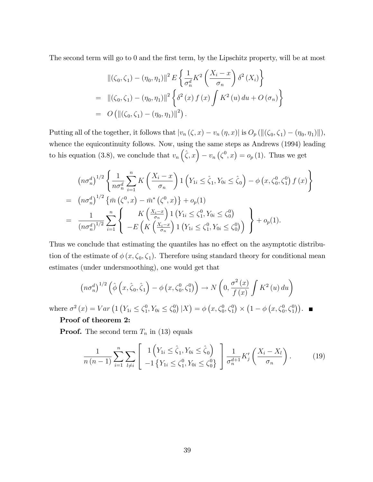The second term will go to 0 and the first term, by the Lipschitz property, will be at most

$$
\begin{split} &\|(\zeta_0, \zeta_1) - (\eta_0, \eta_1)\|^2 \, E \left\{ \frac{1}{\sigma_n^d} K^2 \left( \frac{X_i - x}{\sigma_n} \right) \delta^2 \left( X_i \right) \right\} \\ & = \|(\zeta_0, \zeta_1) - (\eta_0, \eta_1)\|^2 \left\{ \delta^2 \left( x \right) f \left( x \right) \int K^2 \left( u \right) du + O \left( \sigma_n \right) \right\} \\ & = O \left( \|(\zeta_0, \zeta_1) - (\eta_0, \eta_1)\|^2 \right). \end{split}
$$

Putting all of the together, it follows that  $|v_n(\zeta, x) - v_n(\eta, x)|$  is  $O_p(||(\zeta_0, \zeta_1) - (\eta_0, \eta_1)||)$ , whence the equicontinuity follows. Now, using the same steps as Andrews (1994) leading to his equation (3.8), we conclude that  $v_n(\hat{\zeta},x) - v_n(\zeta^0,x) = o_p(1)$ . Thus we get

$$
(n\sigma_n^d)^{1/2} \left\{ \frac{1}{n\sigma_n^d} \sum_{i=1}^n K\left(\frac{X_i - x}{\sigma_n}\right) \mathbb{1} \left(Y_{1i} \le \hat{\zeta}_1, Y_{0i} \le \hat{\zeta}_0\right) - \phi\left(x, \zeta_0^0, \zeta_1^0\right) f\left(x\right) \right\}
$$
  
= 
$$
(n\sigma_n^d)^{1/2} \left\{ \bar{m} \left(\zeta^0, x\right) - \bar{m}^* \left(\zeta^0, x\right) \right\} + o_p(1)
$$
  
= 
$$
\frac{1}{(n\sigma_n^d)^{1/2}} \sum_{i=1}^n \left\{ K\left(\frac{X_i - x}{\sigma_n}\right) \mathbb{1} \left(Y_{1i} \le \zeta_1^0, Y_{0i} \le \zeta_0^0\right) \right\} + o_p(1).
$$

Thus we conclude that estimating the quantiles has no effect on the asymptotic distribution of the estimate of  $\phi(x, \zeta_0, \zeta_1)$ . Therefore using standard theory for conditional mean estimates (under undersmoothing), one would get that

$$
\left(n\sigma_n^d\right)^{1/2}\left(\hat{\phi}\left(x,\hat{\zeta}_0,\hat{\zeta}_1\right)-\phi\left(x,\zeta_0^0,\zeta_1^0\right)\right)\to N\left(0,\frac{\sigma^2\left(x\right)}{f\left(x\right)}\int K^2\left(u\right)du\right)
$$

where  $\sigma^2(x) = Var\left(1\left(Y_{1i} \leq \zeta_1^0\right)\right)$  $_1^0, Y_{0i} \leq \zeta_0^0$  $\binom{0}{0}$  |X) =  $\phi(x, \zeta_0^0, \zeta_1^0) \times (1 - \phi(x, \zeta_0^0, \zeta_1^0)).$ 

### Proof of theorem 2:

**Proof.** The second term  $T_n$  in (13) equals

$$
\frac{1}{n(n-1)}\sum_{i=1}^{n}\sum_{l\neq i}\left[\frac{1\left(Y_{1i}\leq\hat{\zeta}_{1},Y_{0i}\leq\hat{\zeta}_{0}\right)}{-1\left\{Y_{1i}\leq\zeta_{1}^{0},Y_{0i}\leq\zeta_{0}^{0}\right\}}\right]\frac{1}{\sigma_{n}^{d+1}}K'_{j}\left(\frac{X_{i}-X_{l}}{\sigma_{n}}\right).
$$
(19)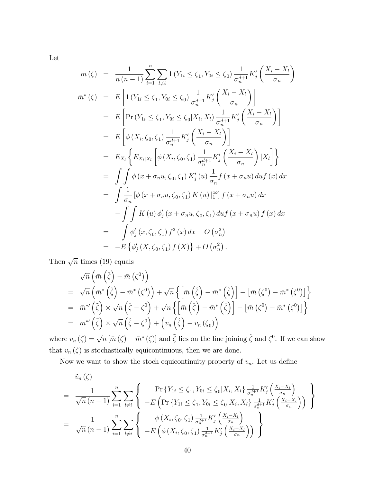Let

$$
\bar{m}(\zeta) = \frac{1}{n(n-1)} \sum_{i=1}^{n} \sum_{l \neq i} 1 (Y_{1i} \leq \zeta_1, Y_{0i} \leq \zeta_0) \frac{1}{\sigma_n^{d+1}} K'_j \left( \frac{X_i - X_l}{\sigma_n} \right)
$$
  
\n
$$
\bar{m}^*(\zeta) = E \left[ 1 (Y_{1i} \leq \zeta_1, Y_{0i} \leq \zeta_0) \frac{1}{\sigma_n^{d+1}} K'_j \left( \frac{X_i - X_l}{\sigma_n} \right) \right]
$$
  
\n
$$
= E \left[ Pr(Y_{1i} \leq \zeta_1, Y_{0i} \leq \zeta_0 | X_i, X_l) \frac{1}{\sigma_n^{d+1}} K'_j \left( \frac{X_i - X_l}{\sigma_n} \right) \right]
$$
  
\n
$$
= E \left[ \phi(X_i, \zeta_0, \zeta_1) \frac{1}{\sigma_n^{d+1}} K'_j \left( \frac{X_i - X_l}{\sigma_n} \right) \right]
$$
  
\n
$$
= E_{X_l} \left\{ E_{X_i | X_l} \left[ \phi(X_i, \zeta_0, \zeta_1) \frac{1}{\sigma_n^{d+1}} K'_j \left( \frac{X_i - X_l}{\sigma_n} \right) | X_l \right] \right\}
$$
  
\n
$$
= \int \int \phi(x + \sigma_n u, \zeta_0, \zeta_1) K'_j(u) \frac{1}{\sigma_n} f(x + \sigma_n u) du f(x) dx
$$
  
\n
$$
= \int \frac{1}{\sigma_n} [\phi(x + \sigma_n u, \zeta_0, \zeta_1) K(u) |_{1}^{\infty}] f(x + \sigma_n u) dx
$$
  
\n
$$
- \int \int K(u) \phi'_j(x + \sigma_n u, \zeta_0, \zeta_1) du f(x + \sigma_n u) f(x) dx
$$
  
\n
$$
= - \int \phi'_j(x, \zeta_0, \zeta_1) f^2(x) dx + O(\sigma_n^2)
$$
  
\n
$$
= - E \left\{ \phi'_j(X, \zeta_0, \zeta_1) f(X) \right\} + O(\sigma_n^2).
$$

Then  $\sqrt{n}$  times (19) equals

$$
\sqrt{n}\left(\bar{m}\left(\hat{\zeta}\right)-\bar{m}\left(\zeta^0\right)\right) \n= \sqrt{n}\left(\bar{m}^*\left(\hat{\zeta}\right)-\bar{m}^*\left(\zeta^0\right)\right)+\sqrt{n}\left\{\left[\bar{m}\left(\hat{\zeta}\right)-\bar{m}^*\left(\hat{\zeta}\right)\right]-\left[\bar{m}\left(\zeta^0\right)-\bar{m}^*\left(\zeta^0\right)\right]\right\} \n= \bar{m}^{*\prime}\left(\tilde{\zeta}\right) \times \sqrt{n}\left(\hat{\zeta}-\zeta^0\right)+\sqrt{n}\left\{\left[\bar{m}\left(\hat{\zeta}\right)-\bar{m}^*\left(\hat{\zeta}\right)\right]-\left[\bar{m}\left(\zeta^0\right)-\bar{m}^*\left(\zeta^0\right)\right]\right\} \n= \bar{m}^{*\prime}\left(\tilde{\zeta}\right) \times \sqrt{n}\left(\hat{\zeta}-\zeta^0\right)+\left(v_n\left(\hat{\zeta}\right)-v_n\left(\zeta_0\right)\right)
$$

where  $v_n(\zeta) = \sqrt{n} [\bar{m}(\zeta) - \bar{m}^*(\zeta)]$  and  $\tilde{\zeta}$  lies on the line joining  $\hat{\zeta}$  and  $\zeta^0$ . If we can show that  $v_n(\zeta)$  is stochastically equicontinuous, then we are done.

Now we want to show the stoch equicontinuity property of  $v_n$ . Let us define

$$
\tilde{v}_{n}(\zeta)
$$
\n
$$
= \frac{1}{\sqrt{n} (n-1)} \sum_{i=1}^{n} \sum_{l \neq i} \left\{ \begin{array}{c} \Pr \{ Y_{1i} \leq \zeta_{1}, Y_{0i} \leq \zeta_{0} | X_{i}, X_{l} \} \frac{1}{\sigma_{n}^{d+1}} K_{j}^{\prime} \left( \frac{X_{i} - X_{l}}{\sigma_{n}} \right) \\ -E \left( \Pr \{ Y_{1i} \leq \zeta_{1}, Y_{0i} \leq \zeta_{0} | X_{i}, X_{l} \} \frac{1}{\sigma_{n}^{d+1}} K_{j}^{\prime} \left( \frac{X_{i} - X_{l}}{\sigma_{n}} \right) \right) \end{array} \right\}
$$
\n
$$
= \frac{1}{\sqrt{n} (n-1)} \sum_{i=1}^{n} \sum_{l \neq i} \left\{ \begin{array}{c} \phi \left( X_{i}, \zeta_{0}, \zeta_{1} \right) \frac{1}{\sigma_{n}^{d+1}} K_{j}^{\prime} \left( \frac{X_{i} - X_{l}}{\sigma_{n}} \right) \\ -E \left( \phi \left( X_{i}, \zeta_{0}, \zeta_{1} \right) \frac{1}{\sigma_{n}^{d+1}} K_{j}^{\prime} \left( \frac{X_{i} - X_{l}}{\sigma_{n}} \right) \right) \end{array} \right\}
$$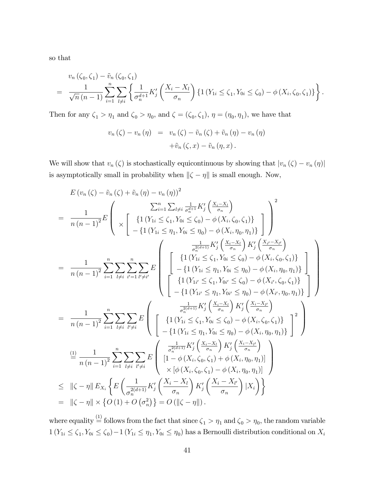so that

$$
v_n(\zeta_0, \zeta_1) - \tilde{v}_n(\zeta_0, \zeta_1)
$$
  
=  $\frac{1}{\sqrt{n} (n-1)} \sum_{i=1}^n \sum_{l \neq i} \left\{ \frac{1}{\sigma_n^{d+1}} K'_j \left( \frac{X_i - X_l}{\sigma_n} \right) \{ 1 (Y_{1i} \le \zeta_1, Y_{0i} \le \zeta_0) - \phi(X_i, \zeta_0, \zeta_1) \} \right\}.$ 

Then for any  $\zeta_1 > \eta_1$  and  $\zeta_0 > \eta_0$ , and  $\zeta = (\zeta_0, \zeta_1)$ ,  $\eta = (\eta_0, \eta_1)$ , we have that

$$
v_n(\zeta) - v_n(\eta) = v_n(\zeta) - \tilde{v}_n(\zeta) + \tilde{v}_n(\eta) - v_n(\eta)
$$

$$
+ \tilde{v}_n(\zeta, x) - \tilde{v}_n(\eta, x).
$$

We will show that  $v_n(\zeta)$  is stochastically equicontinuous by showing that  $|v_n(\zeta) - v_n(\eta)|$ is asymptotically small in probability when  $\left\Vert \zeta -\eta\right\Vert$  is small enough. Now,

$$
E (v_n (\zeta) - \tilde{v}_n (\zeta) + \tilde{v}_n (\eta) - v_n (\eta))^2
$$
\n
$$
= \frac{1}{n (n-1)^2} E \left( \chi \left[ \{1 (Y_{1i} \leq \zeta_1, Y_{0i} \leq \zeta_0) - \phi (X_i, \zeta_0, \zeta_1) \} - \{1 (Y_{1i} \leq \eta_1, Y_{0i} \leq \eta_0) - \phi (X_i, \eta_0, \eta_1) \} \right] \right)^2
$$
\n
$$
= \frac{1}{n (n-1)^2} \sum_{i=1}^n \sum_{l \neq i} \sum_{i'=1}^n E \left( \begin{array}{c} \frac{1}{\sigma_n^{2(d+1)}} K'_j \left( \frac{X_i - X_l}{\sigma_n} \right) K'_j \left( \frac{X_{i'} - X_{i'}}{\sigma_n} \right) \\ \frac{1}{\sigma_n^{2(d+1)}} K'_j \left( \frac{X_i - X_l}{\sigma_n} \right) K'_j \left( \frac{X_{i'} - X_{i'}}{\sigma_n} \right) \\ - \{1 (Y_{1i} \leq \zeta_1, Y_{0i} \leq \zeta_0) - \phi (X_i, \zeta_0, \zeta_1) \} - \{1 (Y_{1i'} \leq \eta_1, Y_{0i} \leq \eta_0) - \phi (X_{i'}, \eta_0, \eta_1) \} - \{1 (Y_{1i'} \leq \eta_1, Y_{0i'} \leq \eta_0) - \phi (X_{i'}, \eta_0, \eta_1) \} - \{1 (Y_{1i'} \leq \eta_1, Y_{0i'} \leq \eta_0) - \phi (X_{i'}, \eta_0, \eta_1) \} - \{1 (Y_{1i'} \leq \eta_1, Y_{0i} \leq \eta_0) - \phi (X_{i'}, \eta_0, \eta_1) \} - \{1 (Y_{1i} \leq \eta_1, Y_{0i} \leq \eta_0) - \phi (X_{i'}, \eta_0, \eta_1) \} - \{1 (Y_{1i} \leq \eta_1, Y_{0i} \leq \eta_0) - \phi (X_{i'}, \eta_0, \eta_1) \} - \{1 (Y_{1i} \leq \eta_1, Y_{0i} \leq \eta_0) -
$$

where equality  $\stackrel{(1)}{=}$  follows from the fact that since  $\zeta_1 > \eta_1$  and  $\zeta_0 > \eta_0$ , the random variable  $1(Y_{1i} \le \zeta_1, Y_{0i} \le \zeta_0) - 1(Y_{1i} \le \eta_1, Y_{0i} \le \eta_0)$  has a Bernoulli distribution conditional on  $X_i$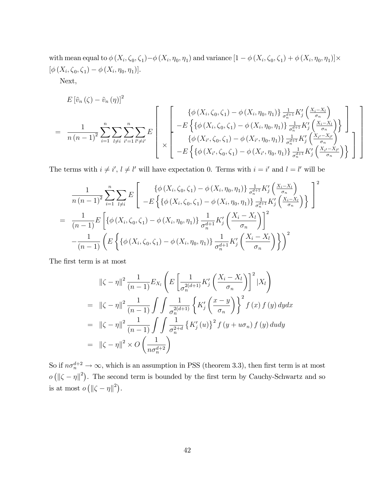with mean equal to  $\phi(X_i, \zeta_0, \zeta_1) - \phi(X_i, \eta_0, \eta_1)$  and variance  $[1 - \phi(X_i, \zeta_0, \zeta_1) + \phi(X_i, \eta_0, \eta_1)] \times$  $[\phi(X_i, \zeta_0, \zeta_1) - \phi(X_i, \eta_0, \eta_1)].$ 

Next,

$$
E\left[\tilde{v}_{n}\left(\zeta\right)-\tilde{v}_{n}\left(\eta\right)\right]^{2}
$$
\n
$$
=\frac{1}{n\left(n-1\right)^{2}}\sum_{i=1}^{n}\sum_{l\neq i}\sum_{i'=1}^{n}\sum_{l'\neq i'}E\left[\begin{array}{c} \left\{\phi\left(X_{i},\zeta_{0},\zeta_{1}\right)-\phi\left(X_{i},\eta_{0},\eta_{1}\right)\right\}\frac{1}{\sigma_{n}^{d+1}}K_{j}'\left(\frac{X_{i}-X_{l}}{\sigma_{n}}\right) \\ -E\left\{\left\{\phi\left(X_{i},\zeta_{0},\zeta_{1}\right)-\phi\left(X_{i},\eta_{0},\eta_{1}\right)\right\}\frac{1}{\sigma_{n}^{d+1}}K_{j}'\left(\frac{X_{i}-X_{l}}{\sigma_{n}}\right) \\ \left\{\phi\left(X_{i'},\zeta_{0},\zeta_{1}\right)-\phi\left(X_{i'},\eta_{0},\eta_{1}\right)\right\}\frac{1}{\sigma_{n}^{d+1}}K_{j}'\left(\frac{X_{i}-X_{l'}}{\sigma_{n}}\right) \\ -E\left\{\left\{\phi\left(X_{i'},\zeta_{0},\zeta_{1}\right)-\phi\left(X_{i'},\eta_{0},\eta_{1}\right)\right\}\frac{1}{\sigma_{n}^{d+1}}K_{j}'\left(\frac{X_{i'}-X_{l'}}{\sigma_{n}}\right) \right\}\end{array}\right]
$$

The terms with  $i \neq i'$ ,  $l \neq l'$  will have expectation 0. Terms with  $i = i'$  and  $l = l'$  will be

$$
\frac{1}{n(n-1)^2} \sum_{i=1}^n \sum_{l \neq i} E \left[ \frac{\{\phi(X_i, \zeta_0, \zeta_1) - \phi(X_i, \eta_0, \eta_1)\} \frac{1}{\sigma_n^{d+1}} K_j' \left(\frac{X_i - X_l}{\sigma_n}\right)}{-E \left\{\{\phi(X_i, \zeta_0, \zeta_1) - \phi(X_i, \eta_0, \eta_1)\} \frac{1}{\sigma_n^{d+1}} K_j' \left(\frac{X_i - X_l}{\sigma_n}\right)\right\}} \right]^2
$$
\n
$$
= \frac{1}{(n-1)} E \left[ \{\phi(X_i, \zeta_0, \zeta_1) - \phi(X_i, \eta_0, \eta_1)\} \frac{1}{\sigma_n^{d+1}} K_j' \left(\frac{X_i - X_l}{\sigma_n}\right) \right]^2
$$
\n
$$
- \frac{1}{(n-1)} \left( E \left\{\{\phi(X_i, \zeta_0, \zeta_1) - \phi(X_i, \eta_0, \eta_1)\} \frac{1}{\sigma_n^{d+1}} K_j' \left(\frac{X_i - X_l}{\sigma_n}\right) \right\} \right)^2
$$

The first term is at most

$$
\|\zeta - \eta\|^2 \frac{1}{(n-1)} E_{X_l} \left( E \left[ \frac{1}{\sigma_n^{2(d+1)}} K_j' \left( \frac{X_i - X_l}{\sigma_n} \right) \right]^2 | X_l \right)
$$
  
\n
$$
= \| \zeta - \eta \|^2 \frac{1}{(n-1)} \int \int \frac{1}{\sigma_n^{2(d+1)}} \left\{ K_j' \left( \frac{x - y}{\sigma_n} \right) \right\}^2 f(x) f(y) dy dx
$$
  
\n
$$
= \| \zeta - \eta \|^2 \frac{1}{(n-1)} \int \int \frac{1}{\sigma_n^{2+d}} \left\{ K_j'(u) \right\}^2 f(y + u\sigma_n) f(y) du dy
$$
  
\n
$$
= \| \zeta - \eta \|^2 \times O \left( \frac{1}{n \sigma_n^{d+2}} \right)
$$

So if  $n\sigma_n^{d+2} \to \infty$ , which is an assumption in PSS (theorem 3.3), then first term is at most  $o ( \| \zeta - \eta \|^2 )$ . The second term is bounded by the first term by Cauchy-Schwartz and so is at most  $o\left(\|\zeta-\eta\|^2\right)$ .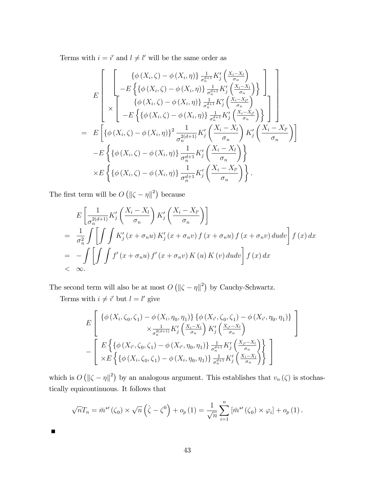Terms with  $i = i'$  and  $l \neq l'$  will be the same order as

$$
E\left[\begin{array}{c}\left\{\phi\left(X_{i},\zeta\right)-\phi\left(X_{i},\eta\right)\right\}\frac{1}{\sigma_{n}^{d+1}}K_{j}^{\prime}\left(\frac{X_{i}-X_{l}}{\sigma_{n}}\right)\\-\frac{E\left\{\{\phi\left(X_{i},\zeta\right)-\phi\left(X_{i},\eta\right)\}\frac{1}{\sigma_{n}^{d+1}}K_{j}^{\prime}\left(\frac{X_{i}-X_{l}}{\sigma_{n}}\right)}{\{\phi\left(X_{i},\zeta\right)-\phi\left(X_{i},\eta\right)\}\frac{1}{\sigma_{n}^{d+1}}K_{j}^{\prime}\left(\frac{X_{i}-X_{l'}}{\sigma_{n}}\right)}\right\}\right]\right]\\\n= E\left[\left\{\phi\left(X_{i},\zeta\right)-\phi\left(X_{i},\eta\right)\right\}\frac{1}{\sigma_{n}^{d+1}}K_{j}^{\prime}\left(\frac{X_{i}-X_{l'}}{\sigma_{n}}\right)\right\}\right]\right]\n- E\left\{\left\{\phi\left(X_{i},\zeta\right)-\phi\left(X_{i},\eta\right)\right\}\frac{1}{\sigma_{n}^{2(d+1)}}K_{j}^{\prime}\left(\frac{X_{i}-X_{l}}{\sigma_{n}}\right)K_{j}^{\prime}\left(\frac{X_{i}-X_{l'}}{\sigma_{n}}\right)\right\}\\\n- E\left\{\left\{\phi\left(X_{i},\zeta\right)-\phi\left(X_{i},\eta\right)\right\}\frac{1}{\sigma_{n}^{d+1}}K_{j}^{\prime}\left(\frac{X_{i}-X_{l}}{\sigma_{n}}\right)\right\}\\\n\times E\left\{\left\{\phi\left(X_{i},\zeta\right)-\phi\left(X_{i},\eta\right)\right\}\frac{1}{\sigma_{n}^{d+1}}K_{j}^{\prime}\left(\frac{X_{i}-X_{l'}}{\sigma_{n}}\right)\right\}.\n\end{array}
$$

The first term will be  $O(|\zeta - \eta||^2)$  because

$$
E\left[\frac{1}{\sigma_n^{2(d+1)}}K'_j\left(\frac{X_i - X_l}{\sigma_n}\right)K'_j\left(\frac{X_i - X_{l'}}{\sigma_n}\right)\right]
$$
  
= 
$$
\frac{1}{\sigma_n^2}\int\left[\int\int K'_j(x + \sigma_n u) K'_j(x + \sigma_n v) f(x + \sigma_n u) f(x + \sigma_n v) du dv\right] f(x) dx
$$
  
= 
$$
-\int\left[\int\int f'(x + \sigma_n u) f'(x + \sigma_n v) K(u) K(v) du dv\right] f(x) dx
$$
  
< 
$$
\propto \infty.
$$

The second term will also be at most  $O(|\zeta - \eta||^2)$  by Cauchy-Schwartz.

Terms with  $i \neq i'$  but  $l = l'$  give

 $\blacksquare$ 

$$
E\left[\begin{array}{c}\left\{\phi\left(X_i,\zeta_0,\zeta_1\right)-\phi\left(X_i,\eta_0,\eta_1\right)\right\}\left\{\phi\left(X_{i'},\zeta_0,\zeta_1\right)-\phi\left(X_{i'},\eta_0,\eta_1\right)\right\}\\\times\frac{1}{\sigma_n^{2(d+1)}}K_j'\left(\frac{X_i-X_l}{\sigma_n}\right)K_j'\left(\frac{X_{i'}-X_l}{\sigma_n}\right)\\\-\left[\begin{array}{c}E\left\{\left\{\phi\left(X_{i'},\zeta_0,\zeta_1\right)-\phi\left(X_{i'},\eta_0,\eta_1\right)\right\}\frac{1}{\sigma_n^{d+1}}K_j'\left(\frac{X_{i'}-X_l}{\sigma_n}\right)\right\}\\\times E\left\{\left\{\phi\left(X_i,\zeta_0,\zeta_1\right)-\phi\left(X_i,\eta_0,\eta_1\right)\right\}\frac{1}{\sigma_n^{d+1}}K_j'\left(\frac{X_i-X_l}{\sigma_n}\right)\right\}\end{array}\right]
$$

which is  $O(|\zeta - \eta|^2)$  by an analogous argument. This establishes that  $v_n(\zeta)$  is stochastically equicontinuous. It follows that

$$
\sqrt{n}T_n = \bar{m}^{*'}(\zeta_0) \times \sqrt{n} \left(\hat{\zeta} - \zeta^0\right) + o_p(1) = \frac{1}{\sqrt{n}} \sum_{i=1}^n \left[\bar{m}^{*'}(\zeta_0) \times \varphi_i\right] + o_p(1).
$$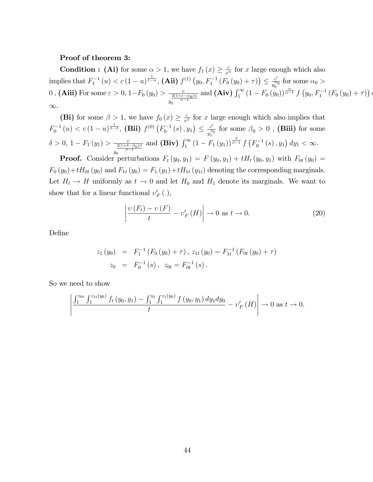#### Proof of theorem 3:

**Condition :** (Ai) for some  $\alpha > 1$ , we have  $f_1(x) \geq \frac{c}{x^{\alpha}}$  for x large enough which also implies that  $F_1^{-1}(u) < c (1-u)^{\frac{1}{1-\alpha}}$ , (Aii)  $f^{(1)}(y_0, F_1^{-1}(F_0(y_0) + \tau)) \leq \frac{c'}{y_0^{\alpha}}$  $\frac{c'}{y_0^{\alpha_0}}$  for some  $\alpha_0 >$ 0, (Aiii) For some  $\varepsilon > 0$ ,  $1-F_0(y_0) > \frac{c}{2(1+\varepsilon)}$  $\overline{y}$  $\frac{2(1+\varepsilon-\alpha_0)\alpha}{\alpha-1}$ and  $(Aiv)$   $\int_{1}^{\infty} (1 - F_0(y_0))^{\frac{\alpha}{\alpha - 1}} f(y_0, F_1^{-1}(F_0(y_0) + \tau))$  $\infty$ .

 $\overline{(}$ 

(Bi) for some  $\beta > 1$ , we have  $f_0(x) \geq \frac{c}{x^{\beta}}$  for x large enough which also implies that  $F_0^{-1}(u) < c \left(1-u\right)^{\frac{1}{1-\beta}}, \text{ (Bii) } f^{(0)}\left(F_0^{-1}(s), y_1\right) \leq \frac{c'}{y_1^{\beta}}$  $\frac{c'}{y_1^{\sigma_0}}$  for some  $\beta_0 > 0$  , (Biii) for some  $\delta > 0, 1 - F_1(y_1) > \frac{c}{\frac{2(1+\delta)}{c}}$  $\overline{y}$  $\frac{2(1+\delta-\beta_0)\beta}{\beta-1}$ and (Biv)  $\int_1^{\infty} (1 - F_1(y_1))^{\frac{\beta}{\beta - 1}} f(F_0^{-1}(s), y_1) dy_1 < \infty$ .

**Proof.** Consider perturbations  $F_t(y_0, y_1) = F(y_0, y_1) + tH_t(y_0, y_1)$  with  $F_{0t}(y_0) =$  $F_0(y_0)+tH_{0t}(y_0)$  and  $F_{1t}(y_0)=F_1(y_1)+tH_{1t}(y_{1t})$  denoting the corresponding marginals. Let  $H_t \to H$  uniformly as  $t \to 0$  and let  $H_0$  and  $H_1$  denote its marginals. We want to show that for a linear functional  $v'_F(.)$ ,

$$
\left| \frac{\upsilon(F_t) - \upsilon(F)}{t} - \upsilon'_F(H) \right| \to 0 \text{ as } t \to 0.
$$
 (20)

DeÖne

$$
z_1(y_0) = F_1^{-1}(F_0(y_0) + \tau), z_{1t}(y_0) = F_{1t}^{-1}(F_{0t}(y_0) + \tau)
$$
  

$$
z_0 = F_0^{-1}(s), z_{0t} = F_{0t}^{-1}(s).
$$

So we need to show

$$
\left| \frac{\int_1^{z_{0t}} \int_1^{z_{1t}(y_0)} f_t(y_0, y_1) - \int_1^{z_0} \int_1^{z_1(y_0)} f(y_0, y_1) dy_1 dy_0}{t} - \upsilon'_F(H) \right| \to 0 \text{ as } t \to 0.
$$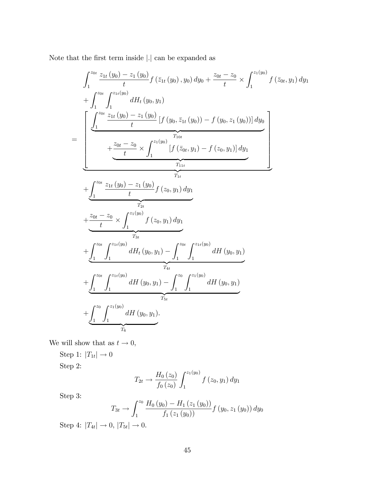Note that the first term inside  $\left\vert .\right\vert$  can be expanded as

$$
\int_{1}^{z_{0t}} \frac{z_{1t}(y_{0}) - z_{1}(y_{0})}{t} f(\bar{z}_{1t}(y_{0}), y_{0}) dy_{0} + \frac{z_{0t} - z_{0}}{t} \times \int_{1}^{z_{1}(y_{0})} f(\bar{z}_{0t}, y_{1}) dy_{1} \n+ \int_{1}^{z_{0t}} \int_{1}^{z_{1t}(y_{0})} dH_{t}(y_{0}, y_{1}) \n= \left[ \frac{\int_{1}^{z_{0t}} \frac{z_{1t}(y_{0}) - z_{1}(y_{0})}{t} [f(y_{0}, \bar{z}_{1t}(y_{0})) - f(y_{0}, z_{1}(y_{0}))] dy_{0}}{t} + \frac{\frac{z_{0t} - z_{0}}{t} \times \int_{1}^{z_{1}(y_{0})} [f(\bar{z}_{0t}, y_{1}) - f(z_{0}, y_{1})] dy_{1}}{T_{1t}} \right] \n+ \int_{1}^{z_{0t}} \frac{z_{1t}(y_{0}) - z_{1}(y_{0})}{t} f(z_{0}, y_{1}) dy_{1} \n+ \frac{z_{0t} - z_{0}}{t} \times \int_{1}^{z_{1}(y_{0})} f(z_{0}, y_{1}) dy_{1} \n+ \int_{1}^{z_{0t}} \int_{1}^{z_{1t}(y_{0})} dH_{t}(y_{0}, y_{1}) - \int_{1}^{z_{0t}} \int_{1}^{z_{1t}(y_{0})} dH(y_{0}, y_{1}) \n+ \int_{1}^{z_{0t}} \int_{1}^{z_{1t}(y_{0})} dH(y_{0}, y_{1}) - \int_{1}^{z_{0}} \int_{1}^{z_{1}(y_{0})} dH(y_{0}, y_{1}) \n+ \int_{1}^{z_{0}} \int_{1}^{z_{1}(y_{0})} dH(y_{0}, y_{1}) - \int_{1}^{z_{0}} \int_{1}^{z_{1}(y_{0})} dH(y_{0}, y_{1}) \n+ \int_{1}^{z_{0}} \int_{1}^{z_{1}(y_{0})} dH(y_{0}, y_{1}).
$$

We will show that as  $t \to 0,$ 

Step 1:  $|T_{1t}| \rightarrow 0$ Step 2:

$$
T_{2t} \to \frac{H_0(z_0)}{f_0(z_0)} \int_1^{z_1(y_0)} f(z_0, y_1) dy_1
$$

Step 3:

$$
T_{3t} \rightarrow \int_{1}^{z_0} \frac{H_0(y_0) - H_1(z_1(y_0))}{f_1(z_1(y_0))} f(y_0, z_1(y_0)) dy_0
$$

Step 4:  $|T_{4t}| \to 0, |T_{5t}| \to 0.$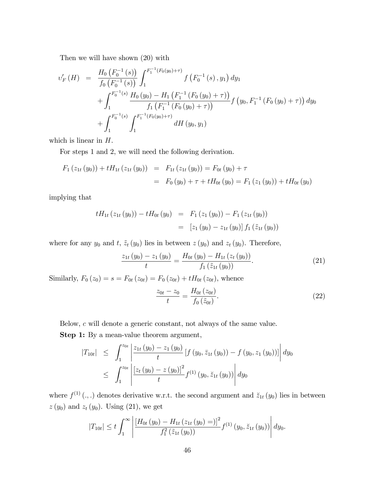Then we will have shown (20) with

$$
v'_{F}(H) = \frac{H_{0}(F_{0}^{-1}(s))}{f_{0}(F_{0}^{-1}(s))} \int_{1}^{F_{1}^{-1}(F_{0}(y_{0})+\tau)} f(F_{0}^{-1}(s), y_{1}) dy_{1} + \int_{1}^{F_{0}^{-1}(s)} \frac{H_{0}(y_{0}) - H_{1}(F_{1}^{-1}(F_{0}(y_{0})+\tau))}{f_{1}(F_{1}^{-1}(F_{0}(y_{0})+\tau))} f(y_{0}, F_{1}^{-1}(F_{0}(y_{0})+\tau)) dy_{0} + \int_{1}^{F_{0}^{-1}(s)} \int_{1}^{F_{1}^{-1}(F_{0}(y_{0})+\tau)} dH(y_{0}, y_{1})
$$

which is linear in H.

For steps 1 and 2, we will need the following derivation.

$$
F_1(z_{1t}(y_0)) + tH_{1t}(z_{1t}(y_0)) = F_{1t}(z_{1t}(y_0)) = F_{0t}(y_0) + \tau
$$
  
=  $F_0(y_0) + \tau + tH_{0t}(y_0) = F_1(z_1(y_0)) + tH_{0t}(y_0)$ 

implying that

$$
tH_{1t}(z_{1t}(y_0)) - tH_{0t}(y_0) = F_1(z_1(y_0)) - F_1(z_{1t}(y_0))
$$
  
=  $[z_1(y_0) - z_{1t}(y_0)] f_1(\tilde{z}_{1t}(y_0))$ 

where for any  $y_0$  and  $t$ ,  $\tilde{z}_t (y_0)$  lies in between  $z (y_0)$  and  $z_t (y_0)$ . Therefore,

$$
\frac{z_{1t}(y_0) - z_1(y_0)}{t} = \frac{H_{0t}(y_0) - H_{1t}(z_t(y_0))}{f_1(\tilde{z}_{1t}(y_0))}.
$$
\n(21)

Similarly,  $F_0(z_0) = s = F_{0t}(z_{0t}) = F_0(z_{0t}) + tH_{0t}(z_{0t})$ , whence

$$
\frac{z_{0t} - z_0}{t} = \frac{H_{0t} (z_{0t})}{f_0 (z_{0t})}.
$$
\n(22)

Below, c will denote a generic constant, not always of the same value.

Step 1: By a mean-value theorem argument,

$$
|T_{10t}| \leq \int_{1}^{z_{0t}} \left| \frac{z_{1t}(y_0) - z_1(y_0)}{t} \left[ f(y_0, \bar{z}_{1t}(y_0)) - f(y_0, z_1(y_0)) \right] \right| dy_0
$$
  

$$
\leq \int_{1}^{z_{0t}} \left| \frac{\left[ z_t(y_0) - z(y_0) \right]^2}{t} f^{(1)}(y_0, \breve{z}_{1t}(y_0)) \right| dy_0
$$

where  $f^{(1)}(.,.)$  denotes derivative w.r.t. the second argument and  $\ddot{z}_{1t}(y_0)$  lies in between  $z(y_0)$  and  $z_t(y_0)$ . Using (21), we get

$$
|T_{10t}| \le t \int_1^{\infty} \left| \frac{\left[H_{0t}(y_0) - H_{1t}(z_{1t}(y_0))\right]^2}{f_1^2(\tilde{z}_{1t}(y_0))} f^{(1)}(y_0, \tilde{z}_{1t}(y_0)) \right| dy_0.
$$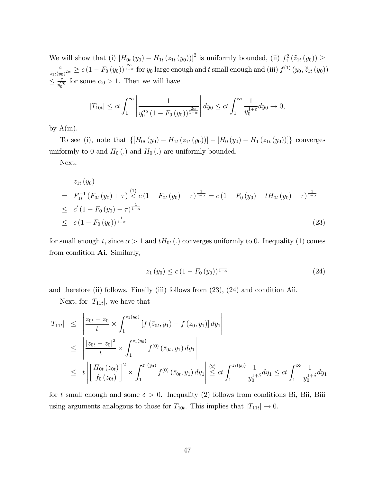We will show that (i)  $[H_{0t}(y_0) - H_{1t}(z_{1t}(y_0))]^2$  is uniformly bounded, (ii)  $f_1^2(\tilde{z}_{1t}(y_0)) \ge$ c  $\frac{c}{\tilde{z}_{1t}(y_0)^{2\alpha}} \geq c(1-F_0(y_0))^{\frac{2\alpha}{1-\alpha}}$  for  $y_0$  large enough and t small enough and (iii)  $f^{(1)}(y_0, \breve{z}_{1t}(y_0))$  $\leq \frac{c}{y_0^{\alpha}}$  $\frac{c}{y_0^{\alpha_0}}$  for some  $\alpha_0 > 1$ . Then we will have

$$
|T_{10t}| \le ct \int_1^{\infty} \left| \frac{1}{y_0^{\alpha_0} (1 - F_0(y_0))^{\frac{2\alpha}{1-\alpha}}} \right| dy_0 \le ct \int_1^{\infty} \frac{1}{y_0^{1+\varepsilon}} dy_0 \to 0,
$$

by  $A(iii)$ .

To see (i), note that  $\{[H_{0t}(y_0) - H_{1t}(z_{1t}(y_0))] - [H_0(y_0) - H_1(z_{1t}(y_0))] \}$  converges uniformly to 0 and  $H_0(.)$  and  $H_0(.)$  are uniformly bounded.

Next,

$$
z_{1t}(y_0)
$$
\n
$$
= F_{1t}^{-1} (F_{0t}(y_0) + \tau) \stackrel{(1)}{<} c (1 - F_{0t}(y_0) - \tau)^{\frac{1}{1-\alpha}} = c (1 - F_0(y_0) - tH_{0t}(y_0) - \tau)^{\frac{1}{1-\alpha}}
$$
\n
$$
\leq c' (1 - F_0(y_0) - \tau)^{\frac{1}{1-\alpha}}
$$
\n
$$
\leq c (1 - F_0(y_0))^{\frac{1}{1-\alpha}}
$$
\n(23)

for small enough t, since  $\alpha > 1$  and  $tH_{0t}$  (.) converges uniformly to 0. Inequality (1) comes from condition Ai. Similarly,

$$
z_1(y_0) \le c \left(1 - F_0(y_0)\right)^{\frac{1}{1-\alpha}} \tag{24}
$$

and therefore (ii) follows. Finally (iii) follows from (23), (24) and condition Aii.

Next, for  $|T_{11t}|$ , we have that

$$
|T_{11t}| \leq \left| \frac{z_{0t} - z_0}{t} \times \int_1^{z_1(y_0)} \left[ f(z_{0t}, y_1) - f(z_0, y_1) \right] dy_1 \right|
$$
  
\n
$$
\leq \left| \frac{\left[ z_{0t} - z_0 \right]^2}{t} \times \int_1^{z_1(y_0)} f^{(0)}(z_{0t}, y_1) dy_1 \right|
$$
  
\n
$$
\leq t \left| \left[ \frac{H_{0t}(z_{0t})}{f_0(z_{0t})} \right]^2 \times \int_1^{z_1(y_0)} f^{(0)}(z_{0t}, y_1) dy_1 \right| \stackrel{(2)}{\leq} ct \int_1^{z_1(y_0)} \frac{1}{y_0^{1+\delta}} dy_1 \leq ct \int_1^{\infty} \frac{1}{y_0^{1+\delta}} dy_1
$$

for t small enough and some  $\delta > 0$ . Inequality (2) follows from conditions Bi, Bii, Biii using arguments analogous to those for  $T_{10t}$ . This implies that  $|T_{11t}| \to 0$ .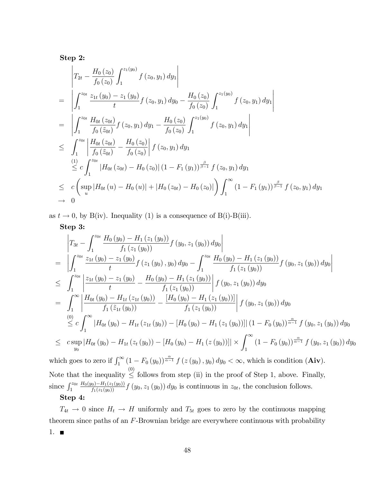Step 2:

$$
\begin{split}\n&\left| T_{2t} - \frac{H_0(z_0)}{f_0(z_0)} \int_1^{z_1(y_0)} f(z_0, y_1) dy_1 \right| \\
&= \left| \int_1^{z_{0t}} \frac{z_{1t}(y_0) - z_1(y_0)}{t} f(z_0, y_1) dy_0 - \frac{H_0(z_0)}{f_0(z_0)} \int_1^{z_1(y_0)} f(z_0, y_1) dy_1 \right| \\
&= \left| \int_1^{z_{0t}} \frac{H_{0t}(z_{0t})}{f_0(z_{0t})} f(z_0, y_1) dy_1 - \frac{H_0(z_0)}{f_0(z_0)} \int_1^{z_1(y_0)} f(z_0, y_1) dy_1 \right| \\
&\leq \int_1^{z_{0t}} \left| \frac{H_{0t}(z_{0t})}{f_0(z_{0t})} - \frac{H_0(z_0)}{f_0(z_0)} \right| f(z_0, y_1) dy_1 \\
&\stackrel{(1)}{\leq} c \int_1^{z_{0t}} \left| H_{0t}(z_{0t}) - H_0(z_0) \right| (1 - F_1(y_1))^{\frac{\beta}{\beta - 1}} f(z_0, y_1) dy_1 \\
&\leq c \left( \sup_u | H_{0t}(u) - H_0(u)| + |H_0(z_{0t}) - H_0(z_0)| \right) \int_1^{\infty} (1 - F_1(y_1))^{\frac{\beta}{\beta - 1}} f(z_0, y_1) dy_1 \\
&\to 0\n\end{split}
$$

as  $t \to 0$ , by B(iv). Inequality (1) is a consequence of B(i)-B(iii).

Step 3:

$$
\begin{split}\n&= \left| \int_{1}^{z_{0t}} \frac{H_{0}(y_{0}) - H_{1}(z_{1}(y_{0}))}{f_{1}(z_{1}(y_{0}))} f(y_{0}, z_{1}(y_{0})) dy_{0} \right| \\
&= \left| \int_{1}^{z_{0t}} \frac{z_{1t}(y_{0}) - z_{1}(y_{0})}{t} f(z_{1}(y_{0}), y_{0}) dy_{0} - \int_{1}^{z_{0t}} \frac{H_{0}(y_{0}) - H_{1}(z_{1}(y_{0}))}{f_{1}(z_{1}(y_{0}))} f(y_{0}, z_{1}(y_{0})) dy_{0} \right| \\
&\leq \int_{1}^{z_{0t}} \left| \frac{z_{1t}(y_{0}) - z_{1}(y_{0})}{t} - \frac{H_{0}(y_{0}) - H_{1}(z_{1}(y_{0}))}{f_{1}(z_{1}(y_{0}))} \right| f(y_{0}, z_{1}(y_{0})) dy_{0} \\
&= \int_{1}^{\infty} \left| \frac{H_{0t}(y_{0}) - H_{1t}(z_{1t}(y_{0}))}{f_{1}(z_{1}(y_{0}))} - \frac{[H_{0}(y_{0}) - H_{1}(z_{1}(y_{0}))]}{f_{1}(z_{1}(y_{0}))} \right| f(y_{0}, z_{1}(y_{0})) dy_{0} \\
&\leq c \int_{1}^{\infty} |H_{0t}(y_{0}) - H_{1t}(z_{1t}(y_{0})) - [H_{0}(y_{0}) - H_{1}(z_{1}(y_{0}))] |(1 - F_{0}(y_{0}))^{\frac{\alpha}{\alpha - 1}} f(y_{0}, z_{1}(y_{0})) dy_{0} \\
&\leq c \sup_{y_{0}} |H_{0t}(y_{0}) - H_{1t}(z_{t}(y_{0})) - [H_{0}(y_{0}) - H_{1}(z(y_{0}))] | \times \int_{1}^{\infty} (1 - F_{0}(y_{0}))^{\frac{\alpha}{\alpha - 1}} f(y_{0}, z_{1}(y_{0})) dy_{0} \\
\text{which goes to zero if } \int_{1}^{\infty} (1 - F_{0}(y_{0}))^{\frac{\alpha}{\alpha - 1}} f(z(y_{0}), y_{0}) dy_{0} < \infty, \text{ which is condition (Aiv)}.\n\end{split}
$$

since  $\int_1^{z_{0t}} \frac{H_0(y_0) - H_1(z_1(y_0))}{f_1(z_1(y_0))} f(y_0, z_1(y_0)) dy_0$  is continuous in  $z_{0t}$ , the conclusion follows. Step 4:

 $T_{4t} \rightarrow 0$  since  $H_t \rightarrow H$  uniformly and  $T_{5t}$  goes to zero by the continuous mapping theorem since paths of an F-Brownian bridge are everywhere continuous with probability 1.  $\blacksquare$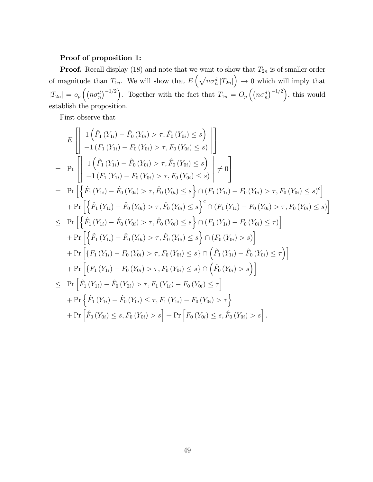#### Proof of proposition 1:

**Proof.** Recall display (18) and note that we want to show that  $T_{2n}$  is of smaller order of magnitude than  $T_{1n}$ . We will show that  $E\left(\sqrt{n\sigma_n^d}|T_{2n}|\right) \to 0$  which will imply that  $|T_{2n}| = o_p\left(\left(n\sigma_n^d\right)^{-1/2}\right)$ . Together with the fact that  $T_{1n} = O_p\left(\left(n\sigma_n^d\right)^{-1/2}\right)$ , this would establish the proposition.

First observe that

$$
E\left[\left|1\left(\hat{F}_1(Y_{1i})-\hat{F}_0(Y_{0i})>\tau,\hat{F}_0(Y_{0i})\leq s\right)\right|\right] = \Pr\left[\left|1\left(\hat{F}_1(Y_{1i})-F_0(Y_{0i})>\tau,\hat{F}_0(Y_{0i})\leq s\right)\right| + 0\right] = \Pr\left[\left|1\left(\hat{F}_1(Y_{1i})-\hat{F}_0(Y_{0i})>\tau,\hat{F}_0(Y_{0i})\leq s\right)\right| \neq 0\right] = \Pr\left[\left\{\hat{F}_1(Y_{1i})-\hat{F}_0(Y_{0i})>\tau,\hat{F}_0(Y_{0i})\leq s\right)\cap (F_1(Y_{1i})-F_0(Y_{0i})>\tau,\hat{F}_0(Y_{0i})\leq s)^c\right] + \Pr\left[\left\{\hat{F}_1(Y_{1i})-\hat{F}_0(Y_{0i})>\tau,\hat{F}_0(Y_{0i})\leq s\right\}^c\cap (F_1(Y_{1i})-F_0(Y_{0i})>\tau,\hat{F}_0(Y_{0i})\leq s)\right] \leq \Pr\left[\left\{\hat{F}_1(Y_{1i})-\hat{F}_0(Y_{0i})>\tau,\hat{F}_0(Y_{0i})\leq s\right\}\cap (F_1(Y_{1i})-F_0(Y_{0i})>\tau,\hat{F}_0(Y_{0i})\leq s)\right] + \Pr\left[\left\{\hat{F}_1(Y_{1i})-\hat{F}_0(Y_{0i})>\tau,\hat{F}_0(Y_{0i})\leq s\right\}\cap (F_0(Y_{0i})\leq s)\right] + \Pr\left[\left\{F_1(Y_{1i})-\hat{F}_0(Y_{0i})>\tau,\hat{F}_0(Y_{0i})\leq s\right\}\cap (F_0(Y_{0i})\leq s)\right] + \Pr\left[\left\{F_1(Y_{1i})-F_0(Y_{0i})>\tau,\hat{F}_0(Y_{0i})\leq s\right\}\cap \left(\hat{F}_1(Y_{1i})-\hat{F}_0(Y_{0i})\leq \tau\right)\right] + \Pr\left[\left\{F_1(Y_{1i})-\hat{F}_0(Y_{0i})>\tau,\hat{F}_1(Y_{1i})-\hat{F}_0(Y_{0i})\leq s\right\}\cap \left(\hat{F}_0(Y_{0
$$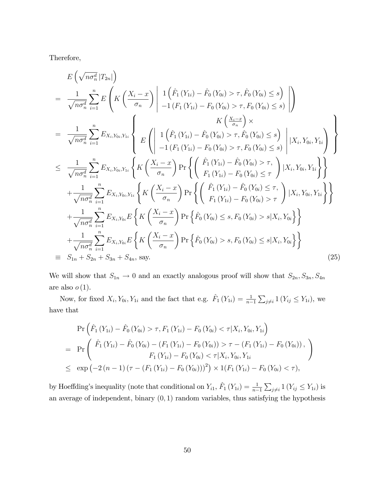Therefore,

$$
E\left(\sqrt{n\sigma_n^d} | T_{2n}|\right)
$$
\n
$$
= \frac{1}{\sqrt{n\sigma_n^d}} \sum_{i=1}^n E\left(K\left(\frac{X_i - x}{\sigma_n}\right) \middle| \frac{1}{\rho_n} \left(\hat{F}_1(Y_{1i}) - \hat{F}_0(Y_{0i}) > \tau, \hat{F}_0(Y_{0i}) \le s\right) \middle| \right)
$$
\n
$$
= \frac{1}{\sqrt{n\sigma_n^d}} \sum_{i=1}^n E_{X_i, Y_{0i}, Y_{1i}} \left\{ E\left(\left|\frac{1}{\rho_n} \left(Y_{1i}\right) - \hat{F}_0(Y_{0i}) > \tau, \hat{F}_0(Y_{0i}) \le s\right) \middle| X_i, Y_{0i}, Y_{1i} \right\} \right\}
$$
\n
$$
\leq \frac{1}{\sqrt{n\sigma_n^d}} \sum_{i=1}^n E_{X_i, Y_{0i}, Y_{1i}} \left\{ E\left(\left|\frac{1}{\rho_n} \left(Y_{1i}\right) - \hat{F}_0(Y_{0i}) > \tau, \hat{F}_0(Y_{0i}) \le s\right) \middle| X_i, Y_{0i}, Y_{1i} \right\} \right\}
$$
\n
$$
\leq \frac{1}{\sqrt{n\sigma_n^d}} \sum_{i=1}^n E_{X_i, Y_{0i}, Y_{1i}} \left\{ K\left(\frac{X_i - x}{\sigma_n}\right) \Pr\left\{ \left(\frac{\hat{F}_1(Y_{1i}) - \hat{F}_0(Y_{0i}) > \tau, \hat{F}_0(Y_{0i}) \le \tau, \tau, \hat{F}_0(Y_{0i}, Y_{1i}) \right\} \right\}
$$
\n
$$
+ \frac{1}{\sqrt{n\sigma_n^d}} \sum_{i=1}^n E_{X_i, Y_{0i}, Y_{1i}} \left\{ K\left(\frac{X_i - x}{\sigma_n}\right) \Pr\left\{ \left(\frac{\hat{F}_1(Y_{1i}) - \hat{F}_0(Y_{0i}) \le \tau, \tau, \hat{F}_0(Y_{0i}, Y_{1i}) \right\} \right\}
$$
\n
$$
+ \frac{1}{\sqrt{n\sigma_n^d}} \sum_{i=1}^n E_{X_i, Y_{0i}, Y_{1i}} \left\{ K\left(\frac{X_i - x}{\
$$

We will show that  $S_{1n} \to 0$  and an exactly analogous proof will show that  $S_{2n}$ ,  $S_{3n}$ ,  $S_{4n}$ are also  $o(1)$ .

Now, for fixed  $X_i, Y_{0i}, Y_{1i}$  and the fact that e.g.  $\hat{F}_1(Y_{1i}) = \frac{1}{n-1}$  $\sum_{j\neq i} 1(Y_{ij} \leq Y_{1i}),$  we have that

$$
\Pr\left(\hat{F}_1\left(Y_{1i}\right) - \hat{F}_0\left(Y_{0i}\right) > \tau, F_1\left(Y_{1i}\right) - F_0\left(Y_{0i}\right) < \tau | X_i, Y_{0i}, Y_{1i}\right) \\
= \Pr\left(\begin{array}{c} \hat{F}_1\left(Y_{1i}\right) - \hat{F}_0\left(Y_{0i}\right) - \left(F_1\left(Y_{1i}\right) - F_0\left(Y_{0i}\right)\right) > \tau - \left(F_1\left(Y_{1i}\right) - F_0\left(Y_{0i}\right)\right), \\ F_1\left(Y_{1i}\right) - F_0\left(Y_{0i}\right) < \tau | X_i, Y_{0i}, Y_{1i} \end{array}\right)\n\le \exp\left(-2\left(n-1\right)\left(\tau - \left(F_1\left(Y_{1i}\right) - F_0\left(Y_{0i}\right)\right)\right)^2\right) \times 1\left(F_1\left(Y_{1i}\right) - F_0\left(Y_{0i}\right) < \tau\right),
$$

by Hoeffding's inequality (note that conditional on  $Y_{i1}$ ,  $\hat{F}_1(Y_{1i}) = \frac{1}{n-1}$  $\sum_{j\neq i} 1(Y_{ij} \leq Y_{1i})$  is an average of independent, binary  $(0, 1)$  random variables, thus satisfying the hypothesis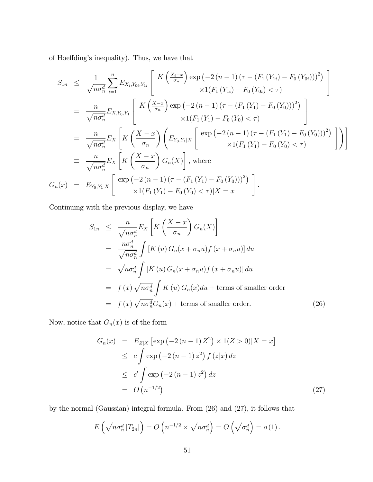of Hoeffding's inequality). Thus, we have that

$$
S_{1n} \leq \frac{1}{\sqrt{n\sigma_n^d}} \sum_{i=1}^n E_{X_i, Y_{0i}, Y_{1i}} \left[ K \left( \frac{X_i - x}{\sigma_n} \right) \exp \left( -2 \left( n - 1 \right) \left( \tau - \left( F_1 \left( Y_{1i} \right) - F_0 \left( Y_{0i} \right) \right) \right)^2 \right) \times 1 \left( F_1 \left( Y_{1i} \right) - F_0 \left( Y_{0i} \right) < \tau \right) \right]
$$
\n
$$
= \frac{n}{\sqrt{n\sigma_n^d}} E_{X, Y_0, Y_1} \left[ K \left( \frac{X - x}{\sigma_n} \right) \exp \left( -2 \left( n - 1 \right) \left( \tau - \left( F_1 \left( Y_1 \right) - F_0 \left( Y_0 \right) \right) \right)^2 \right) \times 1 \left( F_1 \left( Y_1 \right) - F_0 \left( Y_0 \right) < \tau \right) \right]
$$
\n
$$
= \frac{n}{\sqrt{n\sigma_n^d}} E_X \left[ K \left( \frac{X - x}{\sigma_n} \right) \left( E_{Y_0, Y_1 | X} \left[ \exp \left( -2 \left( n - 1 \right) \left( \tau - \left( F_1 \left( Y_1 \right) - F_0 \left( Y_0 \right) \right) \right)^2 \right) \right] \right]
$$
\n
$$
= \frac{n}{\sqrt{n\sigma_n^d}} E_X \left[ K \left( \frac{X - x}{\sigma_n} \right) G_n(X) \right], \text{ where}
$$
\n
$$
G_n(x) = E_{Y_0, Y_1 | X} \left[ \exp \left( -2 \left( n - 1 \right) \left( \tau - \left( F_1 \left( Y_1 \right) - F_0 \left( Y_0 \right) \right) \right)^2 \right) \times 1 \left( F_1 \left( Y_1 \right) - F_0 \left( Y_0 \right) < \tau \right) |X = x \right]
$$

Continuing with the previous display, we have

$$
S_{1n} \leq \frac{n}{\sqrt{n\sigma_n^d}} E_X \left[ K \left( \frac{X - x}{\sigma_n} \right) G_n(X) \right]
$$
  
\n
$$
= \frac{n\sigma_n^d}{\sqrt{n\sigma_n^d}} \int \left[ K(u) G_n(x + \sigma_n u) f(x + \sigma_n u) \right] du
$$
  
\n
$$
= \sqrt{n\sigma_n^d} \int \left[ K(u) G_n(x + \sigma_n u) f(x + \sigma_n u) \right] du
$$
  
\n
$$
= f(x) \sqrt{n\sigma_n^d} \int K(u) G_n(x) du + \text{terms of smaller order}
$$
  
\n
$$
= f(x) \sqrt{n\sigma_n^d} G_n(x) + \text{terms of smaller order.}
$$
 (26)

Now, notice that  $G_n(x)$  is of the form

$$
G_n(x) = E_{Z|X} [\exp(-2(n-1) Z^2) \times 1(Z > 0)|X = x]
$$
  
\n
$$
\leq c \int \exp(-2(n-1) z^2) f(z|x) dz
$$
  
\n
$$
\leq c' \int \exp(-2(n-1) z^2) dz
$$
  
\n
$$
= O(n^{-1/2})
$$
\n(27)

by the normal (Gaussian) integral formula. From (26) and (27), it follows that

$$
E\left(\sqrt{n\sigma_n^d} |T_{2n}|\right) = O\left(n^{-1/2} \times \sqrt{n\sigma_n^d}\right) = O\left(\sqrt{\sigma_n^d}\right) = o\left(1\right).
$$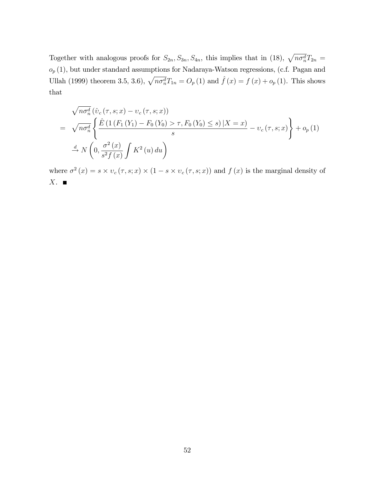Together with analogous proofs for  $S_{2n}$ ,  $S_{3n}$ ,  $S_{4n}$ , this implies that in (18),  $\sqrt{n\sigma_n^d}T_{2n}$  $o_p(1)$ , but under standard assumptions for Nadaraya-Watson regressions, (c.f. Pagan and Ullah (1999) theorem 3.5, 3.6),  $\sqrt{n\sigma_n^d}T_{1n} = O_p (1)$  and  $\hat{f}(x) = f (x) + o_p (1)$ . This shows that

$$
\sqrt{n\sigma_n^d} \left( \hat{v}_c(\tau, s; x) - v_c(\tau, s; x) \right)
$$
\n
$$
= \sqrt{n\sigma_n^d} \left\{ \frac{\hat{E} \left( 1 \left( F_1 \left( Y_1 \right) - F_0 \left( Y_0 \right) > \tau, F_0 \left( Y_0 \right) \le s \right) \middle| X = x \right)}{s} - v_c(\tau, s; x) \right\} + o_p(1)
$$
\n
$$
\stackrel{d}{\to} N \left( 0, \frac{\sigma^2(x)}{s^2 f(x)} \int K^2(u) \, du \right)
$$

where  $\sigma^2(x) = s \times v_c(\tau, s; x) \times (1 - s \times v_c(\tau, s; x))$  and  $f(x)$  is the marginal density of  $X.$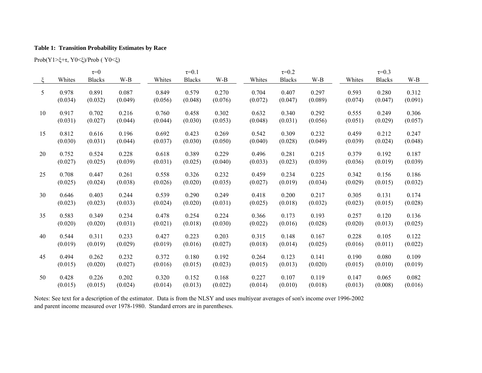#### **Table 1: Transition Probability Estimates by Race**

Prob(Y1>ξ<sup>+</sup>τ, Y0<ξ)/Prob ( Y0<ξ)

|    |         | $\tau=0$      |         | $\tau = 0.1$ |               |         | $\tau = 0.2$ |               |         | $\tau = 0.3$ |               |         |
|----|---------|---------------|---------|--------------|---------------|---------|--------------|---------------|---------|--------------|---------------|---------|
| ع  | Whites  | <b>Blacks</b> | $W-B$   | Whites       | <b>Blacks</b> | W-B     | Whites       | <b>Blacks</b> | W-B     | Whites       | <b>Blacks</b> | $W-B$   |
| 5  | 0.978   | 0.891         | 0.087   | 0.849        | 0.579         | 0.270   | 0.704        | 0.407         | 0.297   | 0.593        | 0.280         | 0.312   |
|    | (0.034) | (0.032)       | (0.049) | (0.056)      | (0.048)       | (0.076) | (0.072)      | (0.047)       | (0.089) | (0.074)      | (0.047)       | (0.091) |
| 10 | 0.917   | 0.702         | 0.216   | 0.760        | 0.458         | 0.302   | 0.632        | 0.340         | 0.292   | 0.555        | 0.249         | 0.306   |
|    | (0.031) | (0.027)       | (0.044) | (0.044)      | (0.030)       | (0.053) | (0.048)      | (0.031)       | (0.056) | (0.051)      | (0.029)       | (0.057) |
| 15 | 0.812   | 0.616         | 0.196   | 0.692        | 0.423         | 0.269   | 0.542        | 0.309         | 0.232   | 0.459        | 0.212         | 0.247   |
|    | (0.030) | (0.031)       | (0.044) | (0.037)      | (0.030)       | (0.050) | (0.040)      | (0.028)       | (0.049) | (0.039)      | (0.024)       | (0.048) |
| 20 | 0.752   | 0.524         | 0.228   | 0.618        | 0.389         | 0.229   | 0.496        | 0.281         | 0.215   | 0.379        | 0.192         | 0.187   |
|    | (0.027) | (0.025)       | (0.039) | (0.031)      | (0.025)       | (0.040) | (0.033)      | (0.023)       | (0.039) | (0.036)      | (0.019)       | (0.039) |
| 25 | 0.708   | 0.447         | 0.261   | 0.558        | 0.326         | 0.232   | 0.459        | 0.234         | 0.225   | 0.342        | 0.156         | 0.186   |
|    | (0.025) | (0.024)       | (0.038) | (0.026)      | (0.020)       | (0.035) | (0.027)      | (0.019)       | (0.034) | (0.029)      | (0.015)       | (0.032) |
| 30 | 0.646   | 0.403         | 0.244   | 0.539        | 0.290         | 0.249   | 0.418        | 0.200         | 0.217   | 0.305        | 0.131         | 0.174   |
|    | (0.023) | (0.023)       | (0.033) | (0.024)      | (0.020)       | (0.031) | (0.025)      | (0.018)       | (0.032) | (0.023)      | (0.015)       | (0.028) |
| 35 | 0.583   | 0.349         | 0.234   | 0.478        | 0.254         | 0.224   | 0.366        | 0.173         | 0.193   | 0.257        | 0.120         | 0.136   |
|    | (0.020) | (0.020)       | (0.031) | (0.021)      | (0.018)       | (0.030) | (0.022)      | (0.016)       | (0.028) | (0.020)      | (0.013)       | (0.025) |
| 40 | 0.544   | 0.311         | 0.233   | 0.427        | 0.223         | 0.203   | 0.315        | 0.148         | 0.167   | 0.228        | 0.105         | 0.122   |
|    | (0.019) | (0.019)       | (0.029) | (0.019)      | (0.016)       | (0.027) | (0.018)      | (0.014)       | (0.025) | (0.016)      | (0.011)       | (0.022) |
| 45 | 0.494   | 0.262         | 0.232   | 0.372        | 0.180         | 0.192   | 0.264        | 0.123         | 0.141   | 0.190        | 0.080         | 0.109   |
|    | (0.015) | (0.020)       | (0.027) | (0.016)      | (0.015)       | (0.023) | (0.015)      | (0.013)       | (0.020) | (0.015)      | (0.010)       | (0.019) |
| 50 | 0.428   | 0.226         | 0.202   | 0.320        | 0.152         | 0.168   | 0.227        | 0.107         | 0.119   | 0.147        | 0.065         | 0.082   |
|    | (0.015) | (0.015)       | (0.024) | (0.014)      | (0.013)       | (0.022) | (0.014)      | (0.010)       | (0.018) | (0.013)      | (0.008)       | (0.016) |

Notes: See text for a description of the estimator. Data is from the NLSY and uses multiyear averages of son's income over 1996-2002 and parent income measured over 1978-1980. Standard errors are in parentheses.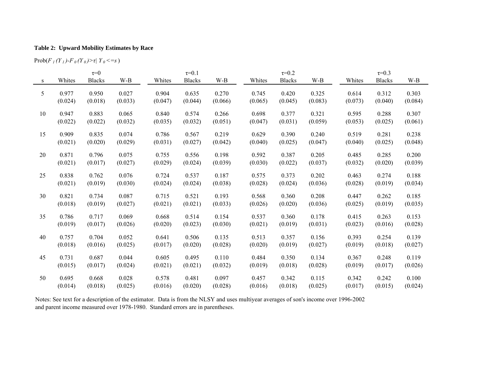#### **Table 2: Upward Mobility Estimates by Race**

 $\text{Prob}(F \, \text{I} \, (Y \, \text{I})\text{-}F \, \text{I} \, (Y \, \text{I}) \text{>} \tau | \, Y \, \text{I} \leq -s)$ 

|    |         | $\tau = 0$    |         | $\tau = 0.1$ |               |         | $\tau = 0.2$ |               |         |         | $\tau = 0.3$  |         |  |
|----|---------|---------------|---------|--------------|---------------|---------|--------------|---------------|---------|---------|---------------|---------|--|
| S  | Whites  | <b>Blacks</b> | W-B     | Whites       | <b>Blacks</b> | W-B     | Whites       | <b>Blacks</b> | W-B     | Whites  | <b>Blacks</b> | $W-B$   |  |
| 5  | 0.977   | 0.950         | 0.027   | 0.904        | 0.635         | 0.270   | 0.745        | 0.420         | 0.325   | 0.614   | 0.312         | 0.303   |  |
|    | (0.024) | (0.018)       | (0.033) | (0.047)      | (0.044)       | (0.066) | (0.065)      | (0.045)       | (0.083) | (0.073) | (0.040)       | (0.084) |  |
| 10 | 0.947   | 0.883         | 0.065   | 0.840        | 0.574         | 0.266   | 0.698        | 0.377         | 0.321   | 0.595   | 0.288         | 0.307   |  |
|    | (0.022) | (0.022)       | (0.032) | (0.035)      | (0.032)       | (0.051) | (0.047)      | (0.031)       | (0.059) | (0.053) | (0.025)       | (0.061) |  |
| 15 | 0.909   | 0.835         | 0.074   | 0.786        | 0.567         | 0.219   | 0.629        | 0.390         | 0.240   | 0.519   | 0.281         | 0.238   |  |
|    | (0.021) | (0.020)       | (0.029) | (0.031)      | (0.027)       | (0.042) | (0.040)      | (0.025)       | (0.047) | (0.040) | (0.025)       | (0.048) |  |
| 20 | 0.871   | 0.796         | 0.075   | 0.755        | 0.556         | 0.198   | 0.592        | 0.387         | 0.205   | 0.485   | 0.285         | 0.200   |  |
|    | (0.021) | (0.017)       | (0.027) | (0.029)      | (0.024)       | (0.039) | (0.030)      | (0.022)       | (0.037) | (0.032) | (0.020)       | (0.039) |  |
| 25 | 0.838   | 0.762         | 0.076   | 0.724        | 0.537         | 0.187   | 0.575        | 0.373         | 0.202   | 0.463   | 0.274         | 0.188   |  |
|    | (0.021) | (0.019)       | (0.030) | (0.024)      | (0.024)       | (0.038) | (0.028)      | (0.024)       | (0.036) | (0.028) | (0.019)       | (0.034) |  |
| 30 | 0.821   | 0.734         | 0.087   | 0.715        | 0.521         | 0.193   | 0.568        | 0.360         | 0.208   | 0.447   | 0.262         | 0.185   |  |
|    | (0.018) | (0.019)       | (0.027) | (0.021)      | (0.021)       | (0.033) | (0.026)      | (0.020)       | (0.036) | (0.025) | (0.019)       | (0.035) |  |
| 35 | 0.786   | 0.717         | 0.069   | 0.668        | 0.514         | 0.154   | 0.537        | 0.360         | 0.178   | 0.415   | 0.263         | 0.153   |  |
|    | (0.019) | (0.017)       | (0.026) | (0.020)      | (0.023)       | (0.030) | (0.021)      | (0.019)       | (0.031) | (0.023) | (0.016)       | (0.028) |  |
| 40 | 0.757   | 0.704         | 0.052   | 0.641        | 0.506         | 0.135   | 0.513        | 0.357         | 0.156   | 0.393   | 0.254         | 0.139   |  |
|    | (0.018) | (0.016)       | (0.025) | (0.017)      | (0.020)       | (0.028) | (0.020)      | (0.019)       | (0.027) | (0.019) | (0.018)       | (0.027) |  |
| 45 | 0.731   | 0.687         | 0.044   | 0.605        | 0.495         | 0.110   | 0.484        | 0.350         | 0.134   | 0.367   | 0.248         | 0.119   |  |
|    | (0.015) | (0.017)       | (0.024) | (0.021)      | (0.021)       | (0.032) | (0.019)      | (0.018)       | (0.028) | (0.019) | (0.017)       | (0.026) |  |
| 50 | 0.695   | 0.668         | 0.028   | 0.578        | 0.481         | 0.097   | 0.457        | 0.342         | 0.115   | 0.342   | 0.242         | 0.100   |  |
|    | (0.014) | (0.018)       | (0.025) | (0.016)      | (0.020)       | (0.028) | (0.016)      | (0.018)       | (0.025) | (0.017) | (0.015)       | (0.024) |  |

Notes: See text for a description of the estimator. Data is from the NLSY and uses multiyear averages of son's income over 1996-2002 and parent income measured over 1978-1980. Standard errors are in parentheses.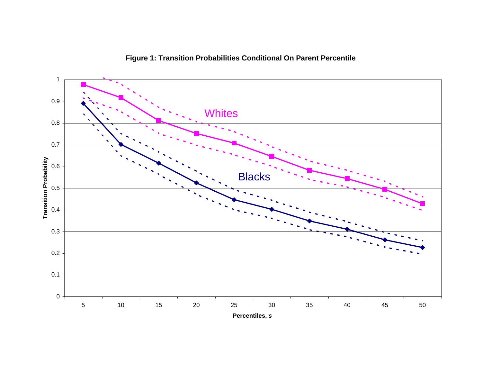

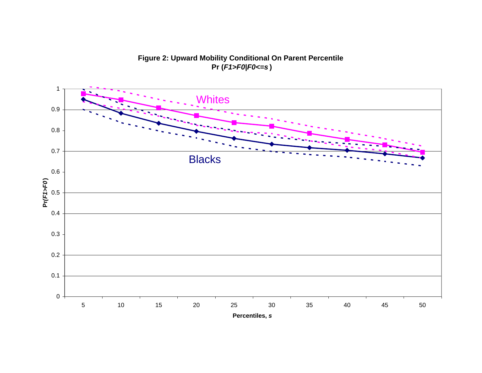

**Figure 2: Upward Mobility Conditional On Parent Percentile Pr (***F1>F0|F0<=s* **)**

**Percentiles,**  *s*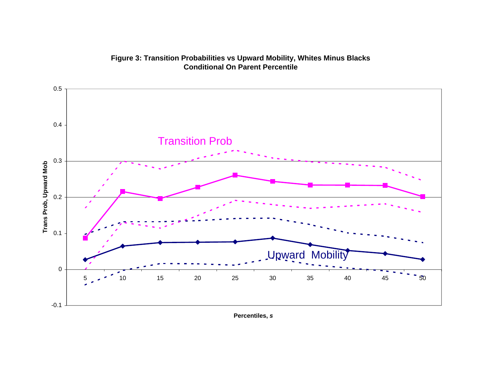

# **Figure 3: Transition Probabilities vs Upward Mobility, Whites Minus Blacks Conditional On Parent Percentile**

**Percentiles,**  *s*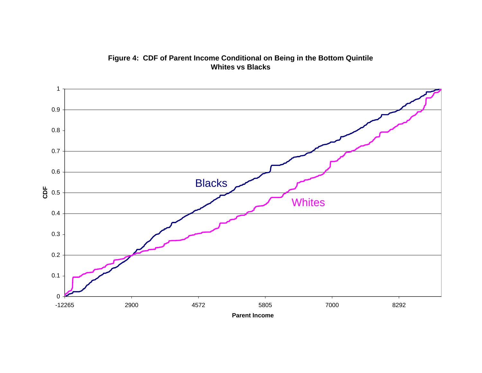

**Figure 4: CDF of Parent Income Conditional on Being in the Bottom Quintile Whites vs Blacks**

**Parent Income**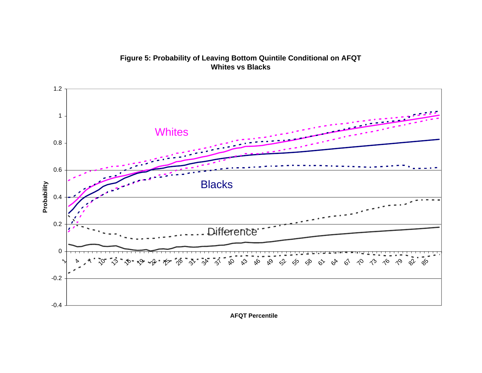![](_page_58_Figure_0.jpeg)

**Figure 5: Probability of Leaving Bottom Quintile Conditional on AFQT Whites vs Blacks**

**AFQT Percentile**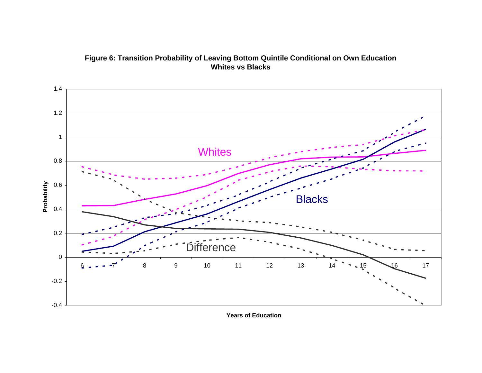![](_page_59_Figure_0.jpeg)

**Figure 6: Transition Probability of Leaving Bottom Quintile Conditional on Own Education Whites vs Blacks**

**Years of Education**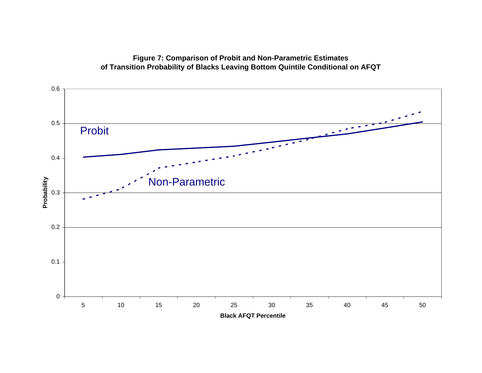![](_page_60_Figure_0.jpeg)

# **Figure 7: Comparison of Probit and Non-Parametric Estimates of Transition Probability of Blacks Leaving Bottom Quintile Conditional on AFQT**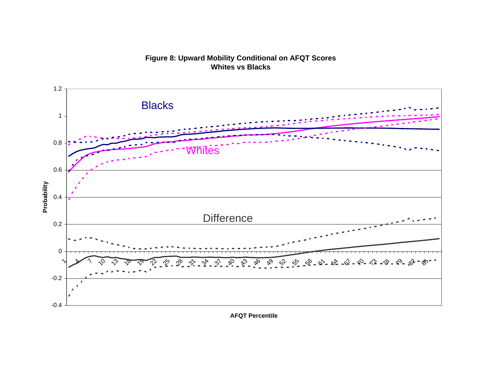![](_page_61_Figure_0.jpeg)

![](_page_61_Figure_1.jpeg)

**AFQT Percentile**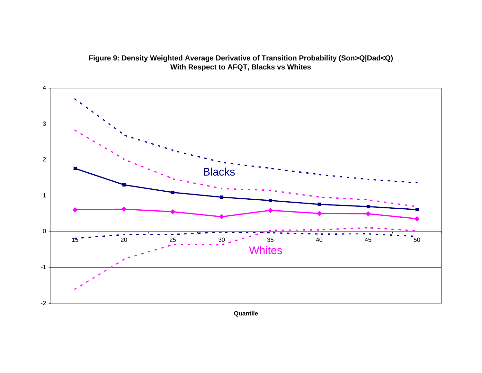![](_page_62_Figure_0.jpeg)

![](_page_62_Figure_1.jpeg)

**Quantile**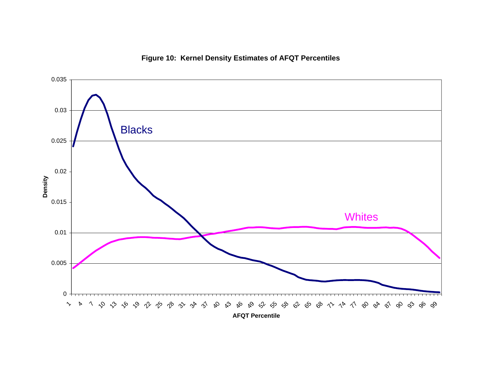# **Figure 10: Kernel Density Estimates of AFQT Percentiles**

![](_page_63_Figure_1.jpeg)